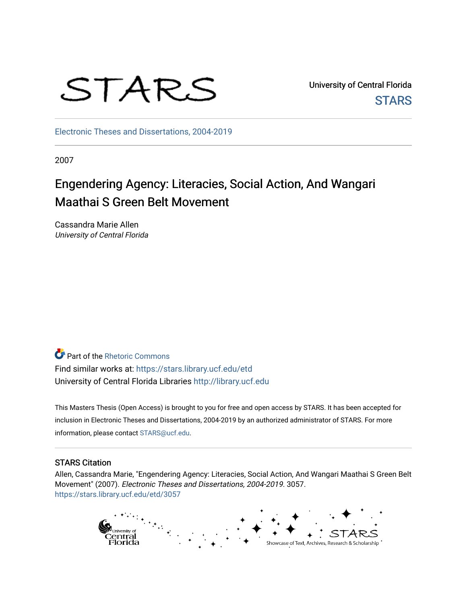

University of Central Florida **STARS** 

[Electronic Theses and Dissertations, 2004-2019](https://stars.library.ucf.edu/etd) 

2007

# Engendering Agency: Literacies, Social Action, And Wangari Maathai S Green Belt Movement

Cassandra Marie Allen University of Central Florida

**P** Part of the Rhetoric Commons Find similar works at: <https://stars.library.ucf.edu/etd> University of Central Florida Libraries [http://library.ucf.edu](http://library.ucf.edu/) 

This Masters Thesis (Open Access) is brought to you for free and open access by STARS. It has been accepted for inclusion in Electronic Theses and Dissertations, 2004-2019 by an authorized administrator of STARS. For more information, please contact [STARS@ucf.edu.](mailto:STARS@ucf.edu)

# STARS Citation

Allen, Cassandra Marie, "Engendering Agency: Literacies, Social Action, And Wangari Maathai S Green Belt Movement" (2007). Electronic Theses and Dissertations, 2004-2019. 3057. [https://stars.library.ucf.edu/etd/3057](https://stars.library.ucf.edu/etd/3057?utm_source=stars.library.ucf.edu%2Fetd%2F3057&utm_medium=PDF&utm_campaign=PDFCoverPages) 

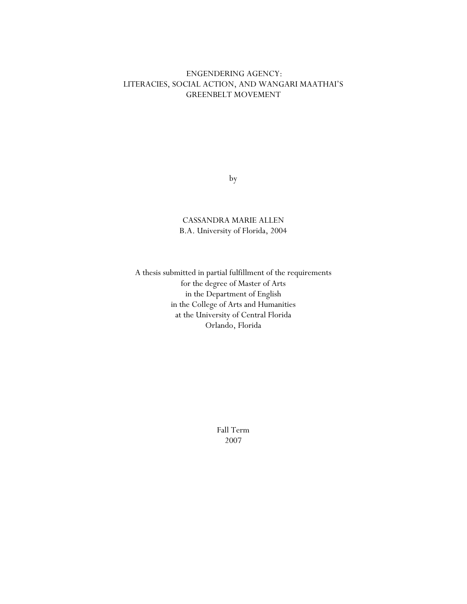# ENGENDERING AGENCY: LITERACIES, SOCIAL ACTION, AND WANGARI MAATHAI'S GREENBELT MOVEMENT

by

CASSANDRA MARIE ALLEN B.A. University of Florida, 2004

A thesis submitted in partial fulfillment of the requirements for the degree of Master of Arts in the Department of English in the College of Arts and Humanities at the University of Central Florida Orlando, Florida

> Fall Term 2007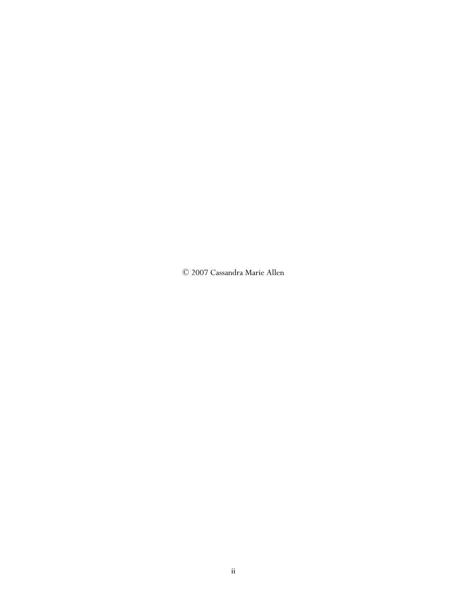© 2007 Cassandra Marie Allen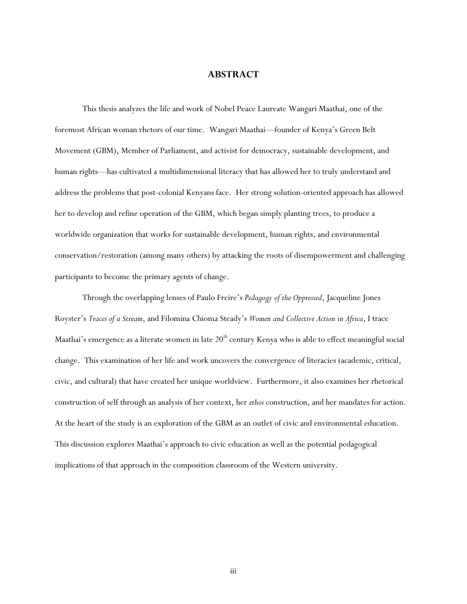## **ABSTRACT**

This thesis analyzes the life and work of Nobel Peace Laureate Wangari Maathai, one of the foremost African woman rhetors of our time. Wangari Maathai—founder of Kenya's Green Belt Movement (GBM), Member of Parliament, and activist for democracy, sustainable development, and human rights—has cultivated a multidimensional literacy that has allowed her to truly understand and address the problems that post-colonial Kenyans face. Her strong solution-oriented approach has allowed her to develop and refine operation of the GBM, which began simply planting trees, to produce a worldwide organization that works for sustainable development, human rights, and environmental conservation/restoration (among many others) by attacking the roots of disempowerment and challenging participants to become the primary agents of change.

Through the overlapping lenses of Paulo Freire's *Pedagogy of the Oppressed*, Jacqueline Jones Royster's *Traces of a Stream*, and Filomina Chioma Steady's *Women and Collective Action in Africa*, I trace Maathai's emergence as a literate women in late 20<sup>th</sup> century Kenya who is able to effect meaningful social change. This examination of her life and work uncovers the convergence of literacies (academic, critical, civic, and cultural) that have created her unique worldview. Furthermore, it also examines her rhetorical construction of self through an analysis of her context, her *ethos* construction, and her mandates for action. At the heart of the study is an exploration of the GBM as an outlet of civic and environmental education. This discussion explores Maathai's approach to civic education as well as the potential pedagogical implications of that approach in the composition classroom of the Western university.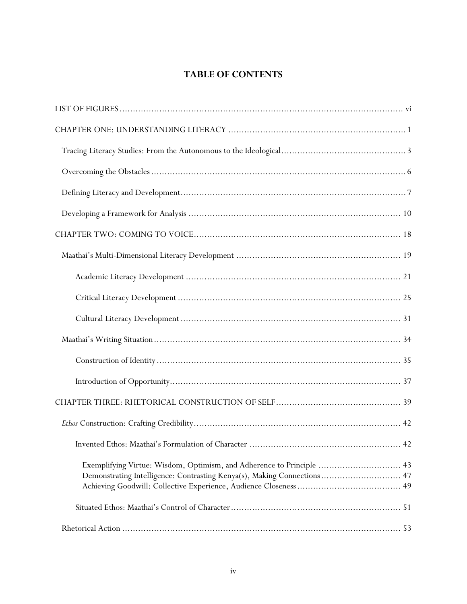# **TABLE OF CONTENTS**

| Exemplifying Virtue: Wisdom, Optimism, and Adherence to Principle  43<br>Demonstrating Intelligence: Contrasting Kenya(s), Making Connections 47 |
|--------------------------------------------------------------------------------------------------------------------------------------------------|
|                                                                                                                                                  |
|                                                                                                                                                  |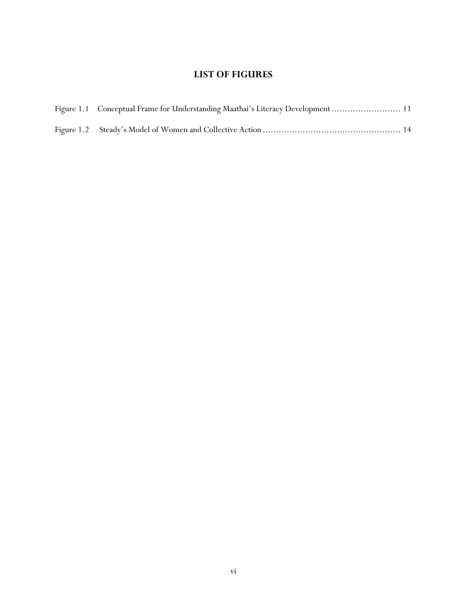# **LIST OF FIGURES**

<span id="page-6-0"></span>

| Figure 1.1 Conceptual Frame for Understanding Maathai's Literacy Development  11 |  |
|----------------------------------------------------------------------------------|--|
|                                                                                  |  |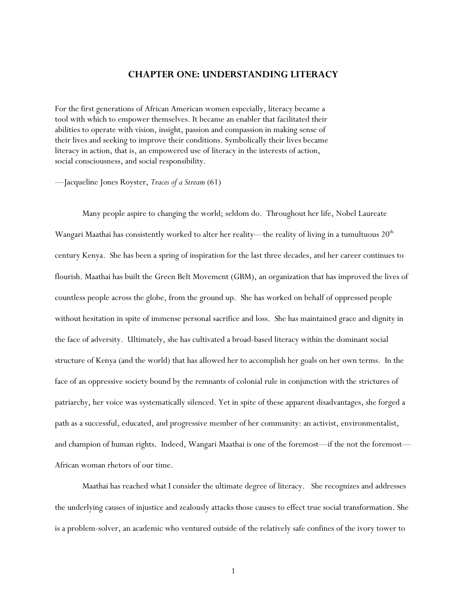## **CHAPTER ONE: UNDERSTANDING LITERACY**

<span id="page-7-0"></span>For the first generations of African American women especially, literacy became a tool with which to empower themselves. It became an enabler that facilitated their abilities to operate with vision, insight, passion and compassion in making sense of their lives and seeking to improve their conditions. Symbolically their lives became literacy in action, that is, an empowered use of literacy in the interests of action, social consciousness, and social responsibility.

—Jacqueline Jones Royster, *Traces of a Stream* (61)

Many people aspire to changing the world; seldom do. Throughout her life, Nobel Laureate Wangari Maathai has consistently worked to alter her reality—the reality of living in a tumultuous  $20<sup>th</sup>$ century Kenya. She has been a spring of inspiration for the last three decades, and her career continues to flourish. Maathai has built the Green Belt Movement (GBM), an organization that has improved the lives of countless people across the globe, from the ground up. She has worked on behalf of oppressed people without hesitation in spite of immense personal sacrifice and loss. She has maintained grace and dignity in the face of adversity. Ultimately, she has cultivated a broad-based literacy within the dominant social structure of Kenya (and the world) that has allowed her to accomplish her goals on her own terms. In the face of an oppressive society bound by the remnants of colonial rule in conjunction with the strictures of patriarchy, her voice was systematically silenced. Yet in spite of these apparent disadvantages, she forged a path as a successful, educated, and progressive member of her community: an activist, environmentalist, and champion of human rights. Indeed, Wangari Maathai is one of the foremost—if the not the foremost— African woman rhetors of our time.

Maathai has reached what I consider the ultimate degree of literacy. She recognizes and addresses the underlying causes of injustice and zealously attacks those causes to effect true social transformation. She is a problem-solver, an academic who ventured outside of the relatively safe confines of the ivory tower to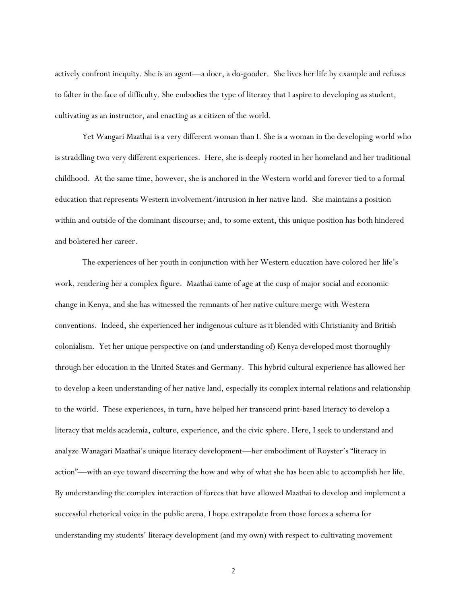actively confront inequity. She is an agent—a doer, a do-gooder. She lives her life by example and refuses to falter in the face of difficulty. She embodies the type of literacy that I aspire to developing as student, cultivating as an instructor, and enacting as a citizen of the world.

Yet Wangari Maathai is a very different woman than I. She is a woman in the developing world who is straddling two very different experiences. Here, she is deeply rooted in her homeland and her traditional childhood. At the same time, however, she is anchored in the Western world and forever tied to a formal education that represents Western involvement/intrusion in her native land. She maintains a position within and outside of the dominant discourse; and, to some extent, this unique position has both hindered and bolstered her career.

The experiences of her youth in conjunction with her Western education have colored her life's work, rendering her a complex figure. Maathai came of age at the cusp of major social and economic change in Kenya, and she has witnessed the remnants of her native culture merge with Western conventions. Indeed, she experienced her indigenous culture as it blended with Christianity and British colonialism. Yet her unique perspective on (and understanding of) Kenya developed most thoroughly through her education in the United States and Germany. This hybrid cultural experience has allowed her to develop a keen understanding of her native land, especially its complex internal relations and relationship to the world. These experiences, in turn, have helped her transcend print-based literacy to develop a literacy that melds academia, culture, experience, and the civic sphere. Here, I seek to understand and analyze Wanagari Maathai's unique literacy development—her embodiment of Royster's "literacy in action"—with an eye toward discerning the how and why of what she has been able to accomplish her life. By understanding the complex interaction of forces that have allowed Maathai to develop and implement a successful rhetorical voice in the public arena, I hope extrapolate from those forces a schema for understanding my students' literacy development (and my own) with respect to cultivating movement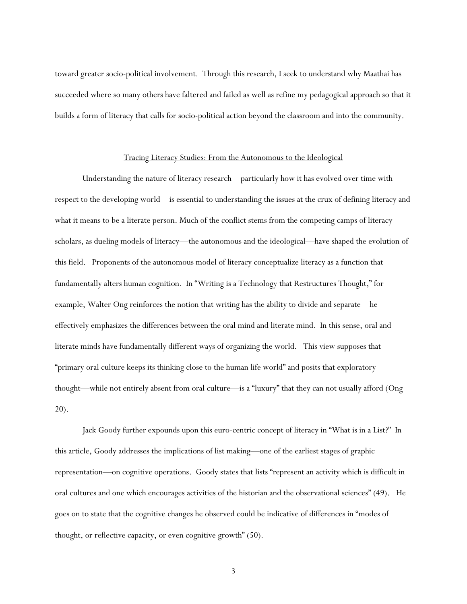<span id="page-9-0"></span>toward greater socio-political involvement. Through this research, I seek to understand why Maathai has succeeded where so many others have faltered and failed as well as refine my pedagogical approach so that it builds a form of literacy that calls for socio-political action beyond the classroom and into the community.

#### Tracing Literacy Studies: From the Autonomous to the Ideological

Understanding the nature of literacy research—particularly how it has evolved over time with respect to the developing world—is essential to understanding the issues at the crux of defining literacy and what it means to be a literate person. Much of the conflict stems from the competing camps of literacy scholars, as dueling models of literacy—the autonomous and the ideological—have shaped the evolution of this field. Proponents of the autonomous model of literacy conceptualize literacy as a function that fundamentally alters human cognition. In "Writing is a Technology that Restructures Thought," for example, Walter Ong reinforces the notion that writing has the ability to divide and separate—he effectively emphasizes the differences between the oral mind and literate mind. In this sense, oral and literate minds have fundamentally different ways of organizing the world. This view supposes that "primary oral culture keeps its thinking close to the human life world" and posits that exploratory thought—while not entirely absent from oral culture—is a "luxury" that they can not usually afford (Ong 20).

Jack Goody further expounds upon this euro-centric concept of literacy in "What is in a List?" In this article, Goody addresses the implications of list making—one of the earliest stages of graphic representation—on cognitive operations. Goody states that lists "represent an activity which is difficult in oral cultures and one which encourages activities of the historian and the observational sciences" (49). He goes on to state that the cognitive changes he observed could be indicative of differences in "modes of thought, or reflective capacity, or even cognitive growth" (50).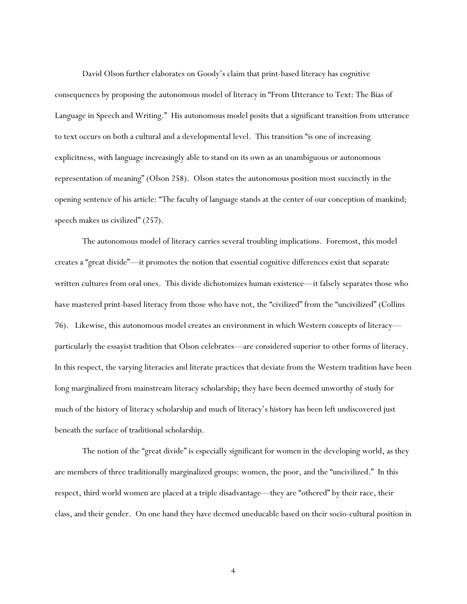David Olson further elaborates on Goody's claim that print-based literacy has cognitive consequences by proposing the autonomous model of literacy in "From Utterance to Text: The Bias of Language in Speech and Writing." His autonomous model posits that a significant transition from utterance to text occurs on both a cultural and a developmental level. This transition "is one of increasing explicitness, with language increasingly able to stand on its own as an unambiguous or autonomous representation of meaning" (Olson 258). Olson states the autonomous position most succinctly in the opening sentence of his article: "The faculty of language stands at the center of our conception of mankind; speech makes us civilized" (257).

The autonomous model of literacy carries several troubling implications. Foremost, this model creates a "great divide"—it promotes the notion that essential cognitive differences exist that separate written cultures from oral ones. This divide dichotomizes human existence—it falsely separates those who have mastered print-based literacy from those who have not, the "civilized" from the "uncivilized" (Collins 76). Likewise, this autonomous model creates an environment in which Western concepts of literacy particularly the essayist tradition that Olson celebrates—are considered superior to other forms of literacy. In this respect, the varying literacies and literate practices that deviate from the Western tradition have been long marginalized from mainstream literacy scholarship; they have been deemed unworthy of study for much of the history of literacy scholarship and much of literacy's history has been left undiscovered just beneath the surface of traditional scholarship.

The notion of the "great divide" is especially significant for women in the developing world, as they are members of three traditionally marginalized groups: women, the poor, and the "uncivilized." In this respect, third world women are placed at a triple disadvantage—they are "othered" by their race, their class, and their gender. On one hand they have deemed uneducable based on their socio-cultural position in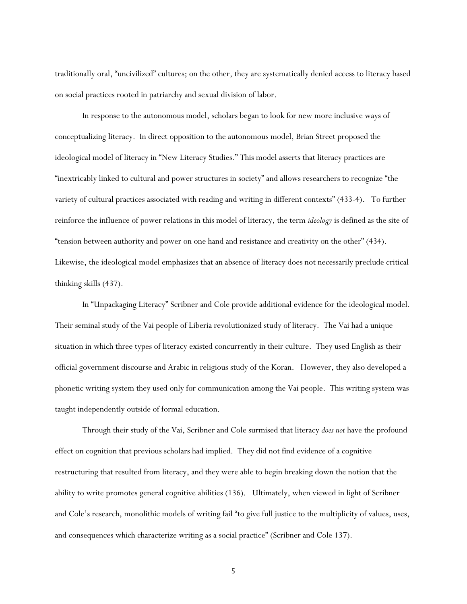traditionally oral, "uncivilized" cultures; on the other, they are systematically denied access to literacy based on social practices rooted in patriarchy and sexual division of labor.

In response to the autonomous model, scholars began to look for new more inclusive ways of conceptualizing literacy. In direct opposition to the autonomous model, Brian Street proposed the ideological model of literacy in "New Literacy Studies." This model asserts that literacy practices are "inextricably linked to cultural and power structures in society" and allows researchers to recognize "the variety of cultural practices associated with reading and writing in different contexts" (433-4). To further reinforce the influence of power relations in this model of literacy, the term *ideology* is defined as the site of "tension between authority and power on one hand and resistance and creativity on the other" (434). Likewise, the ideological model emphasizes that an absence of literacy does not necessarily preclude critical thinking skills (437).

In "Unpackaging Literacy" Scribner and Cole provide additional evidence for the ideological model. Their seminal study of the Vai people of Liberia revolutionized study of literacy. The Vai had a unique situation in which three types of literacy existed concurrently in their culture. They used English as their official government discourse and Arabic in religious study of the Koran. However, they also developed a phonetic writing system they used only for communication among the Vai people. This writing system was taught independently outside of formal education.

Through their study of the Vai, Scribner and Cole surmised that literacy *does not* have the profound effect on cognition that previous scholars had implied. They did not find evidence of a cognitive restructuring that resulted from literacy, and they were able to begin breaking down the notion that the ability to write promotes general cognitive abilities (136). Ultimately, when viewed in light of Scribner and Cole's research, monolithic models of writing fail "to give full justice to the multiplicity of values, uses, and consequences which characterize writing as a social practice" (Scribner and Cole 137).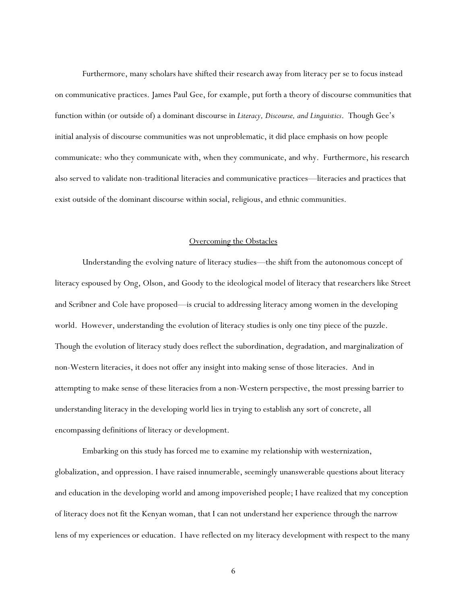<span id="page-12-0"></span>Furthermore, many scholars have shifted their research away from literacy per se to focus instead on communicative practices. James Paul Gee, for example, put forth a theory of discourse communities that function within (or outside of) a dominant discourse in *Literacy, Discourse, and Linguistics*. Though Gee's initial analysis of discourse communities was not unproblematic, it did place emphasis on how people communicate: who they communicate with, when they communicate, and why. Furthermore, his research also served to validate non-traditional literacies and communicative practices—literacies and practices that exist outside of the dominant discourse within social, religious, and ethnic communities.

#### Overcoming the Obstacles

Understanding the evolving nature of literacy studies—the shift from the autonomous concept of literacy espoused by Ong, Olson, and Goody to the ideological model of literacy that researchers like Street and Scribner and Cole have proposed—is crucial to addressing literacy among women in the developing world. However, understanding the evolution of literacy studies is only one tiny piece of the puzzle. Though the evolution of literacy study does reflect the subordination, degradation, and marginalization of non-Western literacies, it does not offer any insight into making sense of those literacies. And in attempting to make sense of these literacies from a non-Western perspective, the most pressing barrier to understanding literacy in the developing world lies in trying to establish any sort of concrete, all encompassing definitions of literacy or development.

Embarking on this study has forced me to examine my relationship with westernization, globalization, and oppression. I have raised innumerable, seemingly unanswerable questions about literacy and education in the developing world and among impoverished people; I have realized that my conception of literacy does not fit the Kenyan woman, that I can not understand her experience through the narrow lens of my experiences or education. I have reflected on my literacy development with respect to the many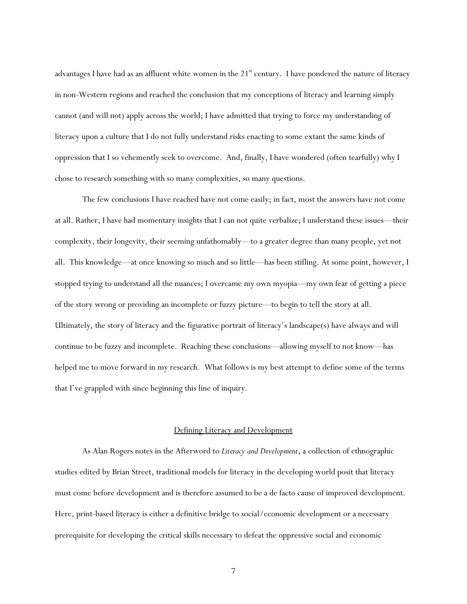<span id="page-13-0"></span>advantages I have had as an affluent white women in the  $21<sup>st</sup>$  century. I have pondered the nature of literacy in non-Western regions and reached the conclusion that my conceptions of literacy and learning simply cannot (and will not) apply across the world; I have admitted that trying to force my understanding of literacy upon a culture that I do not fully understand risks enacting to some extant the same kinds of oppression that I so vehemently seek to overcome. And, finally, I have wondered (often tearfully) why I chose to research something with so many complexities, so many questions.

The few conclusions I have reached have not come easily; in fact, most the answers have not come at all. Rather, I have had momentary insights that I can not quite verbalize; I understand these issues—their complexity, their longevity, their seeming unfathomably—to a greater degree than many people, yet not all. This knowledge—at once knowing so much and so little—has been stifling. At some point, however, I stopped trying to understand all the nuances; I overcame my own myopia—my own fear of getting a piece of the story wrong or providing an incomplete or fuzzy picture—to begin to tell the story at all. Ultimately, the story of literacy and the figurative portrait of literacy's landscape(s) have always and will continue to be fuzzy and incomplete. Reaching these conclusions—allowing myself to not know—has helped me to move forward in my research. What follows is my best attempt to define some of the terms that I've grappled with since beginning this line of inquiry.

#### Defining Literacy and Development

As Alan Rogers notes in the Afterword to *Literacy and Development*, a collection of ethnographic studies edited by Brian Street, traditional models for literacy in the developing world posit that literacy must come before development and is therefore assumed to be a de facto cause of improved development. Here, print-based literacy is either a definitive bridge to social/economic development or a necessary prerequisite for developing the critical skills necessary to defeat the oppressive social and economic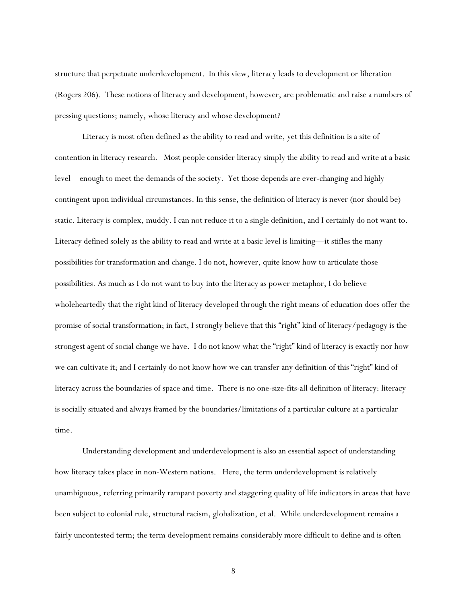structure that perpetuate underdevelopment. In this view, literacy leads to development or liberation (Rogers 206). These notions of literacy and development, however, are problematic and raise a numbers of pressing questions; namely, whose literacy and whose development?

Literacy is most often defined as the ability to read and write, yet this definition is a site of contention in literacy research. Most people consider literacy simply the ability to read and write at a basic level—enough to meet the demands of the society. Yet those depends are ever-changing and highly contingent upon individual circumstances. In this sense, the definition of literacy is never (nor should be) static. Literacy is complex, muddy. I can not reduce it to a single definition, and I certainly do not want to. Literacy defined solely as the ability to read and write at a basic level is limiting—it stifles the many possibilities for transformation and change. I do not, however, quite know how to articulate those possibilities. As much as I do not want to buy into the literacy as power metaphor, I do believe wholeheartedly that the right kind of literacy developed through the right means of education does offer the promise of social transformation; in fact, I strongly believe that this "right" kind of literacy/pedagogy is the strongest agent of social change we have. I do not know what the "right" kind of literacy is exactly nor how we can cultivate it; and I certainly do not know how we can transfer any definition of this "right" kind of literacy across the boundaries of space and time. There is no one-size-fits-all definition of literacy: literacy is socially situated and always framed by the boundaries/limitations of a particular culture at a particular time.

Understanding development and underdevelopment is also an essential aspect of understanding how literacy takes place in non-Western nations. Here, the term underdevelopment is relatively unambiguous, referring primarily rampant poverty and staggering quality of life indicators in areas that have been subject to colonial rule, structural racism, globalization, et al. While underdevelopment remains a fairly uncontested term; the term development remains considerably more difficult to define and is often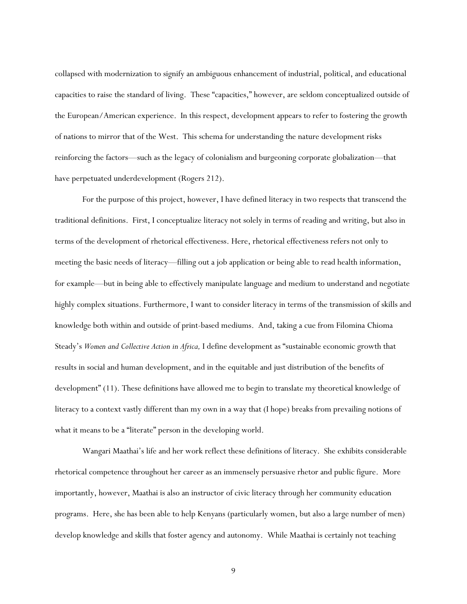collapsed with modernization to signify an ambiguous enhancement of industrial, political, and educational capacities to raise the standard of living. These "capacities," however, are seldom conceptualized outside of the European/American experience. In this respect, development appears to refer to fostering the growth of nations to mirror that of the West. This schema for understanding the nature development risks reinforcing the factors—such as the legacy of colonialism and burgeoning corporate globalization—that have perpetuated underdevelopment (Rogers 212).

For the purpose of this project, however, I have defined literacy in two respects that transcend the traditional definitions. First, I conceptualize literacy not solely in terms of reading and writing, but also in terms of the development of rhetorical effectiveness. Here, rhetorical effectiveness refers not only to meeting the basic needs of literacy—filling out a job application or being able to read health information, for example—but in being able to effectively manipulate language and medium to understand and negotiate highly complex situations. Furthermore, I want to consider literacy in terms of the transmission of skills and knowledge both within and outside of print-based mediums. And, taking a cue from Filomina Chioma Steady's *Women and Collective Action in Africa,* I define development as "sustainable economic growth that results in social and human development, and in the equitable and just distribution of the benefits of development" (11). These definitions have allowed me to begin to translate my theoretical knowledge of literacy to a context vastly different than my own in a way that (I hope) breaks from prevailing notions of what it means to be a "literate" person in the developing world.

Wangari Maathai's life and her work reflect these definitions of literacy. She exhibits considerable rhetorical competence throughout her career as an immensely persuasive rhetor and public figure. More importantly, however, Maathai is also an instructor of civic literacy through her community education programs. Here, she has been able to help Kenyans (particularly women, but also a large number of men) develop knowledge and skills that foster agency and autonomy. While Maathai is certainly not teaching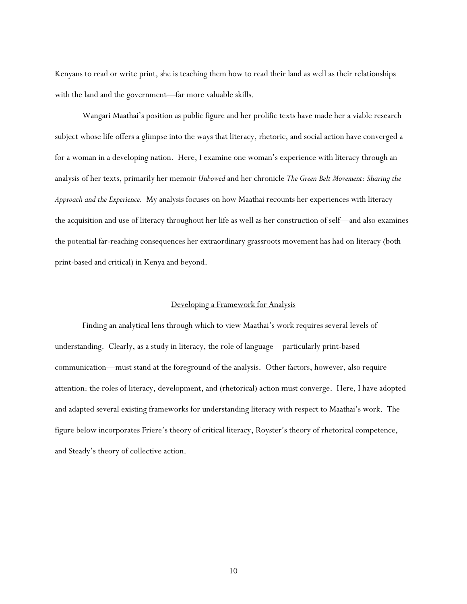<span id="page-16-0"></span>Kenyans to read or write print, she is teaching them how to read their land as well as their relationships with the land and the government—far more valuable skills.

Wangari Maathai's position as public figure and her prolific texts have made her a viable research subject whose life offers a glimpse into the ways that literacy, rhetoric, and social action have converged a for a woman in a developing nation. Here, I examine one woman's experience with literacy through an analysis of her texts, primarily her memoir *Unbowed* and her chronicle *The Green Belt Movement: Sharing the Approach and the Experience.* My analysis focuses on how Maathai recounts her experiences with literacy the acquisition and use of literacy throughout her life as well as her construction of self—and also examines the potential far-reaching consequences her extraordinary grassroots movement has had on literacy (both print-based and critical) in Kenya and beyond.

#### Developing a Framework for Analysis

Finding an analytical lens through which to view Maathai's work requires several levels of understanding. Clearly, as a study in literacy, the role of language—particularly print-based communication—must stand at the foreground of the analysis. Other factors, however, also require attention: the roles of literacy, development, and (rhetorical) action must converge. Here, I have adopted and adapted several existing frameworks for understanding literacy with respect to Maathai's work. The figure below incorporates Friere's theory of critical literacy, Royster's theory of rhetorical competence, and Steady's theory of collective action.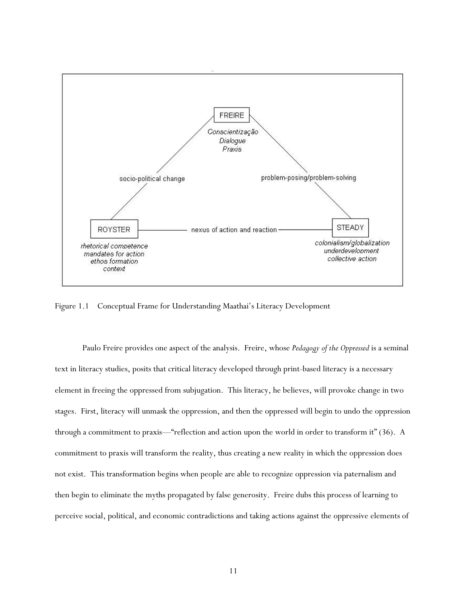<span id="page-17-0"></span>

Figure 1.1 Conceptual Frame for Understanding Maathai's Literacy Development

Paulo Freire provides one aspect of the analysis. Freire, whose *Pedagogy of the Oppressed* is a seminal text in literacy studies, posits that critical literacy developed through print-based literacy is a necessary element in freeing the oppressed from subjugation. This literacy, he believes, will provoke change in two stages. First, literacy will unmask the oppression, and then the oppressed will begin to undo the oppression through a commitment to praxis—"reflection and action upon the world in order to transform it" (36). A commitment to praxis will transform the reality, thus creating a new reality in which the oppression does not exist. This transformation begins when people are able to recognize oppression via paternalism and then begin to eliminate the myths propagated by false generosity. Freire dubs this process of learning to perceive social, political, and economic contradictions and taking actions against the oppressive elements of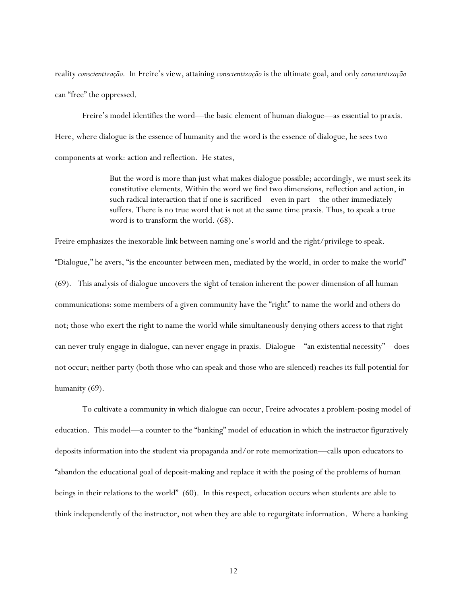reality *conscientização.* In Freire's view, attaining *conscientização* is the ultimate goal, and only *conscientização* can "free" the oppressed.

Freire's model identifies the word—the basic element of human dialogue—as essential to praxis. Here, where dialogue is the essence of humanity and the word is the essence of dialogue, he sees two components at work: action and reflection. He states,

> But the word is more than just what makes dialogue possible; accordingly, we must seek its constitutive elements. Within the word we find two dimensions, reflection and action, in such radical interaction that if one is sacrificed—even in part—the other immediately suffers. There is no true word that is not at the same time praxis. Thus, to speak a true word is to transform the world. (68).

Freire emphasizes the inexorable link between naming one's world and the right/privilege to speak. "Dialogue," he avers, "is the encounter between men, mediated by the world, in order to make the world" (69). This analysis of dialogue uncovers the sight of tension inherent the power dimension of all human communications: some members of a given community have the "right" to name the world and others do not; those who exert the right to name the world while simultaneously denying others access to that right can never truly engage in dialogue, can never engage in praxis. Dialogue—"an existential necessity"—does not occur; neither party (both those who can speak and those who are silenced) reaches its full potential for humanity (69).

To cultivate a community in which dialogue can occur, Freire advocates a problem-posing model of education. This model—a counter to the "banking" model of education in which the instructor figuratively deposits information into the student via propaganda and/or rote memorization—calls upon educators to "abandon the educational goal of deposit-making and replace it with the posing of the problems of human beings in their relations to the world" (60). In this respect, education occurs when students are able to think independently of the instructor, not when they are able to regurgitate information. Where a banking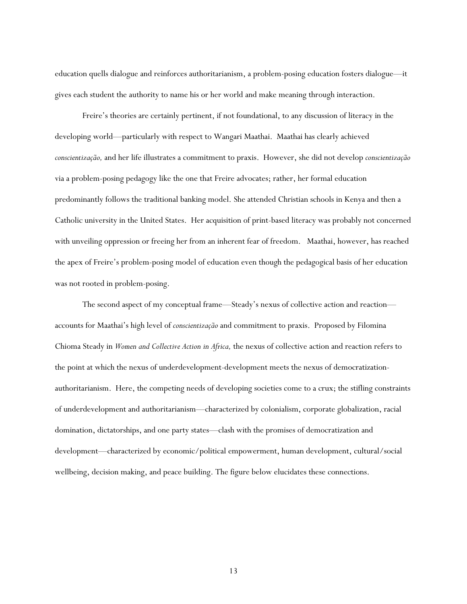education quells dialogue and reinforces authoritarianism, a problem-posing education fosters dialogue—it gives each student the authority to name his or her world and make meaning through interaction.

Freire's theories are certainly pertinent, if not foundational, to any discussion of literacy in the developing world—particularly with respect to Wangari Maathai. Maathai has clearly achieved *conscientização,* and her life illustrates a commitment to praxis. However, she did not develop *conscientização*  via a problem-posing pedagogy like the one that Freire advocates; rather, her formal education predominantly follows the traditional banking model. She attended Christian schools in Kenya and then a Catholic university in the United States. Her acquisition of print-based literacy was probably not concerned with unveiling oppression or freeing her from an inherent fear of freedom. Maathai, however, has reached the apex of Freire's problem-posing model of education even though the pedagogical basis of her education was not rooted in problem-posing.

The second aspect of my conceptual frame—Steady's nexus of collective action and reaction accounts for Maathai's high level of *conscientização* and commitment to praxis. Proposed by Filomina Chioma Steady in *Women and Collective Action in Africa,* the nexus of collective action and reaction refers to the point at which the nexus of underdevelopment-development meets the nexus of democratizationauthoritarianism. Here, the competing needs of developing societies come to a crux; the stifling constraints of underdevelopment and authoritarianism—characterized by colonialism, corporate globalization, racial domination, dictatorships, and one party states—clash with the promises of democratization and development—characterized by economic/political empowerment, human development, cultural/social wellbeing, decision making, and peace building. The figure below elucidates these connections.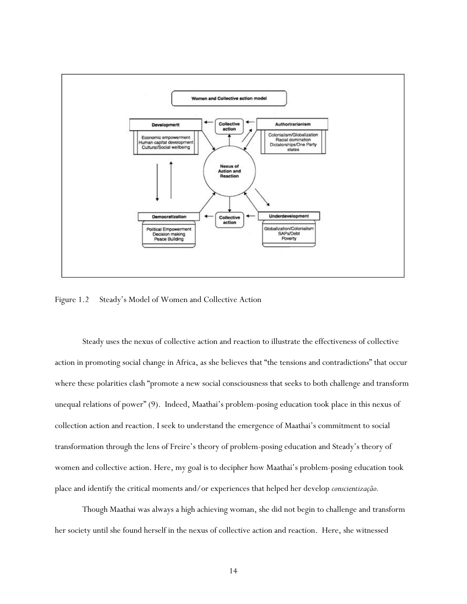<span id="page-20-0"></span>

Figure 1.2 Steady's Model of Women and Collective Action

Steady uses the nexus of collective action and reaction to illustrate the effectiveness of collective action in promoting social change in Africa, as she believes that "the tensions and contradictions" that occur where these polarities clash "promote a new social consciousness that seeks to both challenge and transform unequal relations of power" (9). Indeed, Maathai's problem-posing education took place in this nexus of collection action and reaction. I seek to understand the emergence of Maathai's commitment to social transformation through the lens of Freire's theory of problem-posing education and Steady's theory of women and collective action. Here, my goal is to decipher how Maathai's problem-posing education took place and identify the critical moments and/or experiences that helped her develop *conscientização.*

Though Maathai was always a high achieving woman, she did not begin to challenge and transform her society until she found herself in the nexus of collective action and reaction. Here, she witnessed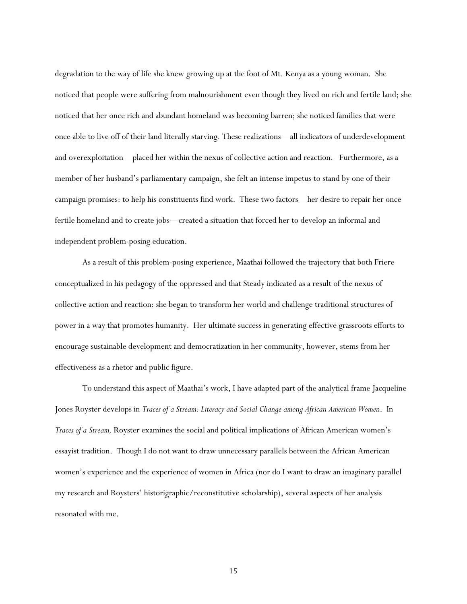degradation to the way of life she knew growing up at the foot of Mt. Kenya as a young woman. She noticed that people were suffering from malnourishment even though they lived on rich and fertile land; she noticed that her once rich and abundant homeland was becoming barren; she noticed families that were once able to live off of their land literally starving. These realizations—all indicators of underdevelopment and overexploitation—placed her within the nexus of collective action and reaction. Furthermore, as a member of her husband's parliamentary campaign, she felt an intense impetus to stand by one of their campaign promises: to help his constituents find work. These two factors—her desire to repair her once fertile homeland and to create jobs—created a situation that forced her to develop an informal and independent problem-posing education.

As a result of this problem-posing experience, Maathai followed the trajectory that both Friere conceptualized in his pedagogy of the oppressed and that Steady indicated as a result of the nexus of collective action and reaction: she began to transform her world and challenge traditional structures of power in a way that promotes humanity. Her ultimate success in generating effective grassroots efforts to encourage sustainable development and democratization in her community, however, stems from her effectiveness as a rhetor and public figure.

To understand this aspect of Maathai's work, I have adapted part of the analytical frame Jacqueline Jones Royster develops in *Traces of a Stream: Literacy and Social Change among African American Women*. In *Traces of a Stream,* Royster examines the social and political implications of African American women's essayist tradition. Though I do not want to draw unnecessary parallels between the African American women's experience and the experience of women in Africa (nor do I want to draw an imaginary parallel my research and Roysters' historigraphic/reconstitutive scholarship), several aspects of her analysis resonated with me.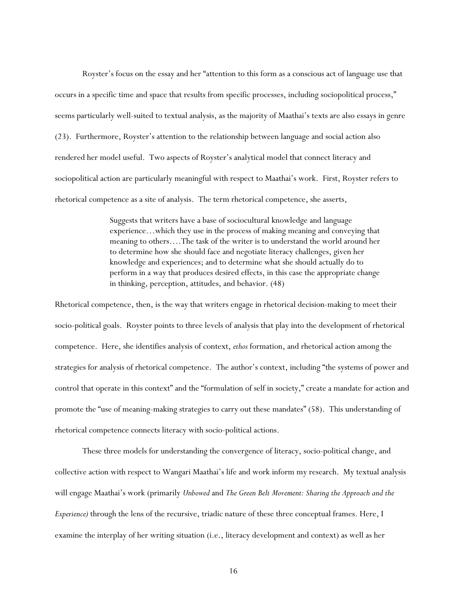Royster's focus on the essay and her "attention to this form as a conscious act of language use that occurs in a specific time and space that results from specific processes, including sociopolitical process," seems particularly well-suited to textual analysis, as the majority of Maathai's texts are also essays in genre (23). Furthermore, Royster's attention to the relationship between language and social action also rendered her model useful. Two aspects of Royster's analytical model that connect literacy and sociopolitical action are particularly meaningful with respect to Maathai's work. First, Royster refers to rhetorical competence as a site of analysis. The term rhetorical competence, she asserts,

> Suggests that writers have a base of sociocultural knowledge and language experience…which they use in the process of making meaning and conveying that meaning to others….The task of the writer is to understand the world around her to determine how she should face and negotiate literacy challenges, given her knowledge and experiences; and to determine what she should actually do to perform in a way that produces desired effects, in this case the appropriate change in thinking, perception, attitudes, and behavior. (48)

Rhetorical competence, then, is the way that writers engage in rhetorical decision-making to meet their socio-political goals. Royster points to three levels of analysis that play into the development of rhetorical competence. Here, she identifies analysis of context, *ethos* formation, and rhetorical action among the strategies for analysis of rhetorical competence. The author's context, including "the systems of power and control that operate in this context" and the "formulation of self in society," create a mandate for action and promote the "use of meaning-making strategies to carry out these mandates" (58). This understanding of rhetorical competence connects literacy with socio-political actions.

These three models for understanding the convergence of literacy, socio-political change, and collective action with respect to Wangari Maathai's life and work inform my research. My textual analysis will engage Maathai's work (primarily *Unbowed* and *The Green Belt Movement: Sharing the Approach and the Experience)* through the lens of the recursive, triadic nature of these three conceptual frames. Here, I examine the interplay of her writing situation (i.e., literacy development and context) as well as her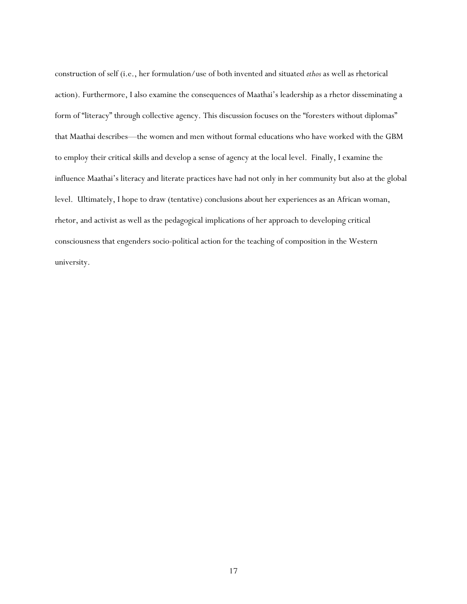construction of self (i.e., her formulation/use of both invented and situated *ethos* as well as rhetorical action). Furthermore, I also examine the consequences of Maathai's leadership as a rhetor disseminating a form of "literacy" through collective agency. This discussion focuses on the "foresters without diplomas" that Maathai describes—the women and men without formal educations who have worked with the GBM to employ their critical skills and develop a sense of agency at the local level. Finally, I examine the influence Maathai's literacy and literate practices have had not only in her community but also at the global level. Ultimately, I hope to draw (tentative) conclusions about her experiences as an African woman, rhetor, and activist as well as the pedagogical implications of her approach to developing critical consciousness that engenders socio-political action for the teaching of composition in the Western university.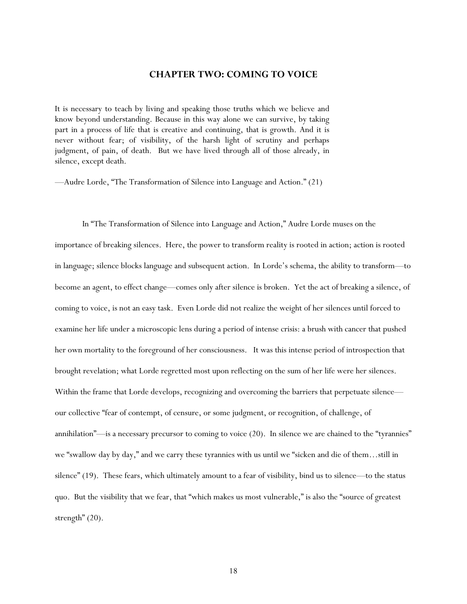## **CHAPTER TWO: COMING TO VOICE**

<span id="page-24-0"></span>It is necessary to teach by living and speaking those truths which we believe and know beyond understanding. Because in this way alone we can survive, by taking part in a process of life that is creative and continuing, that is growth. And it is never without fear; of visibility, of the harsh light of scrutiny and perhaps judgment, of pain, of death. But we have lived through all of those already, in silence, except death.

—Audre Lorde, "The Transformation of Silence into Language and Action." (21)

In "The Transformation of Silence into Language and Action," Audre Lorde muses on the importance of breaking silences. Here, the power to transform reality is rooted in action; action is rooted in language; silence blocks language and subsequent action. In Lorde's schema, the ability to transform—to become an agent, to effect change—comes only after silence is broken. Yet the act of breaking a silence, of coming to voice, is not an easy task. Even Lorde did not realize the weight of her silences until forced to examine her life under a microscopic lens during a period of intense crisis: a brush with cancer that pushed her own mortality to the foreground of her consciousness. It was this intense period of introspection that brought revelation; what Lorde regretted most upon reflecting on the sum of her life were her silences. Within the frame that Lorde develops, recognizing and overcoming the barriers that perpetuate silence our collective "fear of contempt, of censure, or some judgment, or recognition, of challenge, of annihilation"—is a necessary precursor to coming to voice (20). In silence we are chained to the "tyrannies" we "swallow day by day," and we carry these tyrannies with us until we "sicken and die of them…still in silence" (19). These fears, which ultimately amount to a fear of visibility, bind us to silence—to the status quo. But the visibility that we fear, that "which makes us most vulnerable," is also the "source of greatest strength" (20).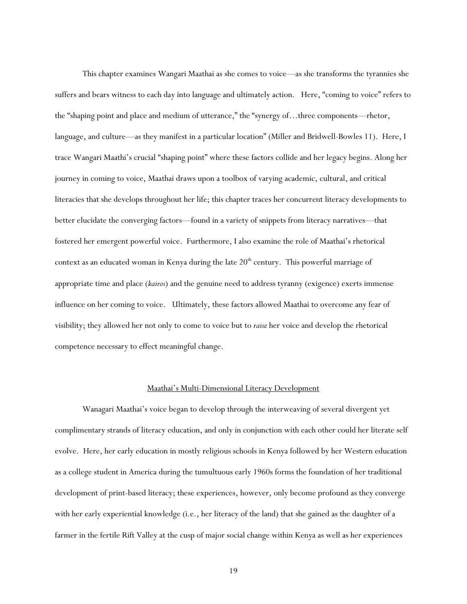<span id="page-25-0"></span>This chapter examines Wangari Maathai as she comes to voice—as she transforms the tyrannies she suffers and bears witness to each day into language and ultimately action. Here, "coming to voice" refers to the "shaping point and place and medium of utterance," the "synergy of…three components—rhetor, language, and culture—as they manifest in a particular location" (Miller and Bridwell-Bowles 11). Here, I trace Wangari Maathi's crucial "shaping point" where these factors collide and her legacy begins. Along her journey in coming to voice, Maathai draws upon a toolbox of varying academic, cultural, and critical literacies that she develops throughout her life; this chapter traces her concurrent literacy developments to better elucidate the converging factors—found in a variety of snippets from literacy narratives—that fostered her emergent powerful voice. Furthermore, I also examine the role of Maathai's rhetorical context as an educated woman in Kenya during the late  $20<sup>th</sup>$  century. This powerful marriage of appropriate time and place (*kairos*) and the genuine need to address tyranny (exigence) exerts immense influence on her coming to voice. Ultimately, these factors allowed Maathai to overcome any fear of visibility; they allowed her not only to come to voice but to *raise* her voice and develop the rhetorical competence necessary to effect meaningful change.

#### Maathai's Multi-Dimensional Literacy Development

Wanagari Maathai's voice began to develop through the interweaving of several divergent yet complimentary strands of literacy education, and only in conjunction with each other could her literate self evolve. Here, her early education in mostly religious schools in Kenya followed by her Western education as a college student in America during the tumultuous early 1960s forms the foundation of her traditional development of print-based literacy; these experiences, however, only become profound as they converge with her early experiential knowledge (i.e., her literacy of the land) that she gained as the daughter of a farmer in the fertile Rift Valley at the cusp of major social change within Kenya as well as her experiences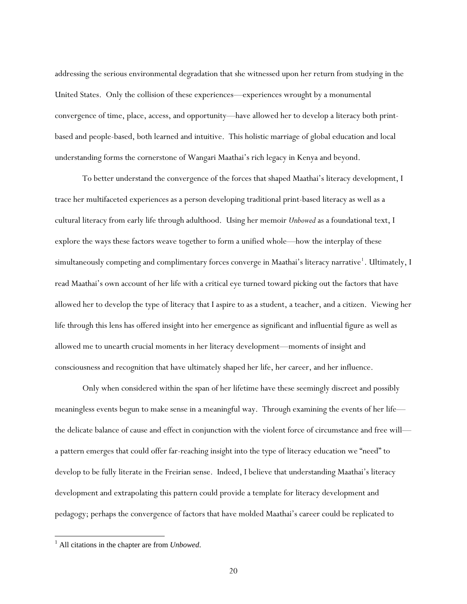addressing the serious environmental degradation that she witnessed upon her return from studying in the United States. Only the collision of these experiences—experiences wrought by a monumental convergence of time, place, access, and opportunity—have allowed her to develop a literacy both printbased and people-based, both learned and intuitive. This holistic marriage of global education and local understanding forms the cornerstone of Wangari Maathai's rich legacy in Kenya and beyond.

To better understand the convergence of the forces that shaped Maathai's literacy development, I trace her multifaceted experiences as a person developing traditional print-based literacy as well as a cultural literacy from early life through adulthood. Using her memoir *Unbowed* as a foundational text, I explore the ways these factors weave together to form a unified whole—how the interplay of these simultaneously competing and complimentary forces converge in Maathai's literacy narrative $^{\rm 1}.$  $^{\rm 1}.$  $^{\rm 1}.$  Ultimately, I read Maathai's own account of her life with a critical eye turned toward picking out the factors that have allowed her to develop the type of literacy that I aspire to as a student, a teacher, and a citizen. Viewing her life through this lens has offered insight into her emergence as significant and influential figure as well as allowed me to unearth crucial moments in her literacy development—moments of insight and consciousness and recognition that have ultimately shaped her life, her career, and her influence.

Only when considered within the span of her lifetime have these seemingly discreet and possibly meaningless events begun to make sense in a meaningful way. Through examining the events of her life the delicate balance of cause and effect in conjunction with the violent force of circumstance and free will a pattern emerges that could offer far-reaching insight into the type of literacy education we "need" to develop to be fully literate in the Freirian sense. Indeed, I believe that understanding Maathai's literacy development and extrapolating this pattern could provide a template for literacy development and pedagogy; perhaps the convergence of factors that have molded Maathai's career could be replicated to

 $\overline{a}$ 

<span id="page-26-0"></span><sup>1</sup> All citations in the chapter are from *Unbowed*.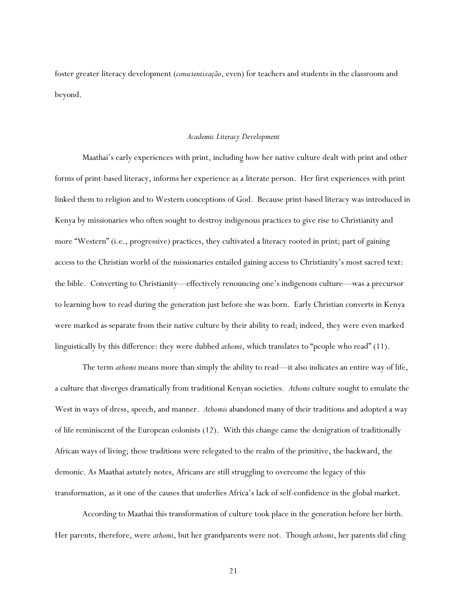<span id="page-27-0"></span>foster greater literacy development (*conscientização*, even) for teachers and students in the classroom and beyond.

#### *Academic Literacy Development*

Maathai's early experiences with print, including how her native culture dealt with print and other forms of print-based literacy, informs her experience as a literate person. Her first experiences with print linked them to religion and to Western conceptions of God. Because print-based literacy was introduced in Kenya by missionaries who often sought to destroy indigenous practices to give rise to Christianity and more "Western" (i.e., progressive) practices, they cultivated a literacy rooted in print; part of gaining access to the Christian world of the missionaries entailed gaining access to Christianity's most sacred text: the bible. Converting to Christianity—effectively renouncing one's indigenous culture—was a precursor to learning how to read during the generation just before she was born. Early Christian converts in Kenya were marked as separate from their native culture by their ability to read; indeed, they were even marked linguistically by this difference: they were dubbed *athomi*, which translates to "people who read" (11).

The term *athomi* means more than simply the ability to read—it also indicates an entire way of life, a culture that diverges dramatically from traditional Kenyan societies. *Athomi* culture sought to emulate the West in ways of dress, speech, and manner. *Athomis* abandoned many of their traditions and adopted a way of life reminiscent of the European colonists (12). With this change came the denigration of traditionally African ways of living; these traditions were relegated to the realm of the primitive, the backward, the demonic. As Maathai astutely notes, Africans are still struggling to overcome the legacy of this transformation, as it one of the causes that underlies Africa's lack of self-confidence in the global market.

According to Maathai this transformation of culture took place in the generation before her birth. Her parents, therefore, were *athomi*, but her grandparents were not. Though *athomi*, her parents did cling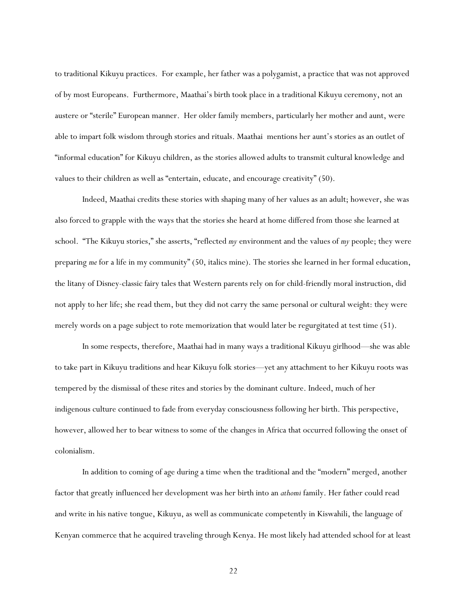to traditional Kikuyu practices. For example, her father was a polygamist, a practice that was not approved of by most Europeans. Furthermore, Maathai's birth took place in a traditional Kikuyu ceremony, not an austere or "sterile" European manner. Her older family members, particularly her mother and aunt, were able to impart folk wisdom through stories and rituals. Maathai mentions her aunt's stories as an outlet of "informal education" for Kikuyu children, as the stories allowed adults to transmit cultural knowledge and values to their children as well as "entertain, educate, and encourage creativity" (50).

Indeed, Maathai credits these stories with shaping many of her values as an adult; however, she was also forced to grapple with the ways that the stories she heard at home differed from those she learned at school. "The Kikuyu stories," she asserts, "reflected *my* environment and the values of *my* people; they were preparing *me* for a life in my community" (50, italics mine). The stories she learned in her formal education, the litany of Disney-classic fairy tales that Western parents rely on for child-friendly moral instruction, did not apply to her life; she read them, but they did not carry the same personal or cultural weight: they were merely words on a page subject to rote memorization that would later be regurgitated at test time (51).

In some respects, therefore, Maathai had in many ways a traditional Kikuyu girlhood—she was able to take part in Kikuyu traditions and hear Kikuyu folk stories—yet any attachment to her Kikuyu roots was tempered by the dismissal of these rites and stories by the dominant culture. Indeed, much of her indigenous culture continued to fade from everyday consciousness following her birth. This perspective, however, allowed her to bear witness to some of the changes in Africa that occurred following the onset of colonialism.

In addition to coming of age during a time when the traditional and the "modern" merged, another factor that greatly influenced her development was her birth into an *athomi* family. Her father could read and write in his native tongue, Kikuyu, as well as communicate competently in Kiswahili, the language of Kenyan commerce that he acquired traveling through Kenya. He most likely had attended school for at least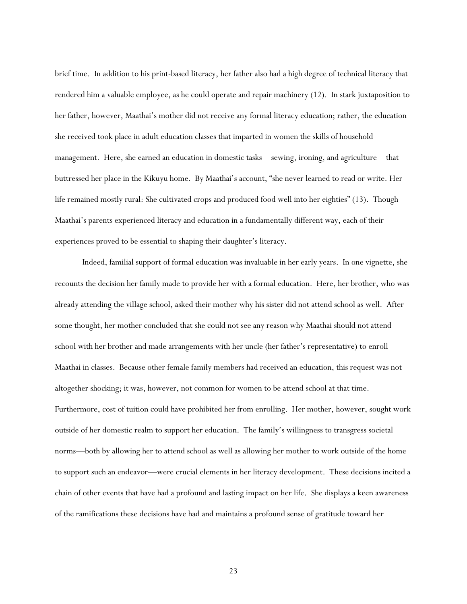brief time. In addition to his print-based literacy, her father also had a high degree of technical literacy that rendered him a valuable employee, as he could operate and repair machinery (12). In stark juxtaposition to her father, however, Maathai's mother did not receive any formal literacy education; rather, the education she received took place in adult education classes that imparted in women the skills of household management. Here, she earned an education in domestic tasks—sewing, ironing, and agriculture—that buttressed her place in the Kikuyu home. By Maathai's account, "she never learned to read or write. Her life remained mostly rural: She cultivated crops and produced food well into her eighties" (13). Though Maathai's parents experienced literacy and education in a fundamentally different way, each of their experiences proved to be essential to shaping their daughter's literacy.

Indeed, familial support of formal education was invaluable in her early years. In one vignette, she recounts the decision her family made to provide her with a formal education. Here, her brother, who was already attending the village school, asked their mother why his sister did not attend school as well. After some thought, her mother concluded that she could not see any reason why Maathai should not attend school with her brother and made arrangements with her uncle (her father's representative) to enroll Maathai in classes. Because other female family members had received an education, this request was not altogether shocking; it was, however, not common for women to be attend school at that time. Furthermore, cost of tuition could have prohibited her from enrolling. Her mother, however, sought work outside of her domestic realm to support her education. The family's willingness to transgress societal norms—both by allowing her to attend school as well as allowing her mother to work outside of the home to support such an endeavor—were crucial elements in her literacy development. These decisions incited a chain of other events that have had a profound and lasting impact on her life. She displays a keen awareness of the ramifications these decisions have had and maintains a profound sense of gratitude toward her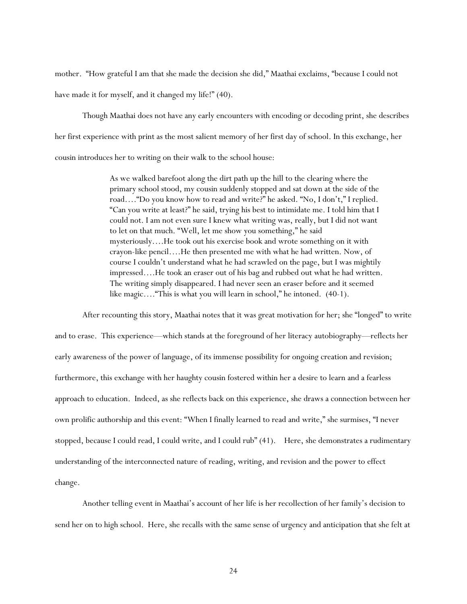mother. "How grateful I am that she made the decision she did," Maathai exclaims, "because I could not have made it for myself, and it changed my life!" (40).

Though Maathai does not have any early encounters with encoding or decoding print, she describes her first experience with print as the most salient memory of her first day of school. In this exchange, her cousin introduces her to writing on their walk to the school house:

> As we walked barefoot along the dirt path up the hill to the clearing where the primary school stood, my cousin suddenly stopped and sat down at the side of the road…."Do you know how to read and write?" he asked. "No, I don't," I replied. "Can you write at least?" he said, trying his best to intimidate me. I told him that I could not. I am not even sure I knew what writing was, really, but I did not want to let on that much. "Well, let me show you something," he said mysteriously….He took out his exercise book and wrote something on it with crayon-like pencil….He then presented me with what he had written. Now, of course I couldn't understand what he had scrawled on the page, but I was mightily impressed….He took an eraser out of his bag and rubbed out what he had written. The writing simply disappeared. I had never seen an eraser before and it seemed like magic…."This is what you will learn in school," he intoned. (40-1).

After recounting this story, Maathai notes that it was great motivation for her; she "longed" to write and to erase. This experience—which stands at the foreground of her literacy autobiography—reflects her early awareness of the power of language, of its immense possibility for ongoing creation and revision; furthermore, this exchange with her haughty cousin fostered within her a desire to learn and a fearless approach to education. Indeed, as she reflects back on this experience, she draws a connection between her own prolific authorship and this event: "When I finally learned to read and write," she surmises, "I never stopped, because I could read, I could write, and I could rub" (41). Here, she demonstrates a rudimentary understanding of the interconnected nature of reading, writing, and revision and the power to effect change.

Another telling event in Maathai's account of her life is her recollection of her family's decision to send her on to high school. Here, she recalls with the same sense of urgency and anticipation that she felt at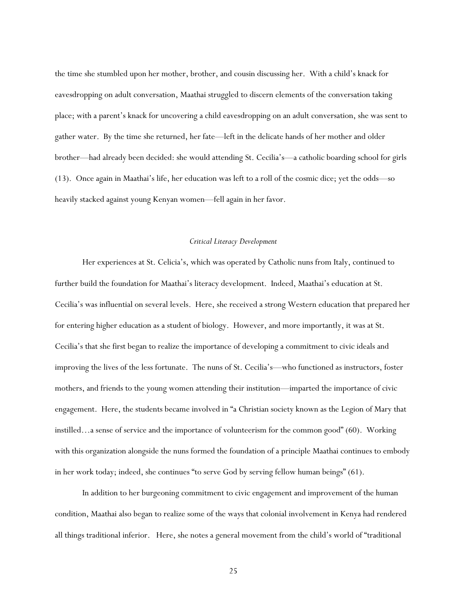<span id="page-31-0"></span>the time she stumbled upon her mother, brother, and cousin discussing her. With a child's knack for eavesdropping on adult conversation, Maathai struggled to discern elements of the conversation taking place; with a parent's knack for uncovering a child eavesdropping on an adult conversation, she was sent to gather water. By the time she returned, her fate—left in the delicate hands of her mother and older brother—had already been decided: she would attending St. Cecilia's—a catholic boarding school for girls (13). Once again in Maathai's life, her education was left to a roll of the cosmic dice; yet the odds—so heavily stacked against young Kenyan women—fell again in her favor.

#### *Critical Literacy Development*

Her experiences at St. Celicia's, which was operated by Catholic nuns from Italy, continued to further build the foundation for Maathai's literacy development. Indeed, Maathai's education at St. Cecilia's was influential on several levels. Here, she received a strong Western education that prepared her for entering higher education as a student of biology. However, and more importantly, it was at St. Cecilia's that she first began to realize the importance of developing a commitment to civic ideals and improving the lives of the less fortunate. The nuns of St. Cecilia's—who functioned as instructors, foster mothers, and friends to the young women attending their institution—imparted the importance of civic engagement. Here, the students became involved in "a Christian society known as the Legion of Mary that instilled…a sense of service and the importance of volunteerism for the common good" (60). Working with this organization alongside the nuns formed the foundation of a principle Maathai continues to embody in her work today; indeed, she continues "to serve God by serving fellow human beings" (61).

In addition to her burgeoning commitment to civic engagement and improvement of the human condition, Maathai also began to realize some of the ways that colonial involvement in Kenya had rendered all things traditional inferior. Here, she notes a general movement from the child's world of "traditional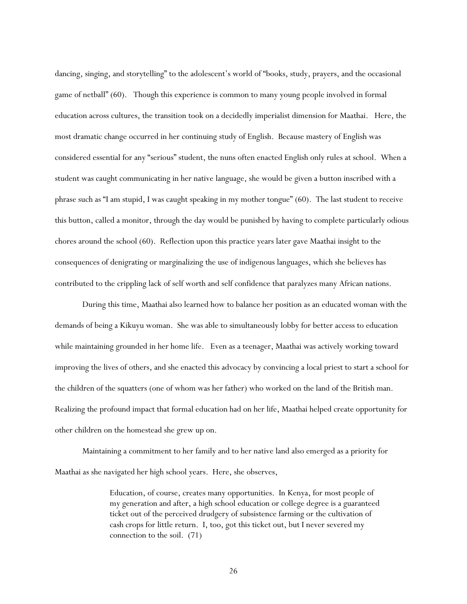dancing, singing, and storytelling" to the adolescent's world of "books, study, prayers, and the occasional game of netball" (60). Though this experience is common to many young people involved in formal education across cultures, the transition took on a decidedly imperialist dimension for Maathai. Here, the most dramatic change occurred in her continuing study of English. Because mastery of English was considered essential for any "serious" student, the nuns often enacted English only rules at school. When a student was caught communicating in her native language, she would be given a button inscribed with a phrase such as "I am stupid, I was caught speaking in my mother tongue" (60). The last student to receive this button, called a monitor, through the day would be punished by having to complete particularly odious chores around the school (60). Reflection upon this practice years later gave Maathai insight to the consequences of denigrating or marginalizing the use of indigenous languages, which she believes has contributed to the crippling lack of self worth and self confidence that paralyzes many African nations.

During this time, Maathai also learned how to balance her position as an educated woman with the demands of being a Kikuyu woman. She was able to simultaneously lobby for better access to education while maintaining grounded in her home life. Even as a teenager, Maathai was actively working toward improving the lives of others, and she enacted this advocacy by convincing a local priest to start a school for the children of the squatters (one of whom was her father) who worked on the land of the British man. Realizing the profound impact that formal education had on her life, Maathai helped create opportunity for other children on the homestead she grew up on.

Maintaining a commitment to her family and to her native land also emerged as a priority for Maathai as she navigated her high school years. Here, she observes,

> Education, of course, creates many opportunities. In Kenya, for most people of my generation and after, a high school education or college degree is a guaranteed ticket out of the perceived drudgery of subsistence farming or the cultivation of cash crops for little return. I, too, got this ticket out, but I never severed my connection to the soil. (71)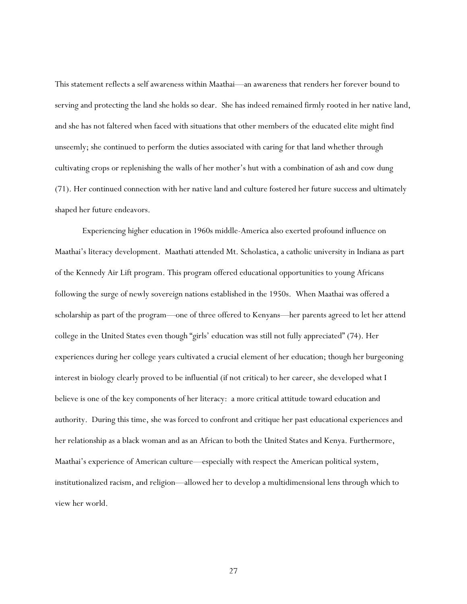This statement reflects a self awareness within Maathai—an awareness that renders her forever bound to serving and protecting the land she holds so dear. She has indeed remained firmly rooted in her native land, and she has not faltered when faced with situations that other members of the educated elite might find unseemly; she continued to perform the duties associated with caring for that land whether through cultivating crops or replenishing the walls of her mother's hut with a combination of ash and cow dung (71). Her continued connection with her native land and culture fostered her future success and ultimately shaped her future endeavors.

Experiencing higher education in 1960s middle-America also exerted profound influence on Maathai's literacy development. Maathati attended Mt. Scholastica, a catholic university in Indiana as part of the Kennedy Air Lift program. This program offered educational opportunities to young Africans following the surge of newly sovereign nations established in the 1950s. When Maathai was offered a scholarship as part of the program—one of three offered to Kenyans—her parents agreed to let her attend college in the United States even though "girls' education was still not fully appreciated" (74). Her experiences during her college years cultivated a crucial element of her education; though her burgeoning interest in biology clearly proved to be influential (if not critical) to her career, she developed what I believe is one of the key components of her literacy: a more critical attitude toward education and authority. During this time, she was forced to confront and critique her past educational experiences and her relationship as a black woman and as an African to both the United States and Kenya. Furthermore, Maathai's experience of American culture—especially with respect the American political system, institutionalized racism, and religion—allowed her to develop a multidimensional lens through which to view her world.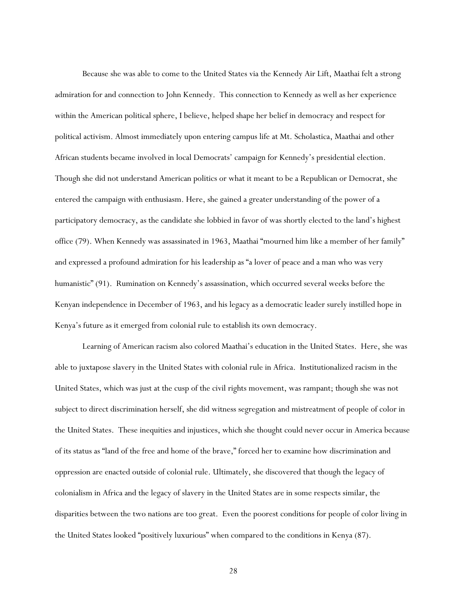Because she was able to come to the United States via the Kennedy Air Lift, Maathai felt a strong admiration for and connection to John Kennedy. This connection to Kennedy as well as her experience within the American political sphere, I believe, helped shape her belief in democracy and respect for political activism. Almost immediately upon entering campus life at Mt. Scholastica, Maathai and other African students became involved in local Democrats' campaign for Kennedy's presidential election. Though she did not understand American politics or what it meant to be a Republican or Democrat, she entered the campaign with enthusiasm. Here, she gained a greater understanding of the power of a participatory democracy, as the candidate she lobbied in favor of was shortly elected to the land's highest office (79). When Kennedy was assassinated in 1963, Maathai "mourned him like a member of her family" and expressed a profound admiration for his leadership as "a lover of peace and a man who was very humanistic" (91). Rumination on Kennedy's assassination, which occurred several weeks before the Kenyan independence in December of 1963, and his legacy as a democratic leader surely instilled hope in Kenya's future as it emerged from colonial rule to establish its own democracy.

Learning of American racism also colored Maathai's education in the United States. Here, she was able to juxtapose slavery in the United States with colonial rule in Africa. Institutionalized racism in the United States, which was just at the cusp of the civil rights movement, was rampant; though she was not subject to direct discrimination herself, she did witness segregation and mistreatment of people of color in the United States. These inequities and injustices, which she thought could never occur in America because of its status as "land of the free and home of the brave," forced her to examine how discrimination and oppression are enacted outside of colonial rule. Ultimately, she discovered that though the legacy of colonialism in Africa and the legacy of slavery in the United States are in some respects similar, the disparities between the two nations are too great. Even the poorest conditions for people of color living in the United States looked "positively luxurious" when compared to the conditions in Kenya (87).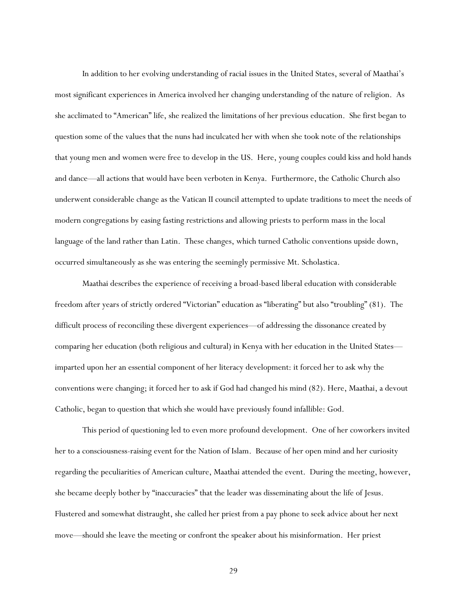In addition to her evolving understanding of racial issues in the United States, several of Maathai's most significant experiences in America involved her changing understanding of the nature of religion. As she acclimated to "American" life, she realized the limitations of her previous education. She first began to question some of the values that the nuns had inculcated her with when she took note of the relationships that young men and women were free to develop in the US. Here, young couples could kiss and hold hands and dance—all actions that would have been verboten in Kenya. Furthermore, the Catholic Church also underwent considerable change as the Vatican II council attempted to update traditions to meet the needs of modern congregations by easing fasting restrictions and allowing priests to perform mass in the local language of the land rather than Latin. These changes, which turned Catholic conventions upside down, occurred simultaneously as she was entering the seemingly permissive Mt. Scholastica.

Maathai describes the experience of receiving a broad-based liberal education with considerable freedom after years of strictly ordered "Victorian" education as "liberating" but also "troubling" (81). The difficult process of reconciling these divergent experiences—of addressing the dissonance created by comparing her education (both religious and cultural) in Kenya with her education in the United States imparted upon her an essential component of her literacy development: it forced her to ask why the conventions were changing; it forced her to ask if God had changed his mind (82). Here, Maathai, a devout Catholic, began to question that which she would have previously found infallible: God.

This period of questioning led to even more profound development. One of her coworkers invited her to a consciousness-raising event for the Nation of Islam. Because of her open mind and her curiosity regarding the peculiarities of American culture, Maathai attended the event. During the meeting, however, she became deeply bother by "inaccuracies" that the leader was disseminating about the life of Jesus. Flustered and somewhat distraught, she called her priest from a pay phone to seek advice about her next move—should she leave the meeting or confront the speaker about his misinformation. Her priest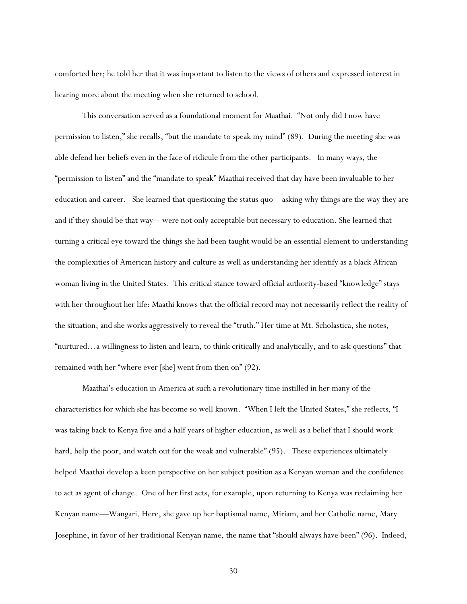comforted her; he told her that it was important to listen to the views of others and expressed interest in hearing more about the meeting when she returned to school.

This conversation served as a foundational moment for Maathai. "Not only did I now have permission to listen," she recalls, "but the mandate to speak my mind" (89). During the meeting she was able defend her beliefs even in the face of ridicule from the other participants. In many ways, the "permission to listen" and the "mandate to speak" Maathai received that day have been invaluable to her education and career. She learned that questioning the status quo—asking why things are the way they are and if they should be that way—were not only acceptable but necessary to education. She learned that turning a critical eye toward the things she had been taught would be an essential element to understanding the complexities of American history and culture as well as understanding her identify as a black African woman living in the United States. This critical stance toward official authority-based "knowledge" stays with her throughout her life: Maathi knows that the official record may not necessarily reflect the reality of the situation, and she works aggressively to reveal the "truth." Her time at Mt. Scholastica, she notes, "nurtured…a willingness to listen and learn, to think critically and analytically, and to ask questions" that remained with her "where ever [she] went from then on" (92).

Maathai's education in America at such a revolutionary time instilled in her many of the characteristics for which she has become so well known. "When I left the United States," she reflects, "I was taking back to Kenya five and a half years of higher education, as well as a belief that I should work hard, help the poor, and watch out for the weak and vulnerable" (95). These experiences ultimately helped Maathai develop a keen perspective on her subject position as a Kenyan woman and the confidence to act as agent of change. One of her first acts, for example, upon returning to Kenya was reclaiming her Kenyan name—Wangari. Here, she gave up her baptismal name, Miriam, and her Catholic name, Mary Josephine, in favor of her traditional Kenyan name, the name that "should always have been" (96). Indeed,

30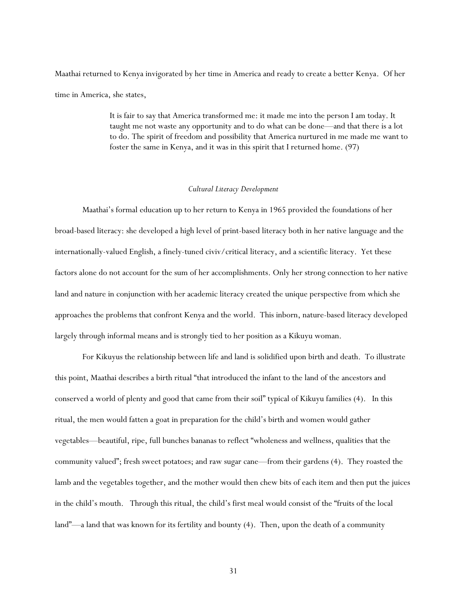Maathai returned to Kenya invigorated by her time in America and ready to create a better Kenya. Of her time in America, she states,

> It is fair to say that America transformed me: it made me into the person I am today. It taught me not waste any opportunity and to do what can be done—and that there is a lot to do. The spirit of freedom and possibility that America nurtured in me made me want to foster the same in Kenya, and it was in this spirit that I returned home. (97)

### *Cultural Literacy Development*

Maathai's formal education up to her return to Kenya in 1965 provided the foundations of her broad-based literacy: she developed a high level of print-based literacy both in her native language and the internationally-valued English, a finely-tuned civiv/critical literacy, and a scientific literacy. Yet these factors alone do not account for the sum of her accomplishments. Only her strong connection to her native land and nature in conjunction with her academic literacy created the unique perspective from which she approaches the problems that confront Kenya and the world. This inborn, nature-based literacy developed largely through informal means and is strongly tied to her position as a Kikuyu woman.

For Kikuyus the relationship between life and land is solidified upon birth and death. To illustrate this point, Maathai describes a birth ritual "that introduced the infant to the land of the ancestors and conserved a world of plenty and good that came from their soil" typical of Kikuyu families (4). In this ritual, the men would fatten a goat in preparation for the child's birth and women would gather vegetables—beautiful, ripe, full bunches bananas to reflect "wholeness and wellness, qualities that the community valued"; fresh sweet potatoes; and raw sugar cane—from their gardens (4). They roasted the lamb and the vegetables together, and the mother would then chew bits of each item and then put the juices in the child's mouth. Through this ritual, the child's first meal would consist of the "fruits of the local land"—a land that was known for its fertility and bounty (4). Then, upon the death of a community

31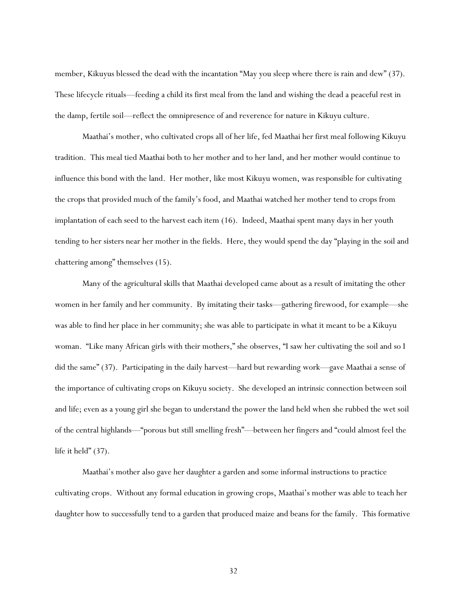member, Kikuyus blessed the dead with the incantation "May you sleep where there is rain and dew" (37). These lifecycle rituals—feeding a child its first meal from the land and wishing the dead a peaceful rest in the damp, fertile soil—reflect the omnipresence of and reverence for nature in Kikuyu culture.

Maathai's mother, who cultivated crops all of her life, fed Maathai her first meal following Kikuyu tradition. This meal tied Maathai both to her mother and to her land, and her mother would continue to influence this bond with the land. Her mother, like most Kikuyu women, was responsible for cultivating the crops that provided much of the family's food, and Maathai watched her mother tend to crops from implantation of each seed to the harvest each item (16). Indeed, Maathai spent many days in her youth tending to her sisters near her mother in the fields. Here, they would spend the day "playing in the soil and chattering among" themselves (15).

Many of the agricultural skills that Maathai developed came about as a result of imitating the other women in her family and her community. By imitating their tasks—gathering firewood, for example—she was able to find her place in her community; she was able to participate in what it meant to be a Kikuyu woman. "Like many African girls with their mothers," she observes, "I saw her cultivating the soil and so I did the same" (37). Participating in the daily harvest—hard but rewarding work—gave Maathai a sense of the importance of cultivating crops on Kikuyu society. She developed an intrinsic connection between soil and life; even as a young girl she began to understand the power the land held when she rubbed the wet soil of the central highlands—"porous but still smelling fresh"—between her fingers and "could almost feel the life it held" (37).

Maathai's mother also gave her daughter a garden and some informal instructions to practice cultivating crops. Without any formal education in growing crops, Maathai's mother was able to teach her daughter how to successfully tend to a garden that produced maize and beans for the family. This formative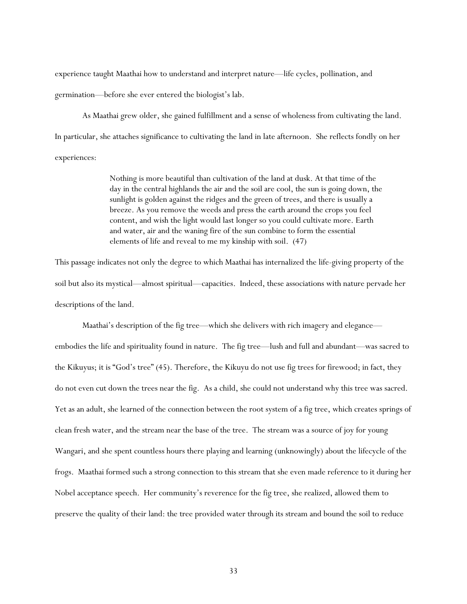experience taught Maathai how to understand and interpret nature—life cycles, pollination, and germination—before she ever entered the biologist's lab.

As Maathai grew older, she gained fulfillment and a sense of wholeness from cultivating the land. In particular, she attaches significance to cultivating the land in late afternoon. She reflects fondly on her experiences:

> Nothing is more beautiful than cultivation of the land at dusk. At that time of the day in the central highlands the air and the soil are cool, the sun is going down, the sunlight is golden against the ridges and the green of trees, and there is usually a breeze. As you remove the weeds and press the earth around the crops you feel content, and wish the light would last longer so you could cultivate more. Earth and water, air and the waning fire of the sun combine to form the essential elements of life and reveal to me my kinship with soil. (47)

This passage indicates not only the degree to which Maathai has internalized the life-giving property of the soil but also its mystical—almost spiritual—capacities. Indeed, these associations with nature pervade her descriptions of the land.

Maathai's description of the fig tree—which she delivers with rich imagery and elegance embodies the life and spirituality found in nature. The fig tree—lush and full and abundant—was sacred to the Kikuyus; it is "God's tree" (45). Therefore, the Kikuyu do not use fig trees for firewood; in fact, they do not even cut down the trees near the fig. As a child, she could not understand why this tree was sacred. Yet as an adult, she learned of the connection between the root system of a fig tree, which creates springs of clean fresh water, and the stream near the base of the tree. The stream was a source of joy for young Wangari, and she spent countless hours there playing and learning (unknowingly) about the lifecycle of the frogs. Maathai formed such a strong connection to this stream that she even made reference to it during her Nobel acceptance speech. Her community's reverence for the fig tree, she realized, allowed them to preserve the quality of their land: the tree provided water through its stream and bound the soil to reduce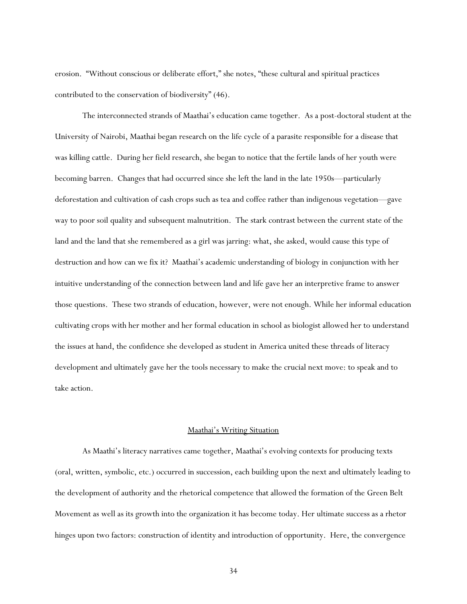erosion. "Without conscious or deliberate effort," she notes, "these cultural and spiritual practices contributed to the conservation of biodiversity" (46).

The interconnected strands of Maathai's education came together. As a post-doctoral student at the University of Nairobi, Maathai began research on the life cycle of a parasite responsible for a disease that was killing cattle. During her field research, she began to notice that the fertile lands of her youth were becoming barren. Changes that had occurred since she left the land in the late 1950s—particularly deforestation and cultivation of cash crops such as tea and coffee rather than indigenous vegetation—gave way to poor soil quality and subsequent malnutrition. The stark contrast between the current state of the land and the land that she remembered as a girl was jarring: what, she asked, would cause this type of destruction and how can we fix it? Maathai's academic understanding of biology in conjunction with her intuitive understanding of the connection between land and life gave her an interpretive frame to answer those questions. These two strands of education, however, were not enough. While her informal education cultivating crops with her mother and her formal education in school as biologist allowed her to understand the issues at hand, the confidence she developed as student in America united these threads of literacy development and ultimately gave her the tools necessary to make the crucial next move: to speak and to take action.

### Maathai's Writing Situation

As Maathi's literacy narratives came together, Maathai's evolving contexts for producing texts (oral, written, symbolic, etc.) occurred in succession, each building upon the next and ultimately leading to the development of authority and the rhetorical competence that allowed the formation of the Green Belt Movement as well as its growth into the organization it has become today. Her ultimate success as a rhetor hinges upon two factors: construction of identity and introduction of opportunity. Here, the convergence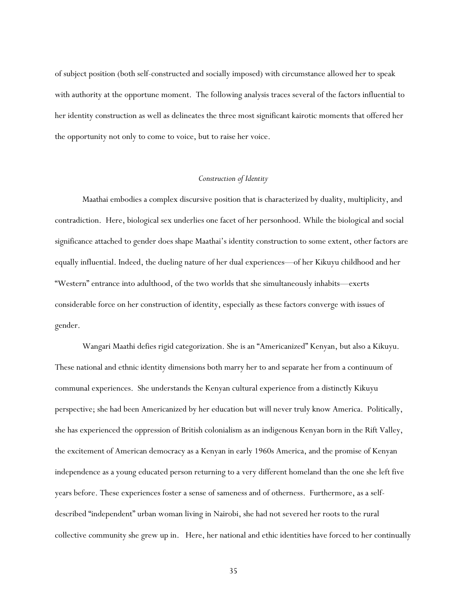of subject position (both self-constructed and socially imposed) with circumstance allowed her to speak with authority at the opportune moment. The following analysis traces several of the factors influential to her identity construction as well as delineates the three most significant kairotic moments that offered her the opportunity not only to come to voice, but to raise her voice.

## *Construction of Identity*

 Maathai embodies a complex discursive position that is characterized by duality, multiplicity, and contradiction. Here, biological sex underlies one facet of her personhood. While the biological and social significance attached to gender does shape Maathai's identity construction to some extent, other factors are equally influential. Indeed, the dueling nature of her dual experiences—of her Kikuyu childhood and her "Western" entrance into adulthood, of the two worlds that she simultaneously inhabits—exerts considerable force on her construction of identity, especially as these factors converge with issues of gender.

 Wangari Maathi defies rigid categorization. She is an "Americanized" Kenyan, but also a Kikuyu. These national and ethnic identity dimensions both marry her to and separate her from a continuum of communal experiences. She understands the Kenyan cultural experience from a distinctly Kikuyu perspective; she had been Americanized by her education but will never truly know America. Politically, she has experienced the oppression of British colonialism as an indigenous Kenyan born in the Rift Valley, the excitement of American democracy as a Kenyan in early 1960s America, and the promise of Kenyan independence as a young educated person returning to a very different homeland than the one she left five years before. These experiences foster a sense of sameness and of otherness. Furthermore, as a selfdescribed "independent" urban woman living in Nairobi, she had not severed her roots to the rural collective community she grew up in. Here, her national and ethic identities have forced to her continually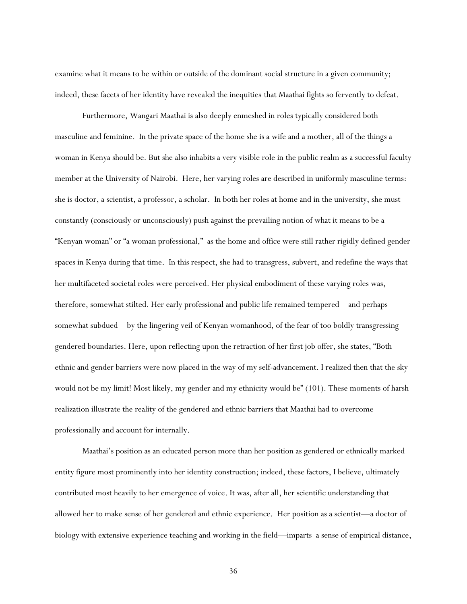examine what it means to be within or outside of the dominant social structure in a given community; indeed, these facets of her identity have revealed the inequities that Maathai fights so fervently to defeat.

Furthermore, Wangari Maathai is also deeply enmeshed in roles typically considered both masculine and feminine. In the private space of the home she is a wife and a mother, all of the things a woman in Kenya should be. But she also inhabits a very visible role in the public realm as a successful faculty member at the University of Nairobi. Here, her varying roles are described in uniformly masculine terms: she is doctor, a scientist, a professor, a scholar. In both her roles at home and in the university, she must constantly (consciously or unconsciously) push against the prevailing notion of what it means to be a "Kenyan woman" or "a woman professional," as the home and office were still rather rigidly defined gender spaces in Kenya during that time. In this respect, she had to transgress, subvert, and redefine the ways that her multifaceted societal roles were perceived. Her physical embodiment of these varying roles was, therefore, somewhat stilted. Her early professional and public life remained tempered—and perhaps somewhat subdued—by the lingering veil of Kenyan womanhood, of the fear of too boldly transgressing gendered boundaries. Here, upon reflecting upon the retraction of her first job offer, she states, "Both ethnic and gender barriers were now placed in the way of my self-advancement. I realized then that the sky would not be my limit! Most likely, my gender and my ethnicity would be" (101). These moments of harsh realization illustrate the reality of the gendered and ethnic barriers that Maathai had to overcome professionally and account for internally.

Maathai's position as an educated person more than her position as gendered or ethnically marked entity figure most prominently into her identity construction; indeed, these factors, I believe, ultimately contributed most heavily to her emergence of voice. It was, after all, her scientific understanding that allowed her to make sense of her gendered and ethnic experience. Her position as a scientist—a doctor of biology with extensive experience teaching and working in the field—imparts a sense of empirical distance,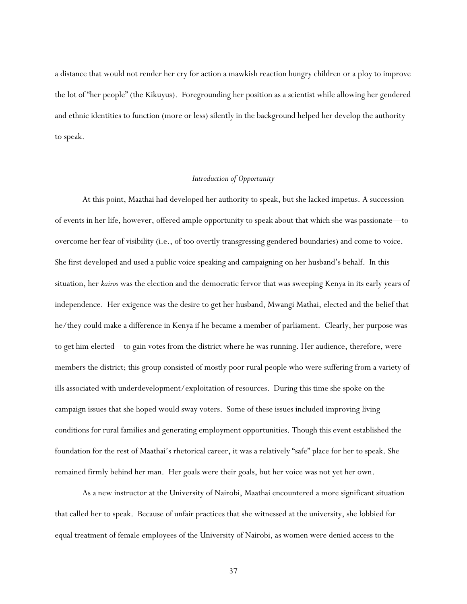a distance that would not render her cry for action a mawkish reaction hungry children or a ploy to improve the lot of "her people" (the Kikuyus). Foregrounding her position as a scientist while allowing her gendered and ethnic identities to function (more or less) silently in the background helped her develop the authority to speak.

## *Introduction of Opportunity*

At this point, Maathai had developed her authority to speak, but she lacked impetus. A succession of events in her life, however, offered ample opportunity to speak about that which she was passionate—to overcome her fear of visibility (i.e., of too overtly transgressing gendered boundaries) and come to voice. She first developed and used a public voice speaking and campaigning on her husband's behalf. In this situation, her *kairos* was the election and the democratic fervor that was sweeping Kenya in its early years of independence. Her exigence was the desire to get her husband, Mwangi Mathai, elected and the belief that he/they could make a difference in Kenya if he became a member of parliament. Clearly, her purpose was to get him elected—to gain votes from the district where he was running. Her audience, therefore, were members the district; this group consisted of mostly poor rural people who were suffering from a variety of ills associated with underdevelopment/exploitation of resources. During this time she spoke on the campaign issues that she hoped would sway voters. Some of these issues included improving living conditions for rural families and generating employment opportunities. Though this event established the foundation for the rest of Maathai's rhetorical career, it was a relatively "safe" place for her to speak. She remained firmly behind her man. Her goals were their goals, but her voice was not yet her own.

As a new instructor at the University of Nairobi, Maathai encountered a more significant situation that called her to speak. Because of unfair practices that she witnessed at the university, she lobbied for equal treatment of female employees of the University of Nairobi, as women were denied access to the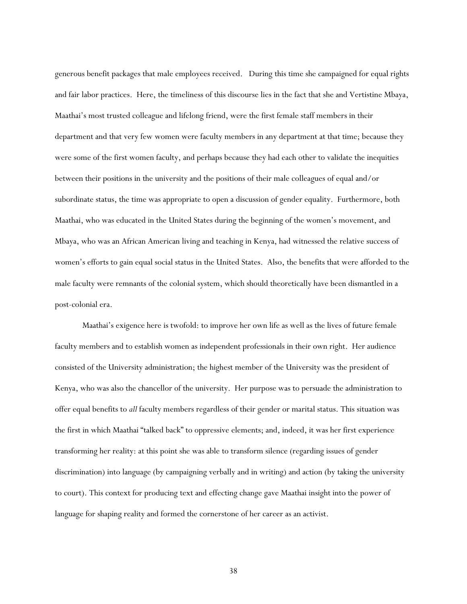generous benefit packages that male employees received. During this time she campaigned for equal rights and fair labor practices. Here, the timeliness of this discourse lies in the fact that she and Vertistine Mbaya, Maathai's most trusted colleague and lifelong friend, were the first female staff members in their department and that very few women were faculty members in any department at that time; because they were some of the first women faculty, and perhaps because they had each other to validate the inequities between their positions in the university and the positions of their male colleagues of equal and/or subordinate status, the time was appropriate to open a discussion of gender equality. Furthermore, both Maathai, who was educated in the United States during the beginning of the women's movement, and Mbaya, who was an African American living and teaching in Kenya, had witnessed the relative success of women's efforts to gain equal social status in the United States. Also, the benefits that were afforded to the male faculty were remnants of the colonial system, which should theoretically have been dismantled in a post-colonial era.

Maathai's exigence here is twofold: to improve her own life as well as the lives of future female faculty members and to establish women as independent professionals in their own right. Her audience consisted of the University administration; the highest member of the University was the president of Kenya, who was also the chancellor of the university. Her purpose was to persuade the administration to offer equal benefits to *all* faculty members regardless of their gender or marital status. This situation was the first in which Maathai "talked back" to oppressive elements; and, indeed, it was her first experience transforming her reality: at this point she was able to transform silence (regarding issues of gender discrimination) into language (by campaigning verbally and in writing) and action (by taking the university to court). This context for producing text and effecting change gave Maathai insight into the power of language for shaping reality and formed the cornerstone of her career as an activist.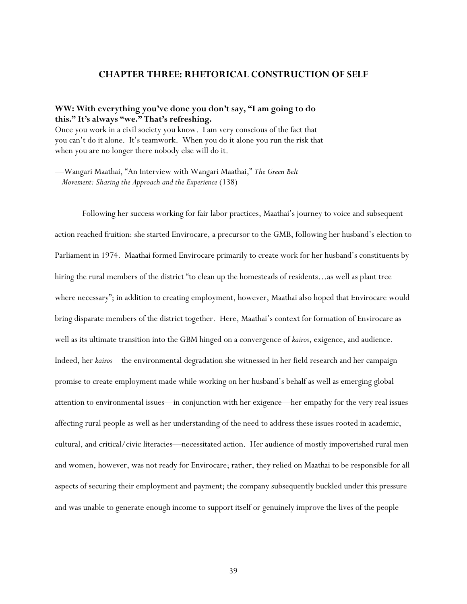## **CHAPTER THREE: RHETORICAL CONSTRUCTION OF SELF**

# **WW: With everything you've done you don't say, "I am going to do this." It's always "we." That's refreshing.**

Once you work in a civil society you know. I am very conscious of the fact that you can't do it alone. It's teamwork. When you do it alone you run the risk that when you are no longer there nobody else will do it.

—Wangari Maathai, "An Interview with Wangari Maathai," *The Green Belt Movement: Sharing the Approach and the Experience* (138)

Following her success working for fair labor practices, Maathai's journey to voice and subsequent action reached fruition: she started Envirocare, a precursor to the GMB, following her husband's election to Parliament in 1974. Maathai formed Envirocare primarily to create work for her husband's constituents by hiring the rural members of the district "to clean up the homesteads of residents...as well as plant tree where necessary"; in addition to creating employment, however, Maathai also hoped that Envirocare would bring disparate members of the district together. Here, Maathai's context for formation of Envirocare as well as its ultimate transition into the GBM hinged on a convergence of *kairos*, exigence, and audience. Indeed, her *kairos*—the environmental degradation she witnessed in her field research and her campaign promise to create employment made while working on her husband's behalf as well as emerging global attention to environmental issues—in conjunction with her exigence—her empathy for the very real issues affecting rural people as well as her understanding of the need to address these issues rooted in academic, cultural, and critical/civic literacies—necessitated action. Her audience of mostly impoverished rural men and women, however, was not ready for Envirocare; rather, they relied on Maathai to be responsible for all aspects of securing their employment and payment; the company subsequently buckled under this pressure and was unable to generate enough income to support itself or genuinely improve the lives of the people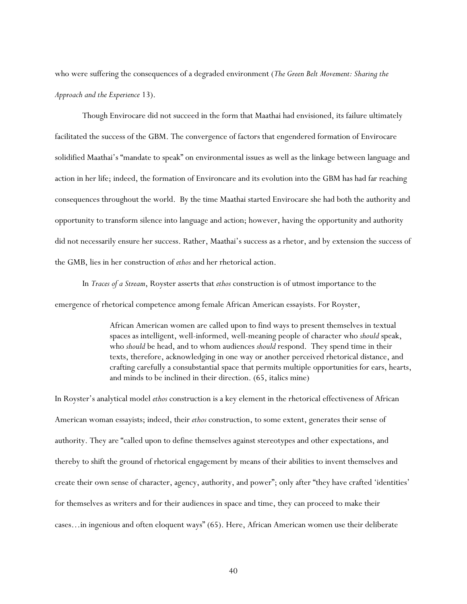who were suffering the consequences of a degraded environment (*The Green Belt Movement: Sharing the Approach and the Experience* 13).

Though Envirocare did not succeed in the form that Maathai had envisioned, its failure ultimately facilitated the success of the GBM. The convergence of factors that engendered formation of Envirocare solidified Maathai's "mandate to speak" on environmental issues as well as the linkage between language and action in her life; indeed, the formation of Environcare and its evolution into the GBM has had far reaching consequences throughout the world. By the time Maathai started Envirocare she had both the authority and opportunity to transform silence into language and action; however, having the opportunity and authority did not necessarily ensure her success. Rather, Maathai's success as a rhetor, and by extension the success of the GMB, lies in her construction of *ethos* and her rhetorical action.

In *Traces of a Stream*, Royster asserts that *ethos* construction is of utmost importance to the emergence of rhetorical competence among female African American essayists. For Royster,

> African American women are called upon to find ways to present themselves in textual spaces as intelligent, well-informed, well-meaning people of character who *should* speak, who *should* be head, and to whom audiences *should* respond. They spend time in their texts, therefore, acknowledging in one way or another perceived rhetorical distance, and crafting carefully a consubstantial space that permits multiple opportunities for ears, hearts, and minds to be inclined in their direction. (65, italics mine)

In Royster's analytical model *ethos* construction is a key element in the rhetorical effectiveness of African American woman essayists; indeed, their *ethos* construction, to some extent, generates their sense of authority. They are "called upon to define themselves against stereotypes and other expectations, and thereby to shift the ground of rhetorical engagement by means of their abilities to invent themselves and create their own sense of character, agency, authority, and power"; only after "they have crafted 'identities' for themselves as writers and for their audiences in space and time, they can proceed to make their cases…in ingenious and often eloquent ways" (65). Here, African American women use their deliberate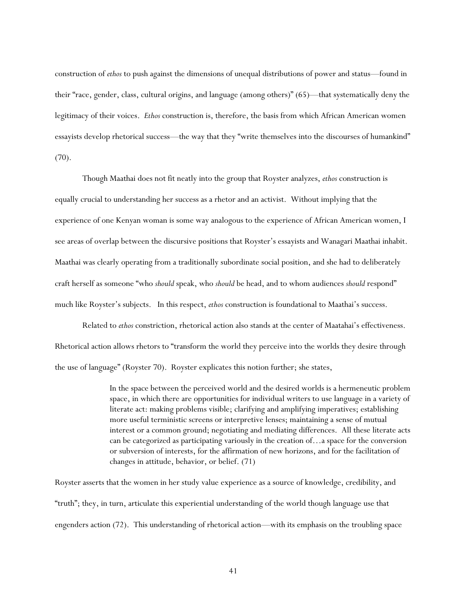construction of *ethos* to push against the dimensions of unequal distributions of power and status—found in their "race, gender, class, cultural origins, and language (among others)" (65)—that systematically deny the legitimacy of their voices. *Ethos* construction is, therefore, the basis from which African American women essayists develop rhetorical success—the way that they "write themselves into the discourses of humankind"  $(70).$ 

Though Maathai does not fit neatly into the group that Royster analyzes, *ethos* construction is equally crucial to understanding her success as a rhetor and an activist. Without implying that the experience of one Kenyan woman is some way analogous to the experience of African American women, I see areas of overlap between the discursive positions that Royster's essayists and Wanagari Maathai inhabit. Maathai was clearly operating from a traditionally subordinate social position, and she had to deliberately craft herself as someone "who *should* speak, who *should* be head, and to whom audiences *should* respond" much like Royster's subjects. In this respect, *ethos* construction is foundational to Maathai's success.

Related to *ethos* constriction, rhetorical action also stands at the center of Maatahai's effectiveness. Rhetorical action allows rhetors to "transform the world they perceive into the worlds they desire through the use of language" (Royster 70). Royster explicates this notion further; she states,

> In the space between the perceived world and the desired worlds is a hermeneutic problem space, in which there are opportunities for individual writers to use language in a variety of literate act: making problems visible; clarifying and amplifying imperatives; establishing more useful terministic screens or interpretive lenses; maintaining a sense of mutual interest or a common ground; negotiating and mediating differences. All these literate acts can be categorized as participating variously in the creation of…a space for the conversion or subversion of interests, for the affirmation of new horizons, and for the facilitation of changes in attitude, behavior, or belief. (71)

Royster asserts that the women in her study value experience as a source of knowledge, credibility, and "truth"; they, in turn, articulate this experiential understanding of the world though language use that engenders action (72). This understanding of rhetorical action—with its emphasis on the troubling space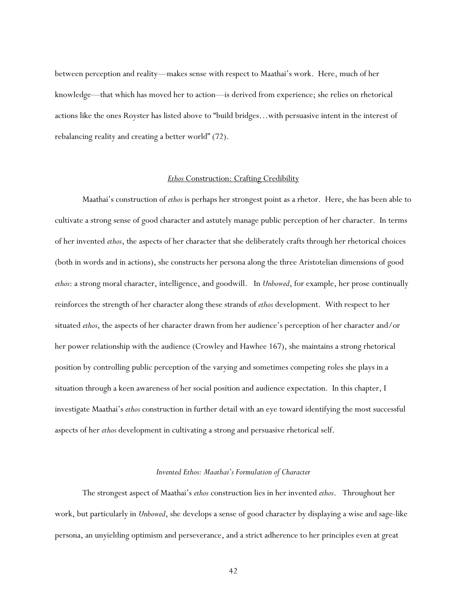between perception and reality—makes sense with respect to Maathai's work. Here, much of her knowledge—that which has moved her to action—is derived from experience; she relies on rhetorical actions like the ones Royster has listed above to "build bridges…with persuasive intent in the interest of rebalancing reality and creating a better world" (72).

### *Ethos* Construction: Crafting Credibility

 Maathai's construction of *ethos* is perhaps her strongest point as a rhetor. Here, she has been able to cultivate a strong sense of good character and astutely manage public perception of her character. In terms of her invented *ethos*, the aspects of her character that she deliberately crafts through her rhetorical choices (both in words and in actions), she constructs her persona along the three Aristotelian dimensions of good *ethos*: a strong moral character, intelligence, and goodwill. In *Unbowed*, for example, her prose continually reinforces the strength of her character along these strands of *ethos* development. With respect to her situated *ethos*, the aspects of her character drawn from her audience's perception of her character and/or her power relationship with the audience (Crowley and Hawhee 167), she maintains a strong rhetorical position by controlling public perception of the varying and sometimes competing roles she plays in a situation through a keen awareness of her social position and audience expectation. In this chapter, I investigate Maathai's *ethos* construction in further detail with an eye toward identifying the most successful aspects of her *ethos* development in cultivating a strong and persuasive rhetorical self.

#### *Invented Ethos: Maathai's Formulation of Character*

 The strongest aspect of Maathai's *ethos* construction lies in her invented *ethos*. Throughout her work, but particularly in *Unbowed*, she develops a sense of good character by displaying a wise and sage-like persona, an unyielding optimism and perseverance, and a strict adherence to her principles even at great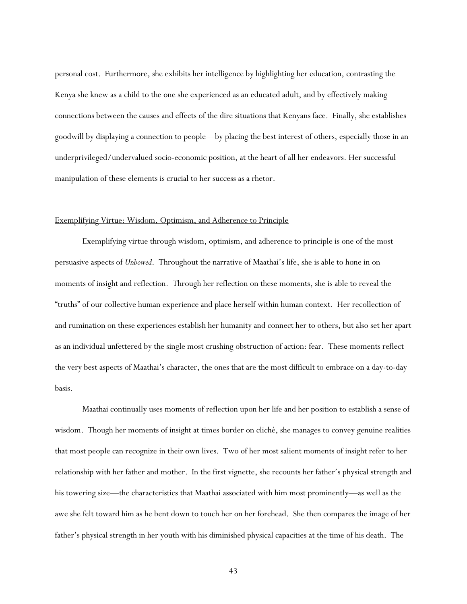personal cost. Furthermore, she exhibits her intelligence by highlighting her education, contrasting the Kenya she knew as a child to the one she experienced as an educated adult, and by effectively making connections between the causes and effects of the dire situations that Kenyans face. Finally, she establishes goodwill by displaying a connection to people—by placing the best interest of others, especially those in an underprivileged/undervalued socio-economic position, at the heart of all her endeavors. Her successful manipulation of these elements is crucial to her success as a rhetor.

### Exemplifying Virtue: Wisdom, Optimism, and Adherence to Principle

 Exemplifying virtue through wisdom, optimism, and adherence to principle is one of the most persuasive aspects of *Unbowed*. Throughout the narrative of Maathai's life, she is able to hone in on moments of insight and reflection. Through her reflection on these moments, she is able to reveal the "truths" of our collective human experience and place herself within human context. Her recollection of and rumination on these experiences establish her humanity and connect her to others, but also set her apart as an individual unfettered by the single most crushing obstruction of action: fear. These moments reflect the very best aspects of Maathai's character, the ones that are the most difficult to embrace on a day-to-day basis.

 Maathai continually uses moments of reflection upon her life and her position to establish a sense of wisdom. Though her moments of insight at times border on cliché, she manages to convey genuine realities that most people can recognize in their own lives. Two of her most salient moments of insight refer to her relationship with her father and mother. In the first vignette, she recounts her father's physical strength and his towering size—the characteristics that Maathai associated with him most prominently—as well as the awe she felt toward him as he bent down to touch her on her forehead. She then compares the image of her father's physical strength in her youth with his diminished physical capacities at the time of his death. The

43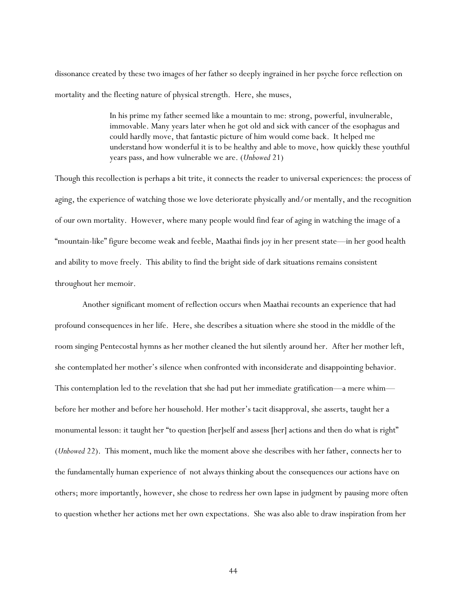dissonance created by these two images of her father so deeply ingrained in her psyche force reflection on mortality and the fleeting nature of physical strength. Here, she muses,

> In his prime my father seemed like a mountain to me: strong, powerful, invulnerable, immovable. Many years later when he got old and sick with cancer of the esophagus and could hardly move, that fantastic picture of him would come back. It helped me understand how wonderful it is to be healthy and able to move, how quickly these youthful years pass, and how vulnerable we are. (*Unbowed* 21)

Though this recollection is perhaps a bit trite, it connects the reader to universal experiences: the process of aging, the experience of watching those we love deteriorate physically and/or mentally, and the recognition of our own mortality. However, where many people would find fear of aging in watching the image of a "mountain-like" figure become weak and feeble, Maathai finds joy in her present state—in her good health and ability to move freely. This ability to find the bright side of dark situations remains consistent throughout her memoir.

 Another significant moment of reflection occurs when Maathai recounts an experience that had profound consequences in her life. Here, she describes a situation where she stood in the middle of the room singing Pentecostal hymns as her mother cleaned the hut silently around her. After her mother left, she contemplated her mother's silence when confronted with inconsiderate and disappointing behavior. This contemplation led to the revelation that she had put her immediate gratification—a mere whim before her mother and before her household. Her mother's tacit disapproval, she asserts, taught her a monumental lesson: it taught her "to question [her]self and assess [her] actions and then do what is right" (*Unbowed* 22). This moment, much like the moment above she describes with her father, connects her to the fundamentally human experience of not always thinking about the consequences our actions have on others; more importantly, however, she chose to redress her own lapse in judgment by pausing more often to question whether her actions met her own expectations. She was also able to draw inspiration from her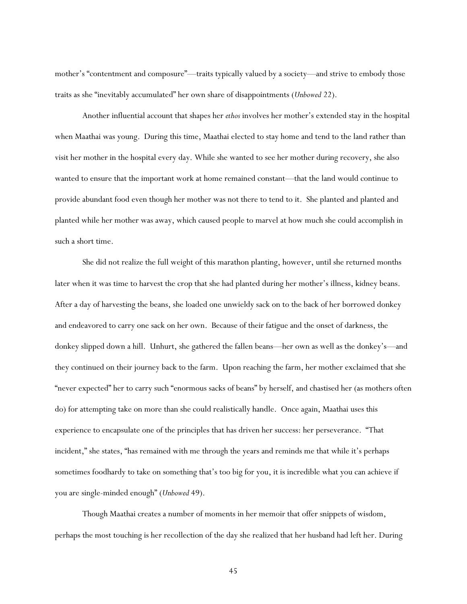mother's "contentment and composure"—traits typically valued by a society—and strive to embody those traits as she "inevitably accumulated" her own share of disappointments (*Unbowed* 22).

 Another influential account that shapes her *ethos* involves her mother's extended stay in the hospital when Maathai was young. During this time, Maathai elected to stay home and tend to the land rather than visit her mother in the hospital every day. While she wanted to see her mother during recovery, she also wanted to ensure that the important work at home remained constant—that the land would continue to provide abundant food even though her mother was not there to tend to it. She planted and planted and planted while her mother was away, which caused people to marvel at how much she could accomplish in such a short time.

She did not realize the full weight of this marathon planting, however, until she returned months later when it was time to harvest the crop that she had planted during her mother's illness, kidney beans. After a day of harvesting the beans, she loaded one unwieldy sack on to the back of her borrowed donkey and endeavored to carry one sack on her own. Because of their fatigue and the onset of darkness, the donkey slipped down a hill. Unhurt, she gathered the fallen beans—her own as well as the donkey's—and they continued on their journey back to the farm. Upon reaching the farm, her mother exclaimed that she "never expected" her to carry such "enormous sacks of beans" by herself, and chastised her (as mothers often do) for attempting take on more than she could realistically handle. Once again, Maathai uses this experience to encapsulate one of the principles that has driven her success: her perseverance. "That incident," she states, "has remained with me through the years and reminds me that while it's perhaps sometimes foodhardy to take on something that's too big for you, it is incredible what you can achieve if you are single-minded enough" (*Unbowed* 49).

Though Maathai creates a number of moments in her memoir that offer snippets of wisdom, perhaps the most touching is her recollection of the day she realized that her husband had left her. During

45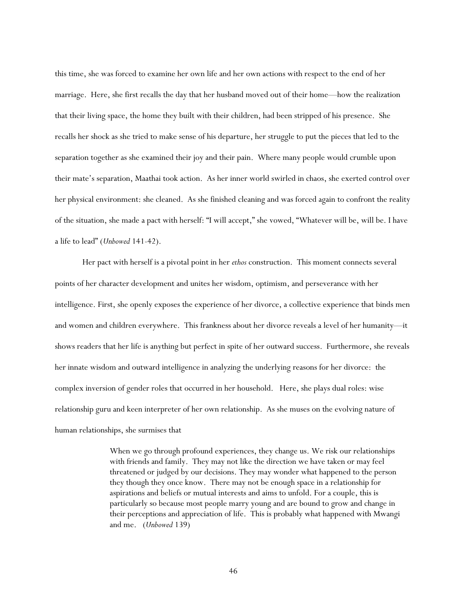this time, she was forced to examine her own life and her own actions with respect to the end of her marriage. Here, she first recalls the day that her husband moved out of their home—how the realization that their living space, the home they built with their children, had been stripped of his presence. She recalls her shock as she tried to make sense of his departure, her struggle to put the pieces that led to the separation together as she examined their joy and their pain. Where many people would crumble upon their mate's separation, Maathai took action. As her inner world swirled in chaos, she exerted control over her physical environment: she cleaned. As she finished cleaning and was forced again to confront the reality of the situation, she made a pact with herself: "I will accept," she vowed, "Whatever will be, will be. I have a life to lead" (*Unbowed* 141-42).

Her pact with herself is a pivotal point in her *ethos* construction. This moment connects several points of her character development and unites her wisdom, optimism, and perseverance with her intelligence. First, she openly exposes the experience of her divorce, a collective experience that binds men and women and children everywhere. This frankness about her divorce reveals a level of her humanity—it shows readers that her life is anything but perfect in spite of her outward success. Furthermore, she reveals her innate wisdom and outward intelligence in analyzing the underlying reasons for her divorce: the complex inversion of gender roles that occurred in her household. Here, she plays dual roles: wise relationship guru and keen interpreter of her own relationship. As she muses on the evolving nature of human relationships, she surmises that

> When we go through profound experiences, they change us. We risk our relationships with friends and family. They may not like the direction we have taken or may feel threatened or judged by our decisions. They may wonder what happened to the person they though they once know. There may not be enough space in a relationship for aspirations and beliefs or mutual interests and aims to unfold. For a couple, this is particularly so because most people marry young and are bound to grow and change in their perceptions and appreciation of life. This is probably what happened with Mwangi and me. (*Unbowed* 139)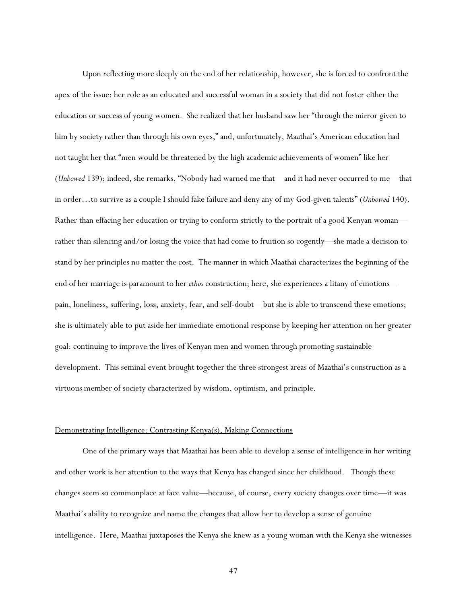Upon reflecting more deeply on the end of her relationship, however, she is forced to confront the apex of the issue: her role as an educated and successful woman in a society that did not foster either the education or success of young women. She realized that her husband saw her "through the mirror given to him by society rather than through his own eyes," and, unfortunately, Maathai's American education had not taught her that "men would be threatened by the high academic achievements of women" like her (*Unbowed* 139); indeed, she remarks, "Nobody had warned me that—and it had never occurred to me—that in order…to survive as a couple I should fake failure and deny any of my God-given talents" (*Unbowed* 140). Rather than effacing her education or trying to conform strictly to the portrait of a good Kenyan woman rather than silencing and/or losing the voice that had come to fruition so cogently—she made a decision to stand by her principles no matter the cost. The manner in which Maathai characterizes the beginning of the end of her marriage is paramount to her *ethos* construction; here, she experiences a litany of emotions pain, loneliness, suffering, loss, anxiety, fear, and self-doubt—but she is able to transcend these emotions; she is ultimately able to put aside her immediate emotional response by keeping her attention on her greater goal: continuing to improve the lives of Kenyan men and women through promoting sustainable development. This seminal event brought together the three strongest areas of Maathai's construction as a virtuous member of society characterized by wisdom, optimism, and principle.

#### Demonstrating Intelligence: Contrasting Kenya(s), Making Connections

One of the primary ways that Maathai has been able to develop a sense of intelligence in her writing and other work is her attention to the ways that Kenya has changed since her childhood. Though these changes seem so commonplace at face value—because, of course, every society changes over time—it was Maathai's ability to recognize and name the changes that allow her to develop a sense of genuine intelligence. Here, Maathai juxtaposes the Kenya she knew as a young woman with the Kenya she witnesses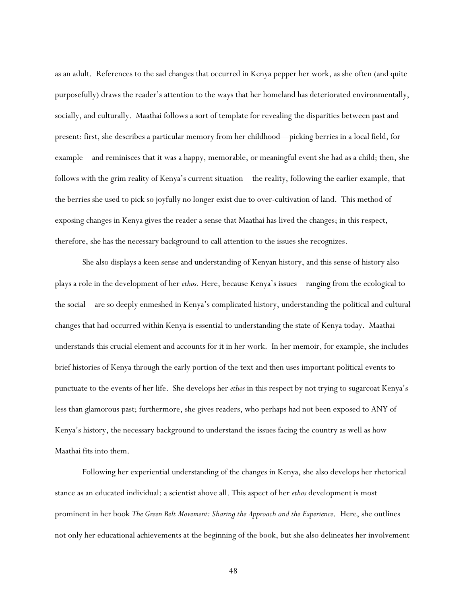as an adult. References to the sad changes that occurred in Kenya pepper her work, as she often (and quite purposefully) draws the reader's attention to the ways that her homeland has deteriorated environmentally, socially, and culturally. Maathai follows a sort of template for revealing the disparities between past and present: first, she describes a particular memory from her childhood—picking berries in a local field, for example—and reminisces that it was a happy, memorable, or meaningful event she had as a child; then, she follows with the grim reality of Kenya's current situation—the reality, following the earlier example, that the berries she used to pick so joyfully no longer exist due to over-cultivation of land. This method of exposing changes in Kenya gives the reader a sense that Maathai has lived the changes; in this respect, therefore, she has the necessary background to call attention to the issues she recognizes.

She also displays a keen sense and understanding of Kenyan history, and this sense of history also plays a role in the development of her *ethos*. Here, because Kenya's issues—ranging from the ecological to the social—are so deeply enmeshed in Kenya's complicated history, understanding the political and cultural changes that had occurred within Kenya is essential to understanding the state of Kenya today. Maathai understands this crucial element and accounts for it in her work. In her memoir, for example, she includes brief histories of Kenya through the early portion of the text and then uses important political events to punctuate to the events of her life. She develops her *ethos* in this respect by not trying to sugarcoat Kenya's less than glamorous past; furthermore, she gives readers, who perhaps had not been exposed to ANY of Kenya's history, the necessary background to understand the issues facing the country as well as how Maathai fits into them.

Following her experiential understanding of the changes in Kenya, she also develops her rhetorical stance as an educated individual: a scientist above all. This aspect of her *ethos* development is most prominent in her book *The Green Belt Movement: Sharing the Approach and the Experience*. Here, she outlines not only her educational achievements at the beginning of the book, but she also delineates her involvement

48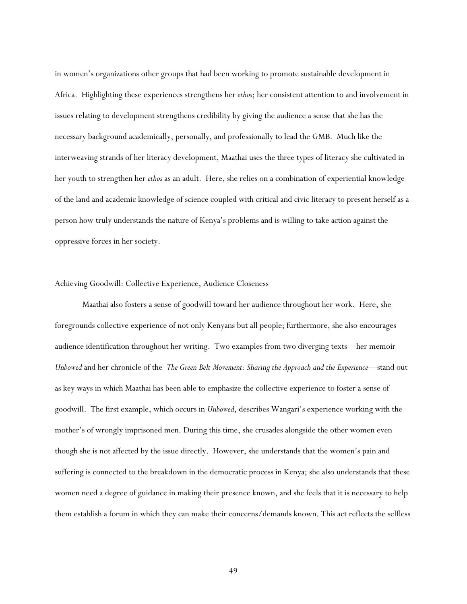in women's organizations other groups that had been working to promote sustainable development in Africa. Highlighting these experiences strengthens her *ethos*; her consistent attention to and involvement in issues relating to development strengthens credibility by giving the audience a sense that she has the necessary background academically, personally, and professionally to lead the GMB. Much like the interweaving strands of her literacy development, Maathai uses the three types of literacy she cultivated in her youth to strengthen her *ethos* as an adult. Here, she relies on a combination of experiential knowledge of the land and academic knowledge of science coupled with critical and civic literacy to present herself as a person how truly understands the nature of Kenya's problems and is willing to take action against the oppressive forces in her society.

### Achieving Goodwill: Collective Experience, Audience Closeness

 Maathai also fosters a sense of goodwill toward her audience throughout her work. Here, she foregrounds collective experience of not only Kenyans but all people; furthermore, she also encourages audience identification throughout her writing. Two examples from two diverging texts—her memoir *Unbowed* and her chronicle of the *The Green Belt Movement: Sharing the Approach and the Experience*—stand out as key ways in which Maathai has been able to emphasize the collective experience to foster a sense of goodwill. The first example, which occurs in *Unbowed*, describes Wangari's experience working with the mother's of wrongly imprisoned men. During this time, she crusades alongside the other women even though she is not affected by the issue directly. However, she understands that the women's pain and suffering is connected to the breakdown in the democratic process in Kenya; she also understands that these women need a degree of guidance in making their presence known, and she feels that it is necessary to help them establish a forum in which they can make their concerns/demands known. This act reflects the selfless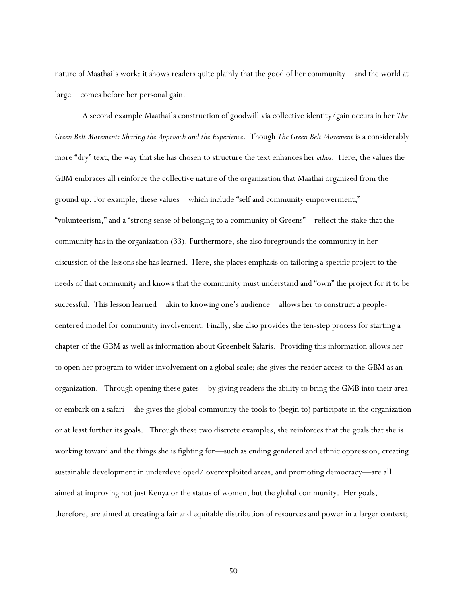nature of Maathai's work: it shows readers quite plainly that the good of her community—and the world at large—comes before her personal gain.

A second example Maathai's construction of goodwill via collective identity/gain occurs in her *The Green Belt Movement: Sharing the Approach and the Experience*. Though *The Green Belt Movement* is a considerably more "dry" text, the way that she has chosen to structure the text enhances her *ethos*. Here, the values the GBM embraces all reinforce the collective nature of the organization that Maathai organized from the ground up. For example, these values—which include "self and community empowerment," "volunteerism," and a "strong sense of belonging to a community of Greens"—reflect the stake that the community has in the organization (33). Furthermore, she also foregrounds the community in her discussion of the lessons she has learned. Here, she places emphasis on tailoring a specific project to the needs of that community and knows that the community must understand and "own" the project for it to be successful. This lesson learned—akin to knowing one's audience—allows her to construct a peoplecentered model for community involvement. Finally, she also provides the ten-step process for starting a chapter of the GBM as well as information about Greenbelt Safaris. Providing this information allows her to open her program to wider involvement on a global scale; she gives the reader access to the GBM as an organization. Through opening these gates—by giving readers the ability to bring the GMB into their area or embark on a safari—she gives the global community the tools to (begin to) participate in the organization or at least further its goals. Through these two discrete examples, she reinforces that the goals that she is working toward and the things she is fighting for—such as ending gendered and ethnic oppression, creating sustainable development in underdeveloped/ overexploited areas, and promoting democracy—are all aimed at improving not just Kenya or the status of women, but the global community. Her goals, therefore, are aimed at creating a fair and equitable distribution of resources and power in a larger context;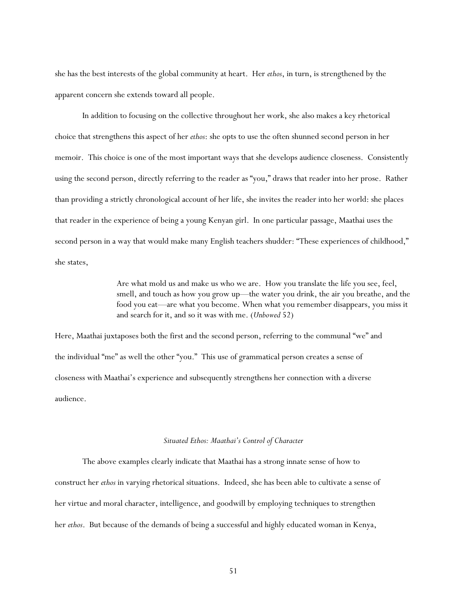she has the best interests of the global community at heart. Her *ethos*, in turn, is strengthened by the apparent concern she extends toward all people.

In addition to focusing on the collective throughout her work, she also makes a key rhetorical choice that strengthens this aspect of her *ethos*: she opts to use the often shunned second person in her memoir. This choice is one of the most important ways that she develops audience closeness. Consistently using the second person, directly referring to the reader as "you," draws that reader into her prose. Rather than providing a strictly chronological account of her life, she invites the reader into her world: she places that reader in the experience of being a young Kenyan girl. In one particular passage, Maathai uses the second person in a way that would make many English teachers shudder: "These experiences of childhood," she states,

> Are what mold us and make us who we are. How you translate the life you see, feel, smell, and touch as how you grow up—the water you drink, the air you breathe, and the food you eat—are what you become. When what you remember disappears, you miss it and search for it, and so it was with me. (*Unbowed* 52)

Here, Maathai juxtaposes both the first and the second person, referring to the communal "we" and the individual "me" as well the other "you." This use of grammatical person creates a sense of closeness with Maathai's experience and subsequently strengthens her connection with a diverse audience.

## *Situated Ethos: Maathai's Control of Character*

The above examples clearly indicate that Maathai has a strong innate sense of how to construct her *ethos* in varying rhetorical situations. Indeed, she has been able to cultivate a sense of her virtue and moral character, intelligence, and goodwill by employing techniques to strengthen her *ethos*. But because of the demands of being a successful and highly educated woman in Kenya,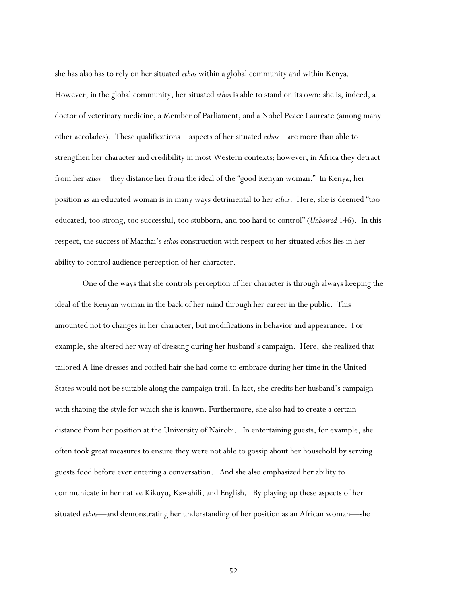she has also has to rely on her situated *ethos* within a global community and within Kenya. However, in the global community, her situated *ethos* is able to stand on its own: she is, indeed, a doctor of veterinary medicine, a Member of Parliament, and a Nobel Peace Laureate (among many other accolades). These qualifications—aspects of her situated *ethos*—are more than able to strengthen her character and credibility in most Western contexts; however, in Africa they detract from her *ethos*—they distance her from the ideal of the "good Kenyan woman." In Kenya, her position as an educated woman is in many ways detrimental to her *ethos*. Here, she is deemed "too educated, too strong, too successful, too stubborn, and too hard to control" (*Unbowed* 146). In this respect, the success of Maathai's *ethos* construction with respect to her situated *ethos* lies in her ability to control audience perception of her character.

One of the ways that she controls perception of her character is through always keeping the ideal of the Kenyan woman in the back of her mind through her career in the public. This amounted not to changes in her character, but modifications in behavior and appearance. For example, she altered her way of dressing during her husband's campaign. Here, she realized that tailored A-line dresses and coiffed hair she had come to embrace during her time in the United States would not be suitable along the campaign trail. In fact, she credits her husband's campaign with shaping the style for which she is known. Furthermore, she also had to create a certain distance from her position at the University of Nairobi. In entertaining guests, for example, she often took great measures to ensure they were not able to gossip about her household by serving guests food before ever entering a conversation. And she also emphasized her ability to communicate in her native Kikuyu, Kswahili, and English. By playing up these aspects of her situated *ethos*—and demonstrating her understanding of her position as an African woman—she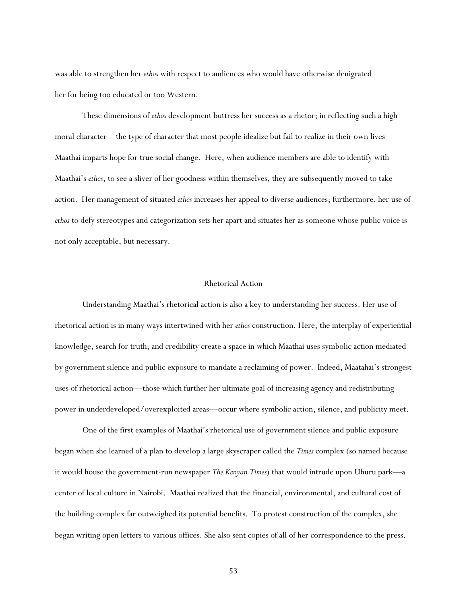was able to strengthen her *ethos* with respect to audiences who would have otherwise denigrated her for being too educated or too Western.

These dimensions of *ethos* development buttress her success as a rhetor; in reflecting such a high moral character—the type of character that most people idealize but fail to realize in their own lives— Maathai imparts hope for true social change. Here, when audience members are able to identify with Maathai's *ethos*, to see a sliver of her goodness within themselves, they are subsequently moved to take action. Her management of situated *ethos* increases her appeal to diverse audiences; furthermore, her use of *ethos* to defy stereotypes and categorization sets her apart and situates her as someone whose public voice is not only acceptable, but necessary.

### Rhetorical Action

Understanding Maathai's rhetorical action is also a key to understanding her success. Her use of rhetorical action is in many ways intertwined with her *ethos* construction. Here, the interplay of experiential knowledge, search for truth, and credibility create a space in which Maathai uses symbolic action mediated by government silence and public exposure to mandate a reclaiming of power. Indeed, Maatahai's strongest uses of rhetorical action—those which further her ultimate goal of increasing agency and redistributing power in underdeveloped/overexploited areas—occur where symbolic action, silence, and publicity meet.

One of the first examples of Maathai's rhetorical use of government silence and public exposure began when she learned of a plan to develop a large skyscraper called the *Times* complex (so named because it would house the government-run newspaper *The Kenyan Times*) that would intrude upon Uhuru park—a center of local culture in Nairobi. Maathai realized that the financial, environmental, and cultural cost of the building complex far outweighed its potential benefits. To protest construction of the complex, she began writing open letters to various offices. She also sent copies of all of her correspondence to the press.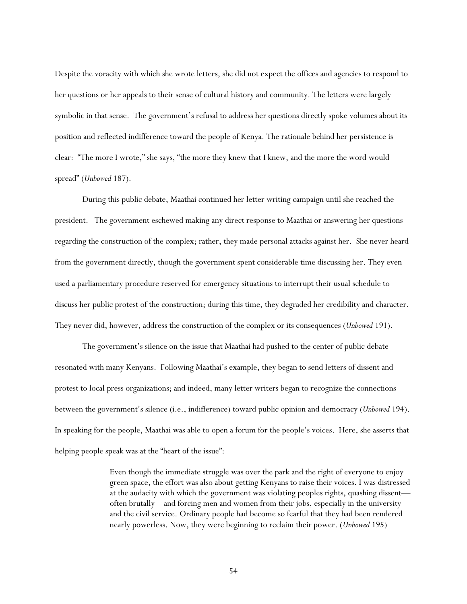Despite the voracity with which she wrote letters, she did not expect the offices and agencies to respond to her questions or her appeals to their sense of cultural history and community. The letters were largely symbolic in that sense. The government's refusal to address her questions directly spoke volumes about its position and reflected indifference toward the people of Kenya. The rationale behind her persistence is clear: "The more I wrote," she says, "the more they knew that I knew, and the more the word would spread" (*Unbowed* 187).

During this public debate, Maathai continued her letter writing campaign until she reached the president. The government eschewed making any direct response to Maathai or answering her questions regarding the construction of the complex; rather, they made personal attacks against her. She never heard from the government directly, though the government spent considerable time discussing her. They even used a parliamentary procedure reserved for emergency situations to interrupt their usual schedule to discuss her public protest of the construction; during this time, they degraded her credibility and character. They never did, however, address the construction of the complex or its consequences (*Unbowed* 191).

The government's silence on the issue that Maathai had pushed to the center of public debate resonated with many Kenyans. Following Maathai's example, they began to send letters of dissent and protest to local press organizations; and indeed, many letter writers began to recognize the connections between the government's silence (i.e., indifference) toward public opinion and democracy (*Unbowed* 194). In speaking for the people, Maathai was able to open a forum for the people's voices. Here, she asserts that helping people speak was at the "heart of the issue":

> Even though the immediate struggle was over the park and the right of everyone to enjoy green space, the effort was also about getting Kenyans to raise their voices. I was distressed at the audacity with which the government was violating peoples rights, quashing dissent often brutally—and forcing men and women from their jobs, especially in the university and the civil service. Ordinary people had become so fearful that they had been rendered nearly powerless. Now, they were beginning to reclaim their power. (*Unbowed* 195)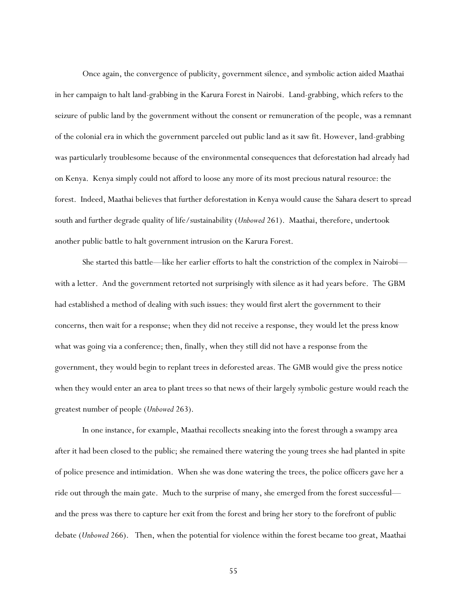Once again, the convergence of publicity, government silence, and symbolic action aided Maathai in her campaign to halt land-grabbing in the Karura Forest in Nairobi. Land-grabbing, which refers to the seizure of public land by the government without the consent or remuneration of the people, was a remnant of the colonial era in which the government parceled out public land as it saw fit. However, land-grabbing was particularly troublesome because of the environmental consequences that deforestation had already had on Kenya. Kenya simply could not afford to loose any more of its most precious natural resource: the forest. Indeed, Maathai believes that further deforestation in Kenya would cause the Sahara desert to spread south and further degrade quality of life/sustainability (*Unbowed* 261). Maathai, therefore, undertook another public battle to halt government intrusion on the Karura Forest.

She started this battle—like her earlier efforts to halt the constriction of the complex in Nairobi with a letter. And the government retorted not surprisingly with silence as it had years before. The GBM had established a method of dealing with such issues: they would first alert the government to their concerns, then wait for a response; when they did not receive a response, they would let the press know what was going via a conference; then, finally, when they still did not have a response from the government, they would begin to replant trees in deforested areas. The GMB would give the press notice when they would enter an area to plant trees so that news of their largely symbolic gesture would reach the greatest number of people (*Unbowed* 263).

In one instance, for example, Maathai recollects sneaking into the forest through a swampy area after it had been closed to the public; she remained there watering the young trees she had planted in spite of police presence and intimidation. When she was done watering the trees, the police officers gave her a ride out through the main gate. Much to the surprise of many, she emerged from the forest successful and the press was there to capture her exit from the forest and bring her story to the forefront of public debate (*Unbowed* 266). Then, when the potential for violence within the forest became too great, Maathai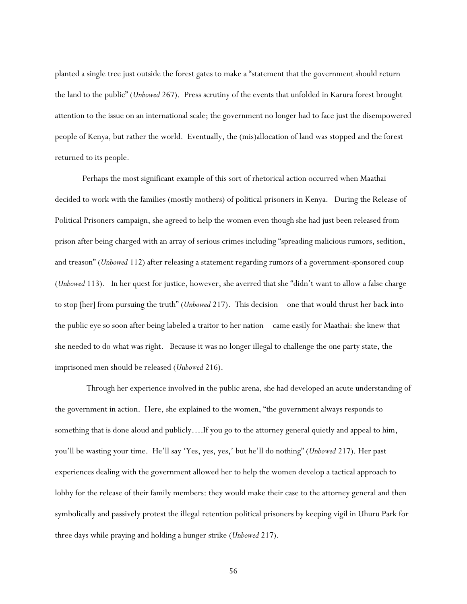planted a single tree just outside the forest gates to make a "statement that the government should return the land to the public" (*Unbowed* 267). Press scrutiny of the events that unfolded in Karura forest brought attention to the issue on an international scale; the government no longer had to face just the disempowered people of Kenya, but rather the world. Eventually, the (mis)allocation of land was stopped and the forest returned to its people.

Perhaps the most significant example of this sort of rhetorical action occurred when Maathai decided to work with the families (mostly mothers) of political prisoners in Kenya. During the Release of Political Prisoners campaign, she agreed to help the women even though she had just been released from prison after being charged with an array of serious crimes including "spreading malicious rumors, sedition, and treason" (*Unbowed* 112) after releasing a statement regarding rumors of a government-sponsored coup (*Unbowed* 113). In her quest for justice, however, she averred that she "didn't want to allow a false charge to stop [her] from pursuing the truth" (*Unbowed* 217). This decision—one that would thrust her back into the public eye so soon after being labeled a traitor to her nation—came easily for Maathai: she knew that she needed to do what was right. Because it was no longer illegal to challenge the one party state, the imprisoned men should be released (*Unbowed* 216).

 Through her experience involved in the public arena, she had developed an acute understanding of the government in action. Here, she explained to the women, "the government always responds to something that is done aloud and publicly….If you go to the attorney general quietly and appeal to him, you'll be wasting your time. He'll say 'Yes, yes, yes,' but he'll do nothing" (*Unbowed* 217). Her past experiences dealing with the government allowed her to help the women develop a tactical approach to lobby for the release of their family members: they would make their case to the attorney general and then symbolically and passively protest the illegal retention political prisoners by keeping vigil in Uhuru Park for three days while praying and holding a hunger strike (*Unbowed* 217).

56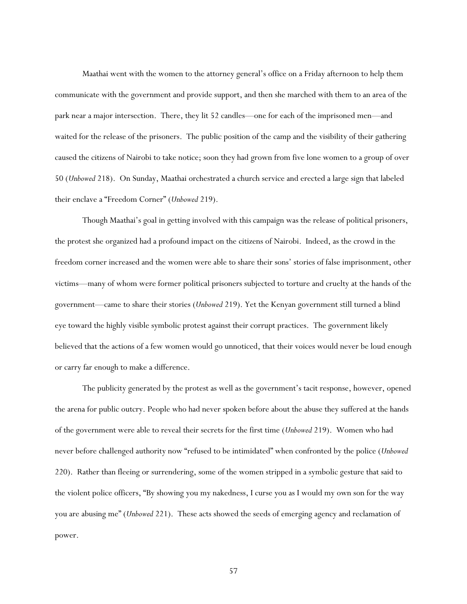Maathai went with the women to the attorney general's office on a Friday afternoon to help them communicate with the government and provide support, and then she marched with them to an area of the park near a major intersection. There, they lit 52 candles—one for each of the imprisoned men—and waited for the release of the prisoners. The public position of the camp and the visibility of their gathering caused the citizens of Nairobi to take notice; soon they had grown from five lone women to a group of over 50 (*Unbowed* 218). On Sunday, Maathai orchestrated a church service and erected a large sign that labeled their enclave a "Freedom Corner" (*Unbowed* 219).

Though Maathai's goal in getting involved with this campaign was the release of political prisoners, the protest she organized had a profound impact on the citizens of Nairobi. Indeed, as the crowd in the freedom corner increased and the women were able to share their sons' stories of false imprisonment, other victims—many of whom were former political prisoners subjected to torture and cruelty at the hands of the government—came to share their stories (*Unbowed* 219). Yet the Kenyan government still turned a blind eye toward the highly visible symbolic protest against their corrupt practices. The government likely believed that the actions of a few women would go unnoticed, that their voices would never be loud enough or carry far enough to make a difference.

The publicity generated by the protest as well as the government's tacit response, however, opened the arena for public outcry. People who had never spoken before about the abuse they suffered at the hands of the government were able to reveal their secrets for the first time (*Unbowed* 219). Women who had never before challenged authority now "refused to be intimidated" when confronted by the police (*Unbowed* 220). Rather than fleeing or surrendering, some of the women stripped in a symbolic gesture that said to the violent police officers, "By showing you my nakedness, I curse you as I would my own son for the way you are abusing me" (*Unbowed* 221). These acts showed the seeds of emerging agency and reclamation of power.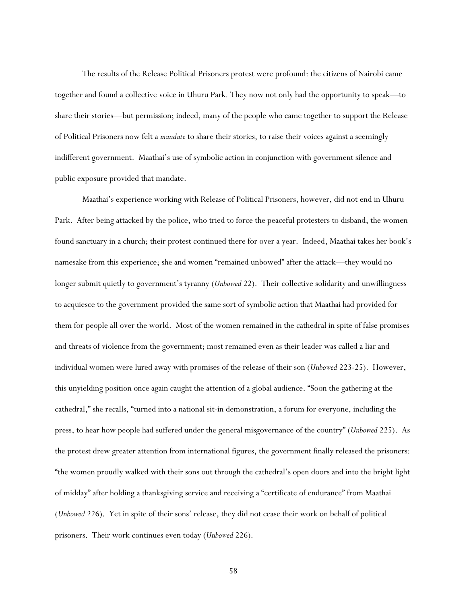The results of the Release Political Prisoners protest were profound: the citizens of Nairobi came together and found a collective voice in Uhuru Park. They now not only had the opportunity to speak—to share their stories—but permission; indeed, many of the people who came together to support the Release of Political Prisoners now felt a *mandate* to share their stories, to raise their voices against a seemingly indifferent government. Maathai's use of symbolic action in conjunction with government silence and public exposure provided that mandate.

Maathai's experience working with Release of Political Prisoners, however, did not end in Uhuru Park. After being attacked by the police, who tried to force the peaceful protesters to disband, the women found sanctuary in a church; their protest continued there for over a year. Indeed, Maathai takes her book's namesake from this experience; she and women "remained unbowed" after the attack—they would no longer submit quietly to government's tyranny (*Unbowed* 22). Their collective solidarity and unwillingness to acquiesce to the government provided the same sort of symbolic action that Maathai had provided for them for people all over the world. Most of the women remained in the cathedral in spite of false promises and threats of violence from the government; most remained even as their leader was called a liar and individual women were lured away with promises of the release of their son (*Unbowed* 223-25). However, this unyielding position once again caught the attention of a global audience. "Soon the gathering at the cathedral," she recalls, "turned into a national sit-in demonstration, a forum for everyone, including the press, to hear how people had suffered under the general misgovernance of the country" (*Unbowed* 225). As the protest drew greater attention from international figures, the government finally released the prisoners: "the women proudly walked with their sons out through the cathedral's open doors and into the bright light of midday" after holding a thanksgiving service and receiving a "certificate of endurance" from Maathai (*Unbowed* 226). Yet in spite of their sons' release, they did not cease their work on behalf of political prisoners. Their work continues even today (*Unbowed* 226).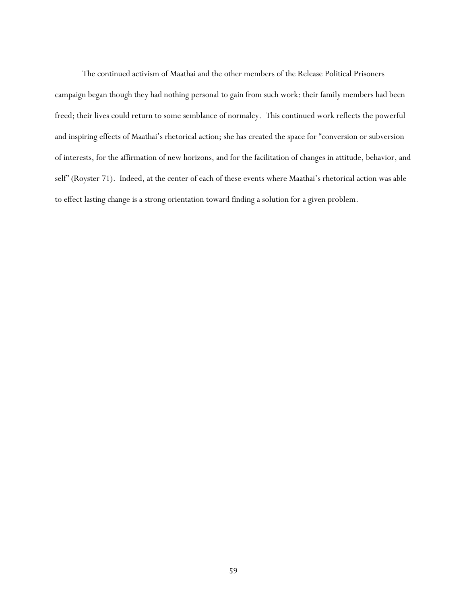The continued activism of Maathai and the other members of the Release Political Prisoners campaign began though they had nothing personal to gain from such work: their family members had been freed; their lives could return to some semblance of normalcy. This continued work reflects the powerful and inspiring effects of Maathai's rhetorical action; she has created the space for "conversion or subversion of interests, for the affirmation of new horizons, and for the facilitation of changes in attitude, behavior, and self" (Royster 71). Indeed, at the center of each of these events where Maathai's rhetorical action was able to effect lasting change is a strong orientation toward finding a solution for a given problem.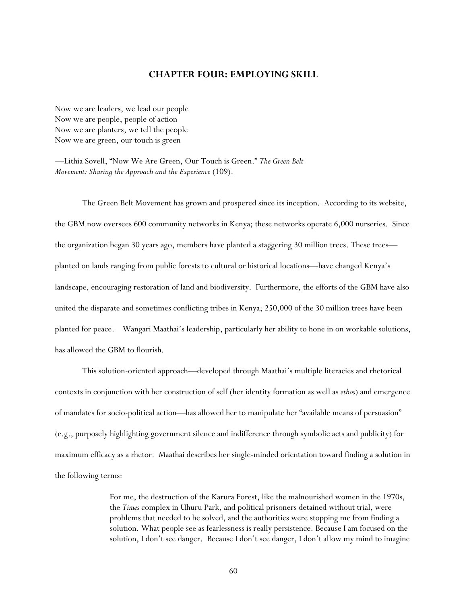## **CHAPTER FOUR: EMPLOYING SKILL**

Now we are leaders, we lead our people Now we are people, people of action Now we are planters, we tell the people Now we are green, our touch is green

—Lithia Sovell, "Now We Are Green, Our Touch is Green." *The Green Belt Movement: Sharing the Approach and the Experience* (109).

The Green Belt Movement has grown and prospered since its inception. According to its website, the GBM now oversees 600 community networks in Kenya; these networks operate 6,000 nurseries. Since the organization began 30 years ago, members have planted a staggering 30 million trees. These trees planted on lands ranging from public forests to cultural or historical locations—have changed Kenya's landscape, encouraging restoration of land and biodiversity. Furthermore, the efforts of the GBM have also united the disparate and sometimes conflicting tribes in Kenya; 250,000 of the 30 million trees have been planted for peace. Wangari Maathai's leadership, particularly her ability to hone in on workable solutions, has allowed the GBM to flourish.

This solution-oriented approach—developed through Maathai's multiple literacies and rhetorical contexts in conjunction with her construction of self (her identity formation as well as *ethos*) and emergence of mandates for socio-political action—has allowed her to manipulate her "available means of persuasion" (e.g., purposely highlighting government silence and indifference through symbolic acts and publicity) for maximum efficacy as a rhetor. Maathai describes her single-minded orientation toward finding a solution in the following terms:

> For me, the destruction of the Karura Forest, like the malnourished women in the 1970s, the *Times* complex in Uhuru Park, and political prisoners detained without trial, were problems that needed to be solved, and the authorities were stopping me from finding a solution. What people see as fearlessness is really persistence. Because I am focused on the solution, I don't see danger. Because I don't see danger, I don't allow my mind to imagine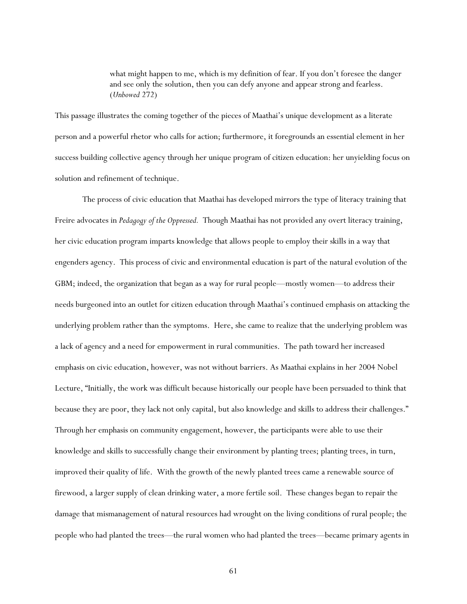what might happen to me, which is my definition of fear. If you don't foresee the danger and see only the solution, then you can defy anyone and appear strong and fearless. (*Unbowed* 272)

This passage illustrates the coming together of the pieces of Maathai's unique development as a literate person and a powerful rhetor who calls for action; furthermore, it foregrounds an essential element in her success building collective agency through her unique program of citizen education: her unyielding focus on solution and refinement of technique.

 The process of civic education that Maathai has developed mirrors the type of literacy training that Freire advocates in *Pedagogy of the Oppressed.* Though Maathai has not provided any overt literacy training, her civic education program imparts knowledge that allows people to employ their skills in a way that engenders agency. This process of civic and environmental education is part of the natural evolution of the GBM; indeed, the organization that began as a way for rural people—mostly women—to address their needs burgeoned into an outlet for citizen education through Maathai's continued emphasis on attacking the underlying problem rather than the symptoms. Here, she came to realize that the underlying problem was a lack of agency and a need for empowerment in rural communities. The path toward her increased emphasis on civic education, however, was not without barriers. As Maathai explains in her 2004 Nobel Lecture, "Initially, the work was difficult because historically our people have been persuaded to think that because they are poor, they lack not only capital, but also knowledge and skills to address their challenges." Through her emphasis on community engagement, however, the participants were able to use their knowledge and skills to successfully change their environment by planting trees; planting trees, in turn, improved their quality of life. With the growth of the newly planted trees came a renewable source of firewood, a larger supply of clean drinking water, a more fertile soil. These changes began to repair the damage that mismanagement of natural resources had wrought on the living conditions of rural people; the people who had planted the trees—the rural women who had planted the trees—became primary agents in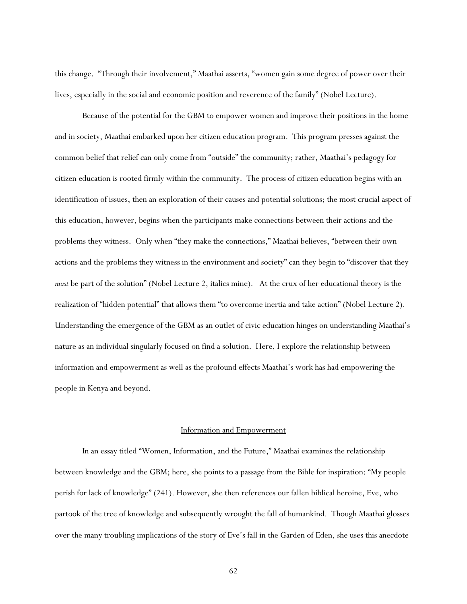this change. "Through their involvement," Maathai asserts, "women gain some degree of power over their lives, especially in the social and economic position and reverence of the family" (Nobel Lecture).

 Because of the potential for the GBM to empower women and improve their positions in the home and in society, Maathai embarked upon her citizen education program. This program presses against the common belief that relief can only come from "outside" the community; rather, Maathai's pedagogy for citizen education is rooted firmly within the community. The process of citizen education begins with an identification of issues, then an exploration of their causes and potential solutions; the most crucial aspect of this education, however, begins when the participants make connections between their actions and the problems they witness. Only when "they make the connections," Maathai believes, "between their own actions and the problems they witness in the environment and society" can they begin to "discover that they *must* be part of the solution" (Nobel Lecture 2, italics mine). At the crux of her educational theory is the realization of "hidden potential" that allows them "to overcome inertia and take action" (Nobel Lecture 2). Understanding the emergence of the GBM as an outlet of civic education hinges on understanding Maathai's nature as an individual singularly focused on find a solution. Here, I explore the relationship between information and empowerment as well as the profound effects Maathai's work has had empowering the people in Kenya and beyond.

### Information and Empowerment

In an essay titled "Women, Information, and the Future," Maathai examines the relationship between knowledge and the GBM; here, she points to a passage from the Bible for inspiration: "My people perish for lack of knowledge" (241). However, she then references our fallen biblical heroine, Eve, who partook of the tree of knowledge and subsequently wrought the fall of humankind. Though Maathai glosses over the many troubling implications of the story of Eve's fall in the Garden of Eden, she uses this anecdote

62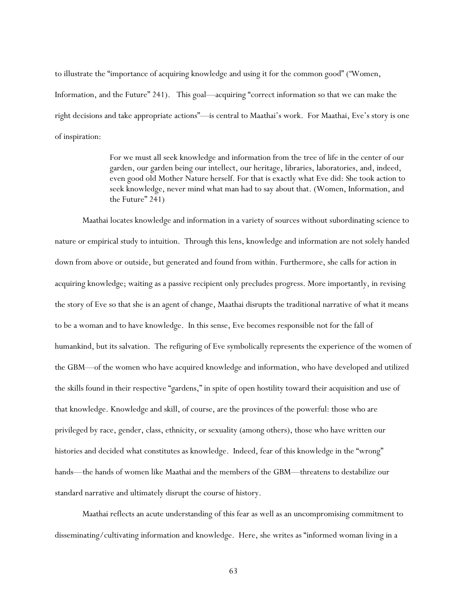to illustrate the "importance of acquiring knowledge and using it for the common good" (*"*Women, Information, and the Future" 241). This goal—acquiring "correct information so that we can make the right decisions and take appropriate actions"—is central to Maathai's work. For Maathai, Eve's story is one of inspiration:

> For we must all seek knowledge and information from the tree of life in the center of our garden, our garden being our intellect, our heritage, libraries, laboratories, and, indeed, even good old Mother Nature herself. For that is exactly what Eve did: She took action to seek knowledge, never mind what man had to say about that. (Women, Information, and the Future" 241)

 Maathai locates knowledge and information in a variety of sources without subordinating science to nature or empirical study to intuition. Through this lens, knowledge and information are not solely handed down from above or outside, but generated and found from within. Furthermore, she calls for action in acquiring knowledge; waiting as a passive recipient only precludes progress. More importantly, in revising the story of Eve so that she is an agent of change, Maathai disrupts the traditional narrative of what it means to be a woman and to have knowledge. In this sense, Eve becomes responsible not for the fall of humankind, but its salvation. The refiguring of Eve symbolically represents the experience of the women of the GBM—of the women who have acquired knowledge and information, who have developed and utilized the skills found in their respective "gardens," in spite of open hostility toward their acquisition and use of that knowledge. Knowledge and skill, of course, are the provinces of the powerful: those who are privileged by race, gender, class, ethnicity, or sexuality (among others), those who have written our histories and decided what constitutes as knowledge. Indeed, fear of this knowledge in the "wrong" hands—the hands of women like Maathai and the members of the GBM—threatens to destabilize our standard narrative and ultimately disrupt the course of history.

 Maathai reflects an acute understanding of this fear as well as an uncompromising commitment to disseminating/cultivating information and knowledge. Here, she writes as "informed woman living in a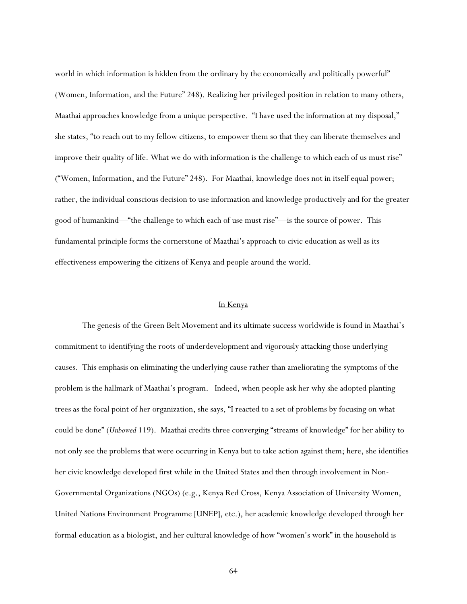world in which information is hidden from the ordinary by the economically and politically powerful" (Women, Information, and the Future" 248). Realizing her privileged position in relation to many others, Maathai approaches knowledge from a unique perspective. "I have used the information at my disposal," she states, "to reach out to my fellow citizens, to empower them so that they can liberate themselves and improve their quality of life. What we do with information is the challenge to which each of us must rise" ("Women, Information, and the Future" 248). For Maathai, knowledge does not in itself equal power; rather, the individual conscious decision to use information and knowledge productively and for the greater good of humankind—"the challenge to which each of use must rise"—is the source of power. This fundamental principle forms the cornerstone of Maathai's approach to civic education as well as its effectiveness empowering the citizens of Kenya and people around the world.

## In Kenya

The genesis of the Green Belt Movement and its ultimate success worldwide is found in Maathai's commitment to identifying the roots of underdevelopment and vigorously attacking those underlying causes. This emphasis on eliminating the underlying cause rather than ameliorating the symptoms of the problem is the hallmark of Maathai's program. Indeed, when people ask her why she adopted planting trees as the focal point of her organization, she says, "I reacted to a set of problems by focusing on what could be done" (*Unbowed* 119). Maathai credits three converging "streams of knowledge" for her ability to not only see the problems that were occurring in Kenya but to take action against them; here, she identifies her civic knowledge developed first while in the United States and then through involvement in Non-Governmental Organizations (NGOs) (e.g., Kenya Red Cross, Kenya Association of University Women, United Nations Environment Programme [UNEP], etc.), her academic knowledge developed through her formal education as a biologist, and her cultural knowledge of how "women's work" in the household is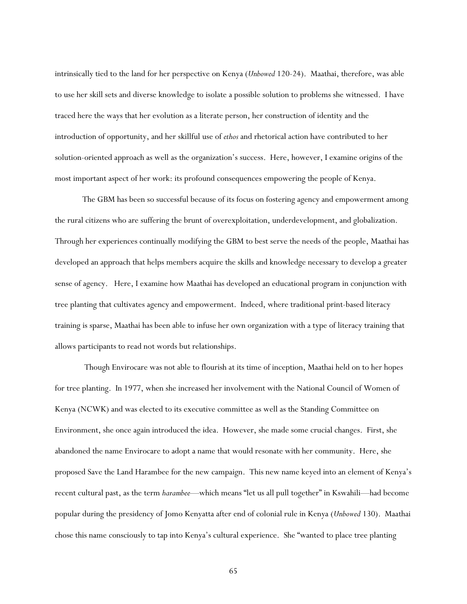intrinsically tied to the land for her perspective on Kenya (*Unbowed* 120-24). Maathai, therefore, was able to use her skill sets and diverse knowledge to isolate a possible solution to problems she witnessed. I have traced here the ways that her evolution as a literate person, her construction of identity and the introduction of opportunity, and her skillful use of *ethos* and rhetorical action have contributed to her solution-oriented approach as well as the organization's success. Here, however, I examine origins of the most important aspect of her work: its profound consequences empowering the people of Kenya.

 The GBM has been so successful because of its focus on fostering agency and empowerment among the rural citizens who are suffering the brunt of overexploitation, underdevelopment, and globalization. Through her experiences continually modifying the GBM to best serve the needs of the people, Maathai has developed an approach that helps members acquire the skills and knowledge necessary to develop a greater sense of agency. Here, I examine how Maathai has developed an educational program in conjunction with tree planting that cultivates agency and empowerment. Indeed, where traditional print-based literacy training is sparse, Maathai has been able to infuse her own organization with a type of literacy training that allows participants to read not words but relationships.

 Though Envirocare was not able to flourish at its time of inception, Maathai held on to her hopes for tree planting. In 1977, when she increased her involvement with the National Council of Women of Kenya (NCWK) and was elected to its executive committee as well as the Standing Committee on Environment, she once again introduced the idea. However, she made some crucial changes. First, she abandoned the name Envirocare to adopt a name that would resonate with her community. Here, she proposed Save the Land Harambee for the new campaign. This new name keyed into an element of Kenya's recent cultural past, as the term *harambee*—which means "let us all pull together" in Kswahili—had become popular during the presidency of Jomo Kenyatta after end of colonial rule in Kenya (*Unbowed* 130). Maathai chose this name consciously to tap into Kenya's cultural experience. She "wanted to place tree planting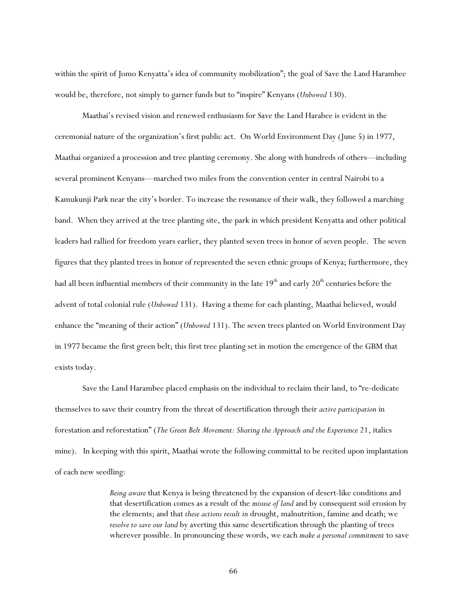within the spirit of Jomo Kenyatta's idea of community mobilization"; the goal of Save the Land Harambee would be, therefore, not simply to garner funds but to "inspire" Kenyans (*Unbowed* 130).

 Maathai's revised vision and renewed enthusiasm for Save the Land Harabee is evident in the ceremonial nature of the organization's first public act. On World Environment Day (June 5) in 1977, Maathai organized a procession and tree planting ceremony. She along with hundreds of others—including several prominent Kenyans—marched two miles from the convention center in central Nairobi to a Kamukunji Park near the city's border. To increase the resonance of their walk, they followed a marching band. When they arrived at the tree planting site, the park in which president Kenyatta and other political leaders had rallied for freedom years earlier, they planted seven trees in honor of seven people. The seven figures that they planted trees in honor of represented the seven ethnic groups of Kenya; furthermore, they had all been influential members of their community in the late  $19<sup>th</sup>$  and early  $20<sup>th</sup>$  centuries before the advent of total colonial rule (*Unbowed* 131). Having a theme for each planting, Maathai believed, would enhance the "meaning of their action" (*Unbowed* 131). The seven trees planted on World Environment Day in 1977 became the first green belt; this first tree planting set in motion the emergence of the GBM that exists today.

 Save the Land Harambee placed emphasis on the individual to reclaim their land, to "re-dedicate themselves to save their country from the threat of desertification through their *active participation* in forestation and reforestation" (*The Green Belt Movement: Sharing the Approach and the Experience* 21, italics mine). In keeping with this spirit, Maathai wrote the following committal to be recited upon implantation of each new seedling:

> *Being aware* that Kenya is being threatened by the expansion of desert-like conditions and that desertification comes as a result of the *misuse of land* and by consequent soil erosion by the elements; and that *these actions result in* drought, malnutrition, famine and death; we *resolve to save our land* by averting this same desertification through the planting of trees wherever possible. In pronouncing these words, we each *make a personal commitment* to save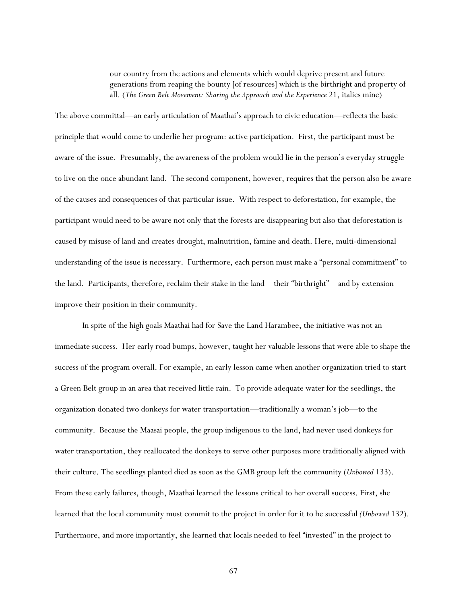our country from the actions and elements which would deprive present and future generations from reaping the bounty [of resources] which is the birthright and property of all. (*The Green Belt Movement: Sharing the Approach and the Experience* 21, italics mine)

The above committal—an early articulation of Maathai's approach to civic education—reflects the basic principle that would come to underlie her program: active participation. First, the participant must be aware of the issue. Presumably, the awareness of the problem would lie in the person's everyday struggle to live on the once abundant land. The second component, however, requires that the person also be aware of the causes and consequences of that particular issue. With respect to deforestation, for example, the participant would need to be aware not only that the forests are disappearing but also that deforestation is caused by misuse of land and creates drought, malnutrition, famine and death. Here, multi-dimensional understanding of the issue is necessary. Furthermore, each person must make a "personal commitment" to the land. Participants, therefore, reclaim their stake in the land—their "birthright"—and by extension improve their position in their community.

 In spite of the high goals Maathai had for Save the Land Harambee, the initiative was not an immediate success. Her early road bumps, however, taught her valuable lessons that were able to shape the success of the program overall. For example, an early lesson came when another organization tried to start a Green Belt group in an area that received little rain. To provide adequate water for the seedlings, the organization donated two donkeys for water transportation—traditionally a woman's job—to the community. Because the Maasai people, the group indigenous to the land, had never used donkeys for water transportation, they reallocated the donkeys to serve other purposes more traditionally aligned with their culture. The seedlings planted died as soon as the GMB group left the community (*Unbowed* 133). From these early failures, though, Maathai learned the lessons critical to her overall success. First, she learned that the local community must commit to the project in order for it to be successful *(Unbowed* 132). Furthermore, and more importantly, she learned that locals needed to feel "invested" in the project to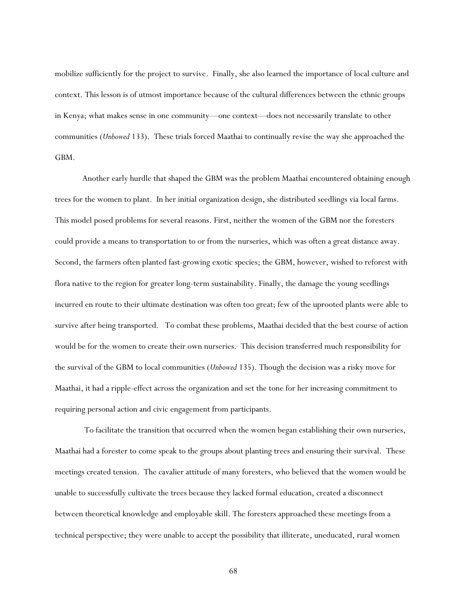mobilize sufficiently for the project to survive. Finally, she also learned the importance of local culture and context. This lesson is of utmost importance because of the cultural differences between the ethnic groups in Kenya; what makes sense in one community—one context—does not necessarily translate to other communities (*Unbowed* 133). These trials forced Maathai to continually revise the way she approached the GBM.

 Another early hurdle that shaped the GBM was the problem Maathai encountered obtaining enough trees for the women to plant. In her initial organization design, she distributed seedlings via local farms. This model posed problems for several reasons. First, neither the women of the GBM nor the foresters could provide a means to transportation to or from the nurseries, which was often a great distance away. Second, the farmers often planted fast-growing exotic species; the GBM, however, wished to reforest with flora native to the region for greater long-term sustainability. Finally, the damage the young seedlings incurred en route to their ultimate destination was often too great; few of the uprooted plants were able to survive after being transported. To combat these problems, Maathai decided that the best course of action would be for the women to create their own nurseries. This decision transferred much responsibility for the survival of the GBM to local communities (*Unbowed* 135). Though the decision was a risky move for Maathai, it had a ripple-effect across the organization and set the tone for her increasing commitment to requiring personal action and civic engagement from participants.

 To facilitate the transition that occurred when the women began establishing their own nurseries, Maathai had a forester to come speak to the groups about planting trees and ensuring their survival. These meetings created tension. The cavalier attitude of many foresters, who believed that the women would be unable to successfully cultivate the trees because they lacked formal education, created a disconnect between theoretical knowledge and employable skill. The foresters approached these meetings from a technical perspective; they were unable to accept the possibility that illiterate, uneducated, rural women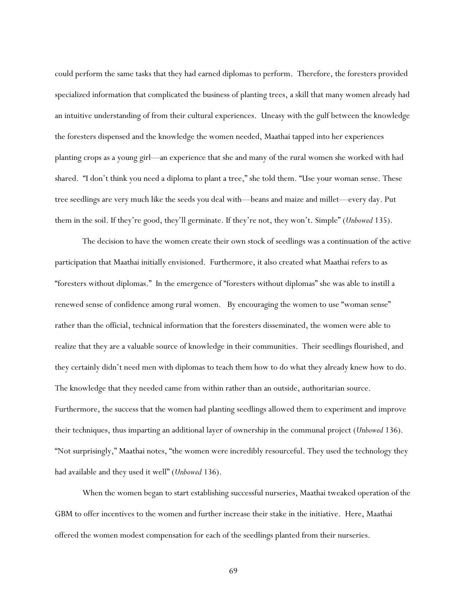could perform the same tasks that they had earned diplomas to perform. Therefore, the foresters provided specialized information that complicated the business of planting trees, a skill that many women already had an intuitive understanding of from their cultural experiences. Uneasy with the gulf between the knowledge the foresters dispensed and the knowledge the women needed, Maathai tapped into her experiences planting crops as a young girl—an experience that she and many of the rural women she worked with had shared. "I don't think you need a diploma to plant a tree," she told them. "Use your woman sense. These tree seedlings are very much like the seeds you deal with—beans and maize and millet—every day. Put them in the soil. If they're good, they'll germinate. If they're not, they won't. Simple" (*Unbowed* 135).

 The decision to have the women create their own stock of seedlings was a continuation of the active participation that Maathai initially envisioned. Furthermore, it also created what Maathai refers to as "foresters without diplomas." In the emergence of "foresters without diplomas" she was able to instill a renewed sense of confidence among rural women. By encouraging the women to use "woman sense" rather than the official, technical information that the foresters disseminated, the women were able to realize that they are a valuable source of knowledge in their communities. Their seedlings flourished, and they certainly didn't need men with diplomas to teach them how to do what they already knew how to do. The knowledge that they needed came from within rather than an outside, authoritarian source. Furthermore, the success that the women had planting seedlings allowed them to experiment and improve their techniques, thus imparting an additional layer of ownership in the communal project (*Unbowed* 136). "Not surprisingly," Maathai notes, "the women were incredibly resourceful. They used the technology they had available and they used it well" (*Unbowed* 136).

 When the women began to start establishing successful nurseries, Maathai tweaked operation of the GBM to offer incentives to the women and further increase their stake in the initiative. Here, Maathai offered the women modest compensation for each of the seedlings planted from their nurseries.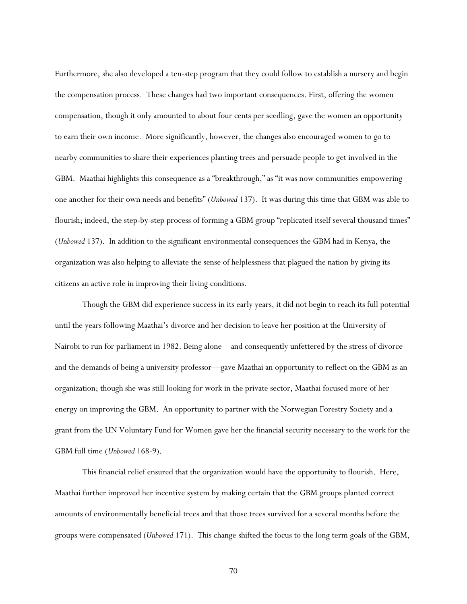Furthermore, she also developed a ten-step program that they could follow to establish a nursery and begin the compensation process. These changes had two important consequences. First, offering the women compensation, though it only amounted to about four cents per seedling, gave the women an opportunity to earn their own income. More significantly, however, the changes also encouraged women to go to nearby communities to share their experiences planting trees and persuade people to get involved in the GBM. Maathai highlights this consequence as a "breakthrough," as "it was now communities empowering one another for their own needs and benefits" (*Unbowed* 137). It was during this time that GBM was able to flourish; indeed, the step-by-step process of forming a GBM group "replicated itself several thousand times" (*Unbowed* 137). In addition to the significant environmental consequences the GBM had in Kenya, the organization was also helping to alleviate the sense of helplessness that plagued the nation by giving its citizens an active role in improving their living conditions.

 Though the GBM did experience success in its early years, it did not begin to reach its full potential until the years following Maathai's divorce and her decision to leave her position at the University of Nairobi to run for parliament in 1982. Being alone—and consequently unfettered by the stress of divorce and the demands of being a university professor—gave Maathai an opportunity to reflect on the GBM as an organization; though she was still looking for work in the private sector, Maathai focused more of her energy on improving the GBM. An opportunity to partner with the Norwegian Forestry Society and a grant from the UN Voluntary Fund for Women gave her the financial security necessary to the work for the GBM full time (*Unbowed* 168-9).

This financial relief ensured that the organization would have the opportunity to flourish. Here, Maathai further improved her incentive system by making certain that the GBM groups planted correct amounts of environmentally beneficial trees and that those trees survived for a several months before the groups were compensated (*Unbowed* 171). This change shifted the focus to the long term goals of the GBM,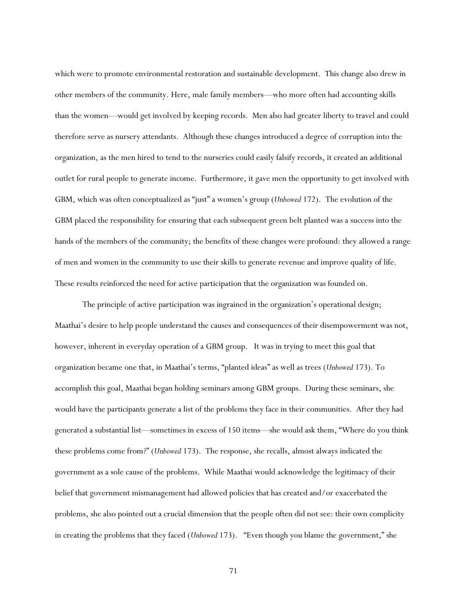which were to promote environmental restoration and sustainable development. This change also drew in other members of the community. Here, male family members—who more often had accounting skills than the women—would get involved by keeping records. Men also had greater liberty to travel and could therefore serve as nursery attendants. Although these changes introduced a degree of corruption into the organization, as the men hired to tend to the nurseries could easily falsify records, it created an additional outlet for rural people to generate income. Furthermore, it gave men the opportunity to get involved with GBM, which was often conceptualized as "just" a women's group (*Unbowed* 172). The evolution of the GBM placed the responsibility for ensuring that each subsequent green belt planted was a success into the hands of the members of the community; the benefits of these changes were profound: they allowed a range of men and women in the community to use their skills to generate revenue and improve quality of life. These results reinforced the need for active participation that the organization was founded on.

The principle of active participation was ingrained in the organization's operational design; Maathai's desire to help people understand the causes and consequences of their disempowerment was not, however, inherent in everyday operation of a GBM group. It was in trying to meet this goal that organization became one that, in Maathai's terms, "planted ideas" as well as trees (*Unbowed* 173). To accomplish this goal, Maathai began holding seminars among GBM groups. During these seminars, she would have the participants generate a list of the problems they face in their communities. After they had generated a substantial list—sometimes in excess of 150 items—she would ask them, "Where do you think these problems come from?" (*Unbowed* 173). The response, she recalls, almost always indicated the government as a sole cause of the problems. While Maathai would acknowledge the legitimacy of their belief that government mismanagement had allowed policies that has created and/or exacerbated the problems, she also pointed out a crucial dimension that the people often did not see: their own complicity in creating the problems that they faced (*Unbowed* 173). "Even though you blame the government," she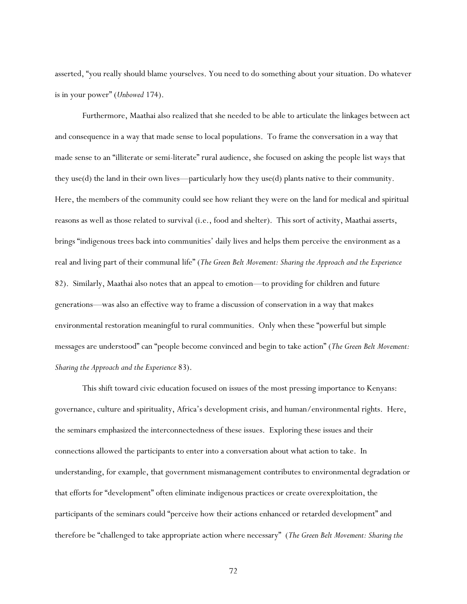asserted, "you really should blame yourselves. You need to do something about your situation. Do whatever is in your power" (*Unbowed* 174).

Furthermore, Maathai also realized that she needed to be able to articulate the linkages between act and consequence in a way that made sense to local populations. To frame the conversation in a way that made sense to an "illiterate or semi-literate" rural audience, she focused on asking the people list ways that they use(d) the land in their own lives—particularly how they use(d) plants native to their community. Here, the members of the community could see how reliant they were on the land for medical and spiritual reasons as well as those related to survival (i.e., food and shelter). This sort of activity, Maathai asserts, brings "indigenous trees back into communities' daily lives and helps them perceive the environment as a real and living part of their communal life" (*The Green Belt Movement: Sharing the Approach and the Experience* 82). Similarly, Maathai also notes that an appeal to emotion—to providing for children and future generations—was also an effective way to frame a discussion of conservation in a way that makes environmental restoration meaningful to rural communities. Only when these "powerful but simple messages are understood" can "people become convinced and begin to take action" (*The Green Belt Movement: Sharing the Approach and the Experience* 83).

This shift toward civic education focused on issues of the most pressing importance to Kenyans: governance, culture and spirituality, Africa's development crisis, and human/environmental rights. Here, the seminars emphasized the interconnectedness of these issues. Exploring these issues and their connections allowed the participants to enter into a conversation about what action to take. In understanding, for example, that government mismanagement contributes to environmental degradation or that efforts for "development" often eliminate indigenous practices or create overexploitation, the participants of the seminars could "perceive how their actions enhanced or retarded development" and therefore be "challenged to take appropriate action where necessary" (*The Green Belt Movement: Sharing the*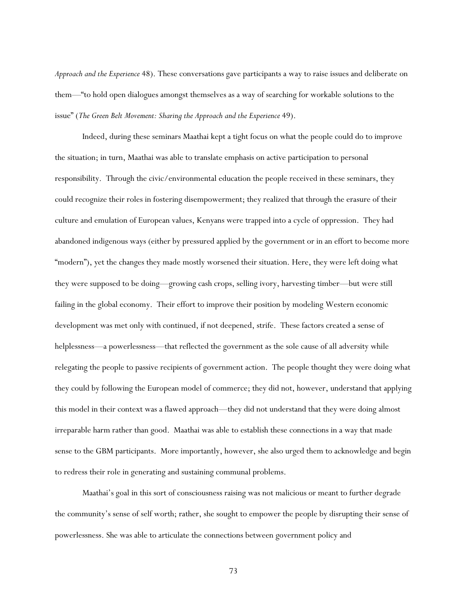*Approach and the Experience* 48). These conversations gave participants a way to raise issues and deliberate on them—"to hold open dialogues amongst themselves as a way of searching for workable solutions to the issue" (*The Green Belt Movement: Sharing the Approach and the Experience* 49).

Indeed, during these seminars Maathai kept a tight focus on what the people could do to improve the situation; in turn, Maathai was able to translate emphasis on active participation to personal responsibility. Through the civic/environmental education the people received in these seminars, they could recognize their roles in fostering disempowerment; they realized that through the erasure of their culture and emulation of European values, Kenyans were trapped into a cycle of oppression. They had abandoned indigenous ways (either by pressured applied by the government or in an effort to become more "modern"), yet the changes they made mostly worsened their situation. Here, they were left doing what they were supposed to be doing—growing cash crops, selling ivory, harvesting timber—but were still failing in the global economy. Their effort to improve their position by modeling Western economic development was met only with continued, if not deepened, strife. These factors created a sense of helplessness—a powerlessness—that reflected the government as the sole cause of all adversity while relegating the people to passive recipients of government action. The people thought they were doing what they could by following the European model of commerce; they did not, however, understand that applying this model in their context was a flawed approach—they did not understand that they were doing almost irreparable harm rather than good. Maathai was able to establish these connections in a way that made sense to the GBM participants. More importantly, however, she also urged them to acknowledge and begin to redress their role in generating and sustaining communal problems.

 Maathai's goal in this sort of consciousness raising was not malicious or meant to further degrade the community's sense of self worth; rather, she sought to empower the people by disrupting their sense of powerlessness. She was able to articulate the connections between government policy and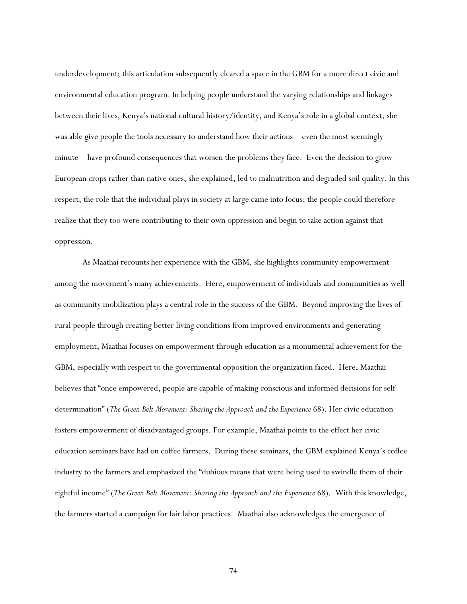underdevelopment; this articulation subsequently cleared a space in the GBM for a more direct civic and environmental education program. In helping people understand the varying relationships and linkages between their lives, Kenya's national cultural history/identity, and Kenya's role in a global context, she was able give people the tools necessary to understand how their actions—even the most seemingly minute—have profound consequences that worsen the problems they face. Even the decision to grow European crops rather than native ones, she explained, led to malnutrition and degraded soil quality. In this respect, the role that the individual plays in society at large came into focus; the people could therefore realize that they too were contributing to their own oppression and begin to take action against that oppression.

 As Maathai recounts her experience with the GBM, she highlights community empowerment among the movement's many achievements. Here, empowerment of individuals and communities as well as community mobilization plays a central role in the success of the GBM. Beyond improving the lives of rural people through creating better living conditions from improved environments and generating employment, Maathai focuses on empowerment through education as a monumental achievement for the GBM, especially with respect to the governmental opposition the organization faced. Here, Maathai believes that "once empowered, people are capable of making conscious and informed decisions for selfdetermination" (*The Green Belt Movement: Sharing the Approach and the Experience* 68). Her civic education fosters empowerment of disadvantaged groups. For example, Maathai points to the effect her civic education seminars have had on coffee farmers. During these seminars, the GBM explained Kenya's coffee industry to the farmers and emphasized the "dubious means that were being used to swindle them of their rightful income" (*The Green Belt Movement: Sharing the Approach and the Experience* 68). With this knowledge, the farmers started a campaign for fair labor practices. Maathai also acknowledges the emergence of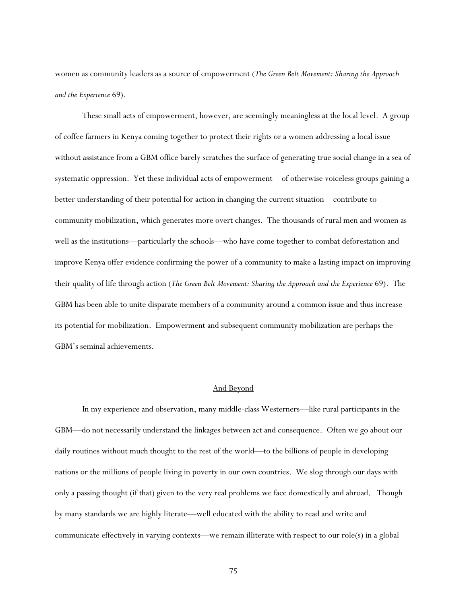women as community leaders as a source of empowerment (*The Green Belt Movement: Sharing the Approach and the Experience* 69).

These small acts of empowerment, however, are seemingly meaningless at the local level. A group of coffee farmers in Kenya coming together to protect their rights or a women addressing a local issue without assistance from a GBM office barely scratches the surface of generating true social change in a sea of systematic oppression. Yet these individual acts of empowerment—of otherwise voiceless groups gaining a better understanding of their potential for action in changing the current situation—contribute to community mobilization, which generates more overt changes. The thousands of rural men and women as well as the institutions—particularly the schools—who have come together to combat deforestation and improve Kenya offer evidence confirming the power of a community to make a lasting impact on improving their quality of life through action (*The Green Belt Movement: Sharing the Approach and the Experience* 69). The GBM has been able to unite disparate members of a community around a common issue and thus increase its potential for mobilization. Empowerment and subsequent community mobilization are perhaps the GBM's seminal achievements.

## And Beyond

 In my experience and observation, many middle-class Westerners—like rural participants in the GBM—do not necessarily understand the linkages between act and consequence. Often we go about our daily routines without much thought to the rest of the world—to the billions of people in developing nations or the millions of people living in poverty in our own countries. We slog through our days with only a passing thought (if that) given to the very real problems we face domestically and abroad. Though by many standards we are highly literate—well educated with the ability to read and write and communicate effectively in varying contexts—we remain illiterate with respect to our role(s) in a global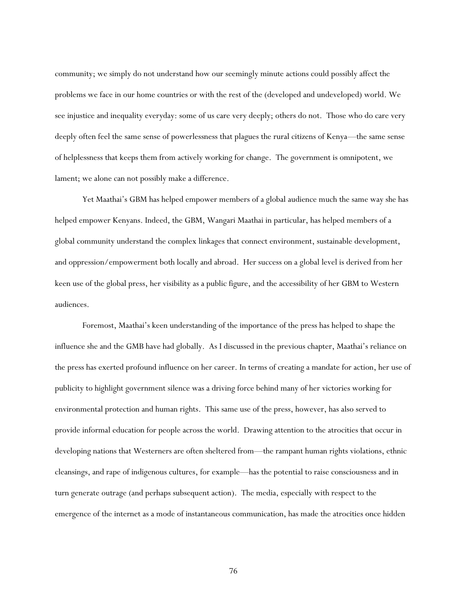community; we simply do not understand how our seemingly minute actions could possibly affect the problems we face in our home countries or with the rest of the (developed and undeveloped) world. We see injustice and inequality everyday: some of us care very deeply; others do not. Those who do care very deeply often feel the same sense of powerlessness that plagues the rural citizens of Kenya—the same sense of helplessness that keeps them from actively working for change. The government is omnipotent, we lament; we alone can not possibly make a difference.

Yet Maathai's GBM has helped empower members of a global audience much the same way she has helped empower Kenyans. Indeed, the GBM, Wangari Maathai in particular, has helped members of a global community understand the complex linkages that connect environment, sustainable development, and oppression/empowerment both locally and abroad. Her success on a global level is derived from her keen use of the global press, her visibility as a public figure, and the accessibility of her GBM to Western audiences.

Foremost, Maathai's keen understanding of the importance of the press has helped to shape the influence she and the GMB have had globally. As I discussed in the previous chapter, Maathai's reliance on the press has exerted profound influence on her career. In terms of creating a mandate for action, her use of publicity to highlight government silence was a driving force behind many of her victories working for environmental protection and human rights. This same use of the press, however, has also served to provide informal education for people across the world. Drawing attention to the atrocities that occur in developing nations that Westerners are often sheltered from—the rampant human rights violations, ethnic cleansings, and rape of indigenous cultures, for example—has the potential to raise consciousness and in turn generate outrage (and perhaps subsequent action). The media, especially with respect to the emergence of the internet as a mode of instantaneous communication, has made the atrocities once hidden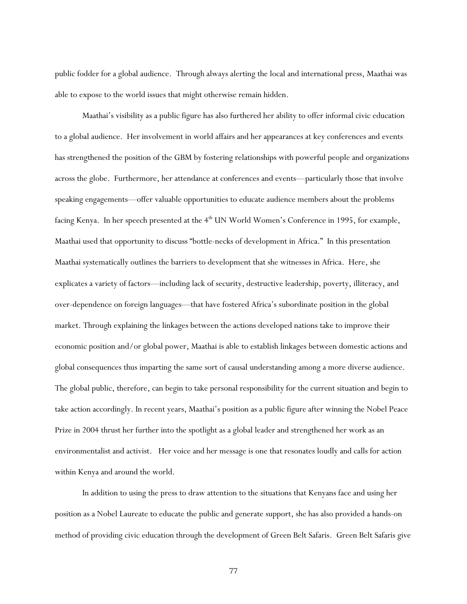public fodder for a global audience. Through always alerting the local and international press, Maathai was able to expose to the world issues that might otherwise remain hidden.

Maathai's visibility as a public figure has also furthered her ability to offer informal civic education to a global audience. Her involvement in world affairs and her appearances at key conferences and events has strengthened the position of the GBM by fostering relationships with powerful people and organizations across the globe. Furthermore, her attendance at conferences and events—particularly those that involve speaking engagements—offer valuable opportunities to educate audience members about the problems facing Kenya. In her speech presented at the  $4<sup>th</sup>$  UN World Women's Conference in 1995, for example, Maathai used that opportunity to discuss "bottle-necks of development in Africa." In this presentation Maathai systematically outlines the barriers to development that she witnesses in Africa. Here, she explicates a variety of factors—including lack of security, destructive leadership, poverty, illiteracy, and over-dependence on foreign languages—that have fostered Africa's subordinate position in the global market. Through explaining the linkages between the actions developed nations take to improve their economic position and/or global power, Maathai is able to establish linkages between domestic actions and global consequences thus imparting the same sort of causal understanding among a more diverse audience. The global public, therefore, can begin to take personal responsibility for the current situation and begin to take action accordingly. In recent years, Maathai's position as a public figure after winning the Nobel Peace Prize in 2004 thrust her further into the spotlight as a global leader and strengthened her work as an environmentalist and activist. Her voice and her message is one that resonates loudly and calls for action within Kenya and around the world.

In addition to using the press to draw attention to the situations that Kenyans face and using her position as a Nobel Laureate to educate the public and generate support, she has also provided a hands-on method of providing civic education through the development of Green Belt Safaris. Green Belt Safaris give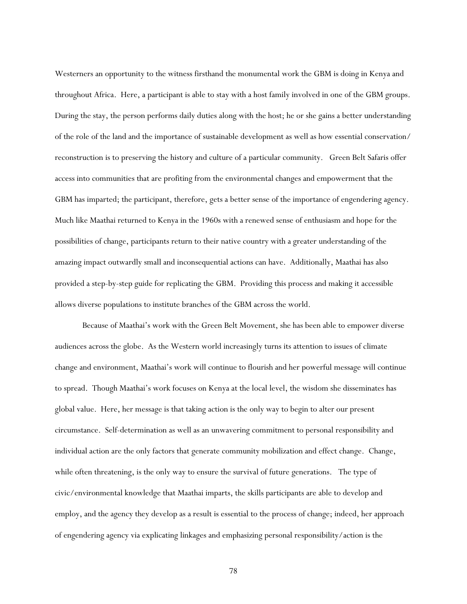Westerners an opportunity to the witness firsthand the monumental work the GBM is doing in Kenya and throughout Africa. Here, a participant is able to stay with a host family involved in one of the GBM groups. During the stay, the person performs daily duties along with the host; he or she gains a better understanding of the role of the land and the importance of sustainable development as well as how essential conservation/ reconstruction is to preserving the history and culture of a particular community. Green Belt Safaris offer access into communities that are profiting from the environmental changes and empowerment that the GBM has imparted; the participant, therefore, gets a better sense of the importance of engendering agency. Much like Maathai returned to Kenya in the 1960s with a renewed sense of enthusiasm and hope for the possibilities of change, participants return to their native country with a greater understanding of the amazing impact outwardly small and inconsequential actions can have. Additionally, Maathai has also provided a step-by-step guide for replicating the GBM. Providing this process and making it accessible allows diverse populations to institute branches of the GBM across the world.

Because of Maathai's work with the Green Belt Movement, she has been able to empower diverse audiences across the globe. As the Western world increasingly turns its attention to issues of climate change and environment, Maathai's work will continue to flourish and her powerful message will continue to spread. Though Maathai's work focuses on Kenya at the local level, the wisdom she disseminates has global value. Here, her message is that taking action is the only way to begin to alter our present circumstance. Self-determination as well as an unwavering commitment to personal responsibility and individual action are the only factors that generate community mobilization and effect change. Change, while often threatening, is the only way to ensure the survival of future generations. The type of civic/environmental knowledge that Maathai imparts, the skills participants are able to develop and employ, and the agency they develop as a result is essential to the process of change; indeed, her approach of engendering agency via explicating linkages and emphasizing personal responsibility/action is the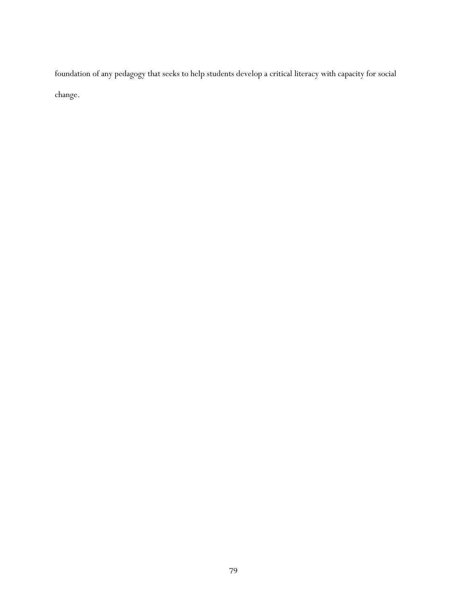foundation of any pedagogy that seeks to help students develop a critical literacy with capacity for social change.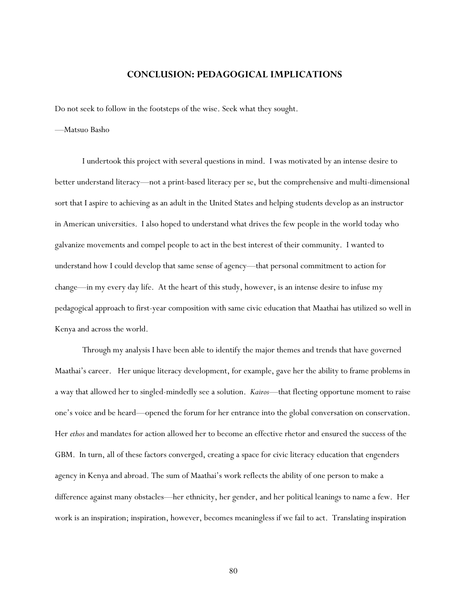## **CONCLUSION: PEDAGOGICAL IMPLICATIONS**

Do not seek to follow in the footsteps of the wise. Seek what they sought.

## —Matsuo Basho

 I undertook this project with several questions in mind. I was motivated by an intense desire to better understand literacy—not a print-based literacy per se, but the comprehensive and multi-dimensional sort that I aspire to achieving as an adult in the United States and helping students develop as an instructor in American universities. I also hoped to understand what drives the few people in the world today who galvanize movements and compel people to act in the best interest of their community. I wanted to understand how I could develop that same sense of agency—that personal commitment to action for change—in my every day life. At the heart of this study, however, is an intense desire to infuse my pedagogical approach to first-year composition with same civic education that Maathai has utilized so well in Kenya and across the world.

 Through my analysis I have been able to identify the major themes and trends that have governed Maathai's career. Her unique literacy development, for example, gave her the ability to frame problems in a way that allowed her to singled-mindedly see a solution. *Kairos*—that fleeting opportune moment to raise one's voice and be heard—opened the forum for her entrance into the global conversation on conservation. Her *ethos* and mandates for action allowed her to become an effective rhetor and ensured the success of the GBM. In turn, all of these factors converged, creating a space for civic literacy education that engenders agency in Kenya and abroad. The sum of Maathai's work reflects the ability of one person to make a difference against many obstacles—her ethnicity, her gender, and her political leanings to name a few. Her work is an inspiration; inspiration, however, becomes meaningless if we fail to act. Translating inspiration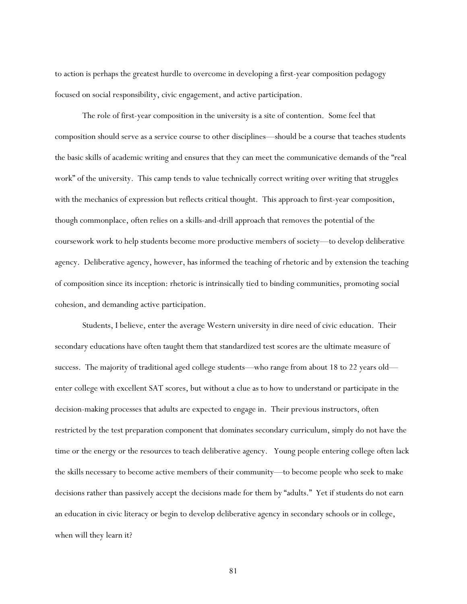to action is perhaps the greatest hurdle to overcome in developing a first-year composition pedagogy focused on social responsibility, civic engagement, and active participation.

 The role of first-year composition in the university is a site of contention. Some feel that composition should serve as a service course to other disciplines—should be a course that teaches students the basic skills of academic writing and ensures that they can meet the communicative demands of the "real work" of the university. This camp tends to value technically correct writing over writing that struggles with the mechanics of expression but reflects critical thought. This approach to first-year composition, though commonplace, often relies on a skills-and-drill approach that removes the potential of the coursework work to help students become more productive members of society—to develop deliberative agency. Deliberative agency, however, has informed the teaching of rhetoric and by extension the teaching of composition since its inception: rhetoric is intrinsically tied to binding communities, promoting social cohesion, and demanding active participation.

 Students, I believe, enter the average Western university in dire need of civic education. Their secondary educations have often taught them that standardized test scores are the ultimate measure of success. The majority of traditional aged college students—who range from about 18 to 22 years old enter college with excellent SAT scores, but without a clue as to how to understand or participate in the decision-making processes that adults are expected to engage in. Their previous instructors, often restricted by the test preparation component that dominates secondary curriculum, simply do not have the time or the energy or the resources to teach deliberative agency. Young people entering college often lack the skills necessary to become active members of their community—to become people who seek to make decisions rather than passively accept the decisions made for them by "adults." Yet if students do not earn an education in civic literacy or begin to develop deliberative agency in secondary schools or in college, when will they learn it?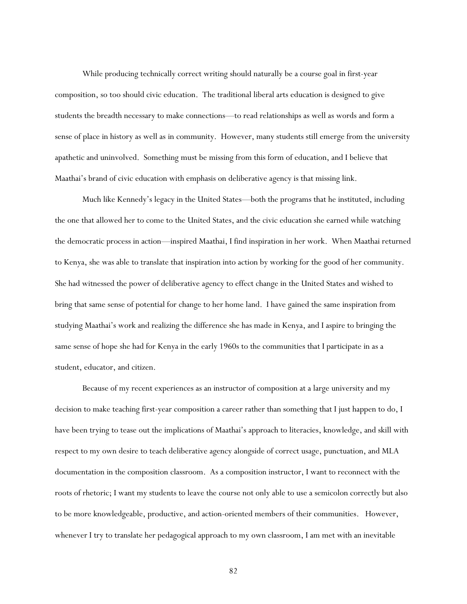While producing technically correct writing should naturally be a course goal in first-year composition, so too should civic education. The traditional liberal arts education is designed to give students the breadth necessary to make connections—to read relationships as well as words and form a sense of place in history as well as in community. However, many students still emerge from the university apathetic and uninvolved. Something must be missing from this form of education, and I believe that Maathai's brand of civic education with emphasis on deliberative agency is that missing link.

Much like Kennedy's legacy in the United States—both the programs that he instituted, including the one that allowed her to come to the United States, and the civic education she earned while watching the democratic process in action—inspired Maathai, I find inspiration in her work. When Maathai returned to Kenya, she was able to translate that inspiration into action by working for the good of her community. She had witnessed the power of deliberative agency to effect change in the United States and wished to bring that same sense of potential for change to her home land. I have gained the same inspiration from studying Maathai's work and realizing the difference she has made in Kenya, and I aspire to bringing the same sense of hope she had for Kenya in the early 1960s to the communities that I participate in as a student, educator, and citizen.

Because of my recent experiences as an instructor of composition at a large university and my decision to make teaching first-year composition a career rather than something that I just happen to do, I have been trying to tease out the implications of Maathai's approach to literacies, knowledge, and skill with respect to my own desire to teach deliberative agency alongside of correct usage, punctuation, and MLA documentation in the composition classroom. As a composition instructor, I want to reconnect with the roots of rhetoric; I want my students to leave the course not only able to use a semicolon correctly but also to be more knowledgeable, productive, and action-oriented members of their communities. However, whenever I try to translate her pedagogical approach to my own classroom, I am met with an inevitable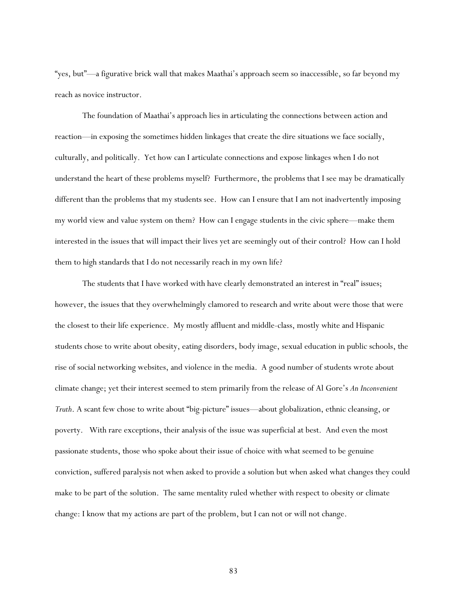"yes, but"—a figurative brick wall that makes Maathai's approach seem so inaccessible, so far beyond my reach as novice instructor.

 The foundation of Maathai's approach lies in articulating the connections between action and reaction—in exposing the sometimes hidden linkages that create the dire situations we face socially, culturally, and politically. Yet how can I articulate connections and expose linkages when I do not understand the heart of these problems myself? Furthermore, the problems that I see may be dramatically different than the problems that my students see. How can I ensure that I am not inadvertently imposing my world view and value system on them? How can I engage students in the civic sphere—make them interested in the issues that will impact their lives yet are seemingly out of their control? How can I hold them to high standards that I do not necessarily reach in my own life?

 The students that I have worked with have clearly demonstrated an interest in "real" issues; however, the issues that they overwhelmingly clamored to research and write about were those that were the closest to their life experience. My mostly affluent and middle-class, mostly white and Hispanic students chose to write about obesity, eating disorders, body image, sexual education in public schools, the rise of social networking websites, and violence in the media. A good number of students wrote about climate change; yet their interest seemed to stem primarily from the release of Al Gore's *An Inconvenient Truth*. A scant few chose to write about "big-picture" issues—about globalization, ethnic cleansing, or poverty. With rare exceptions, their analysis of the issue was superficial at best. And even the most passionate students, those who spoke about their issue of choice with what seemed to be genuine conviction, suffered paralysis not when asked to provide a solution but when asked what changes they could make to be part of the solution. The same mentality ruled whether with respect to obesity or climate change: I know that my actions are part of the problem, but I can not or will not change.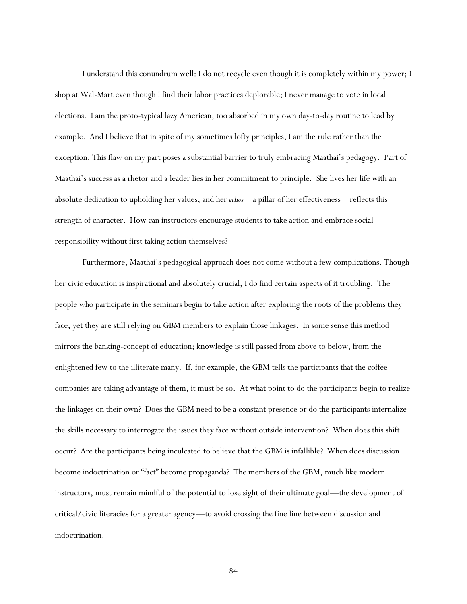I understand this conundrum well: I do not recycle even though it is completely within my power; I shop at Wal-Mart even though I find their labor practices deplorable; I never manage to vote in local elections. I am the proto-typical lazy American, too absorbed in my own day-to-day routine to lead by example. And I believe that in spite of my sometimes lofty principles, I am the rule rather than the exception. This flaw on my part poses a substantial barrier to truly embracing Maathai's pedagogy. Part of Maathai's success as a rhetor and a leader lies in her commitment to principle. She lives her life with an absolute dedication to upholding her values, and her *ethos*—a pillar of her effectiveness—reflects this strength of character. How can instructors encourage students to take action and embrace social responsibility without first taking action themselves?

Furthermore, Maathai's pedagogical approach does not come without a few complications. Though her civic education is inspirational and absolutely crucial, I do find certain aspects of it troubling. The people who participate in the seminars begin to take action after exploring the roots of the problems they face, yet they are still relying on GBM members to explain those linkages. In some sense this method mirrors the banking-concept of education; knowledge is still passed from above to below, from the enlightened few to the illiterate many. If, for example, the GBM tells the participants that the coffee companies are taking advantage of them, it must be so. At what point to do the participants begin to realize the linkages on their own? Does the GBM need to be a constant presence or do the participants internalize the skills necessary to interrogate the issues they face without outside intervention? When does this shift occur? Are the participants being inculcated to believe that the GBM is infallible? When does discussion become indoctrination or "fact" become propaganda? The members of the GBM, much like modern instructors, must remain mindful of the potential to lose sight of their ultimate goal—the development of critical/civic literacies for a greater agency—to avoid crossing the fine line between discussion and indoctrination.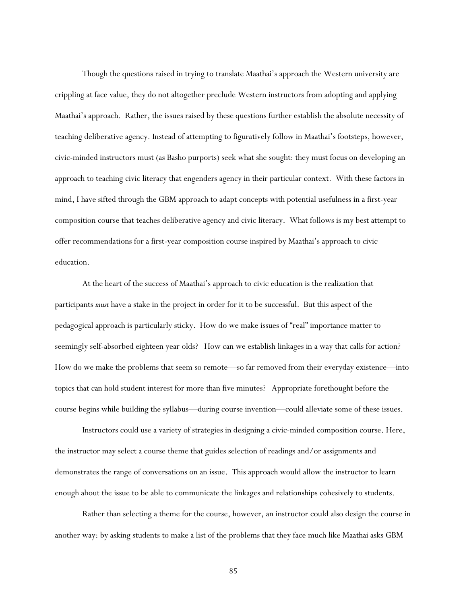Though the questions raised in trying to translate Maathai's approach the Western university are crippling at face value, they do not altogether preclude Western instructors from adopting and applying Maathai's approach. Rather, the issues raised by these questions further establish the absolute necessity of teaching deliberative agency. Instead of attempting to figuratively follow in Maathai's footsteps, however, civic-minded instructors must (as Basho purports) seek what she sought: they must focus on developing an approach to teaching civic literacy that engenders agency in their particular context. With these factors in mind, I have sifted through the GBM approach to adapt concepts with potential usefulness in a first-year composition course that teaches deliberative agency and civic literacy. What follows is my best attempt to offer recommendations for a first-year composition course inspired by Maathai's approach to civic education.

At the heart of the success of Maathai's approach to civic education is the realization that participants *must* have a stake in the project in order for it to be successful. But this aspect of the pedagogical approach is particularly sticky. How do we make issues of "real" importance matter to seemingly self-absorbed eighteen year olds? How can we establish linkages in a way that calls for action? How do we make the problems that seem so remote—so far removed from their everyday existence—into topics that can hold student interest for more than five minutes? Appropriate forethought before the course begins while building the syllabus—during course invention—could alleviate some of these issues.

Instructors could use a variety of strategies in designing a civic-minded composition course. Here, the instructor may select a course theme that guides selection of readings and/or assignments and demonstrates the range of conversations on an issue. This approach would allow the instructor to learn enough about the issue to be able to communicate the linkages and relationships cohesively to students.

Rather than selecting a theme for the course, however, an instructor could also design the course in another way: by asking students to make a list of the problems that they face much like Maathai asks GBM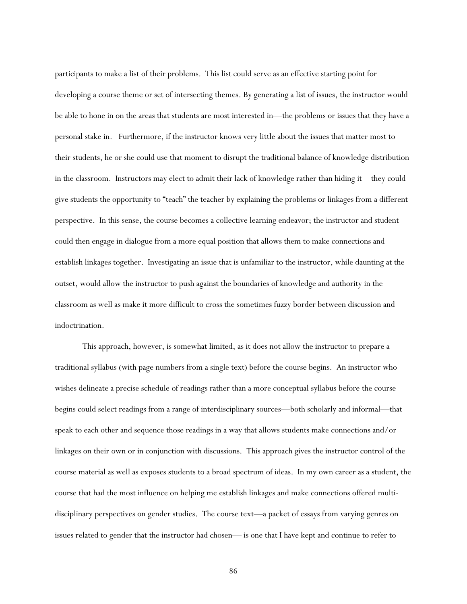participants to make a list of their problems. This list could serve as an effective starting point for developing a course theme or set of intersecting themes. By generating a list of issues, the instructor would be able to hone in on the areas that students are most interested in—the problems or issues that they have a personal stake in. Furthermore, if the instructor knows very little about the issues that matter most to their students, he or she could use that moment to disrupt the traditional balance of knowledge distribution in the classroom. Instructors may elect to admit their lack of knowledge rather than hiding it—they could give students the opportunity to "teach" the teacher by explaining the problems or linkages from a different perspective. In this sense, the course becomes a collective learning endeavor; the instructor and student could then engage in dialogue from a more equal position that allows them to make connections and establish linkages together. Investigating an issue that is unfamiliar to the instructor, while daunting at the outset, would allow the instructor to push against the boundaries of knowledge and authority in the classroom as well as make it more difficult to cross the sometimes fuzzy border between discussion and indoctrination.

This approach, however, is somewhat limited, as it does not allow the instructor to prepare a traditional syllabus (with page numbers from a single text) before the course begins. An instructor who wishes delineate a precise schedule of readings rather than a more conceptual syllabus before the course begins could select readings from a range of interdisciplinary sources—both scholarly and informal—that speak to each other and sequence those readings in a way that allows students make connections and/or linkages on their own or in conjunction with discussions. This approach gives the instructor control of the course material as well as exposes students to a broad spectrum of ideas. In my own career as a student, the course that had the most influence on helping me establish linkages and make connections offered multidisciplinary perspectives on gender studies. The course text—a packet of essays from varying genres on issues related to gender that the instructor had chosen— is one that I have kept and continue to refer to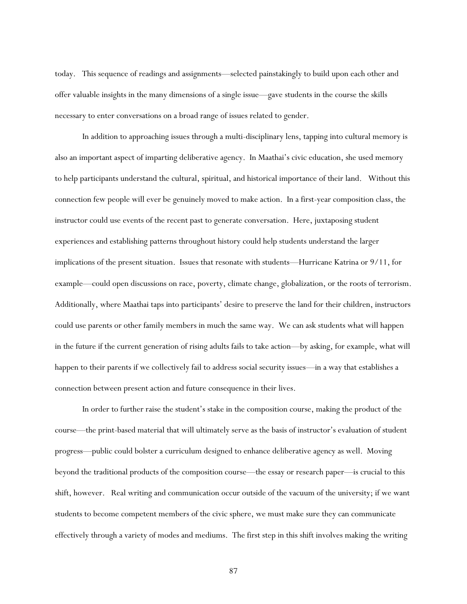today. This sequence of readings and assignments—selected painstakingly to build upon each other and offer valuable insights in the many dimensions of a single issue—gave students in the course the skills necessary to enter conversations on a broad range of issues related to gender.

In addition to approaching issues through a multi-disciplinary lens, tapping into cultural memory is also an important aspect of imparting deliberative agency. In Maathai's civic education, she used memory to help participants understand the cultural, spiritual, and historical importance of their land. Without this connection few people will ever be genuinely moved to make action. In a first-year composition class, the instructor could use events of the recent past to generate conversation. Here, juxtaposing student experiences and establishing patterns throughout history could help students understand the larger implications of the present situation. Issues that resonate with students—Hurricane Katrina or 9/11, for example—could open discussions on race, poverty, climate change, globalization, or the roots of terrorism. Additionally, where Maathai taps into participants' desire to preserve the land for their children, instructors could use parents or other family members in much the same way. We can ask students what will happen in the future if the current generation of rising adults fails to take action—by asking, for example, what will happen to their parents if we collectively fail to address social security issues—in a way that establishes a connection between present action and future consequence in their lives.

In order to further raise the student's stake in the composition course, making the product of the course—the print-based material that will ultimately serve as the basis of instructor's evaluation of student progress—public could bolster a curriculum designed to enhance deliberative agency as well. Moving beyond the traditional products of the composition course—the essay or research paper—is crucial to this shift, however. Real writing and communication occur outside of the vacuum of the university; if we want students to become competent members of the civic sphere, we must make sure they can communicate effectively through a variety of modes and mediums. The first step in this shift involves making the writing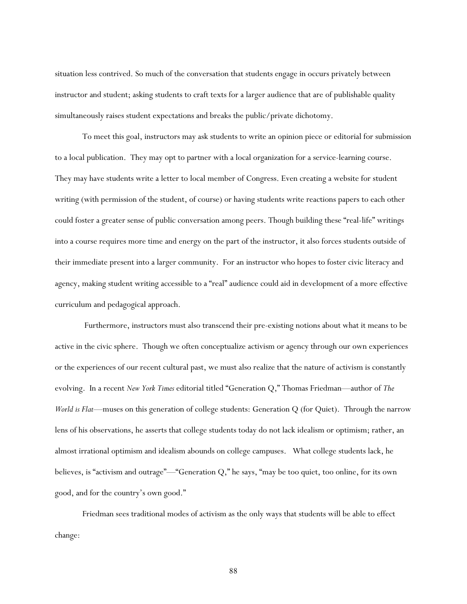situation less contrived. So much of the conversation that students engage in occurs privately between instructor and student; asking students to craft texts for a larger audience that are of publishable quality simultaneously raises student expectations and breaks the public/private dichotomy.

To meet this goal, instructors may ask students to write an opinion piece or editorial for submission to a local publication. They may opt to partner with a local organization for a service-learning course. They may have students write a letter to local member of Congress. Even creating a website for student writing (with permission of the student, of course) or having students write reactions papers to each other could foster a greater sense of public conversation among peers. Though building these "real-life" writings into a course requires more time and energy on the part of the instructor, it also forces students outside of their immediate present into a larger community. For an instructor who hopes to foster civic literacy and agency, making student writing accessible to a "real" audience could aid in development of a more effective curriculum and pedagogical approach.

 Furthermore, instructors must also transcend their pre-existing notions about what it means to be active in the civic sphere. Though we often conceptualize activism or agency through our own experiences or the experiences of our recent cultural past, we must also realize that the nature of activism is constantly evolving. In a recent *New York Times* editorial titled "Generation Q," Thomas Friedman—author of *The World is Flat—*muses on this generation of college students: Generation Q (for Quiet). Through the narrow lens of his observations, he asserts that college students today do not lack idealism or optimism; rather, an almost irrational optimism and idealism abounds on college campuses. What college students lack, he believes, is "activism and outrage"—"Generation  $Q$ ," he says, "may be too quiet, too online, for its own good, and for the country's own good."

Friedman sees traditional modes of activism as the only ways that students will be able to effect change: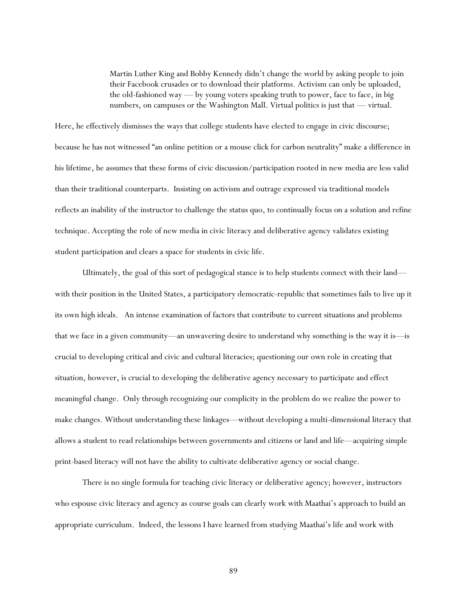Martin Luther King and Bobby Kennedy didn't change the world by asking people to join their Facebook crusades or to download their platforms. Activism can only be uploaded, the old-fashioned way — by young voters speaking truth to power, face to face, in big numbers, on campuses or the Washington Mall. Virtual politics is just that — virtual.

Here, he effectively dismisses the ways that college students have elected to engage in civic discourse; because he has not witnessed "an online petition or a mouse click for carbon neutrality" make a difference in his lifetime, he assumes that these forms of civic discussion/participation rooted in new media are less valid than their traditional counterparts. Insisting on activism and outrage expressed via traditional models reflects an inability of the instructor to challenge the status quo, to continually focus on a solution and refine technique. Accepting the role of new media in civic literacy and deliberative agency validates existing student participation and clears a space for students in civic life.

 Ultimately, the goal of this sort of pedagogical stance is to help students connect with their land with their position in the United States, a participatory democratic-republic that sometimes fails to live up it its own high ideals. An intense examination of factors that contribute to current situations and problems that we face in a given community—an unwavering desire to understand why something is the way it is—is crucial to developing critical and civic and cultural literacies; questioning our own role in creating that situation, however, is crucial to developing the deliberative agency necessary to participate and effect meaningful change. Only through recognizing our complicity in the problem do we realize the power to make changes. Without understanding these linkages—without developing a multi-dimensional literacy that allows a student to read relationships between governments and citizens or land and life—acquiring simple print-based literacy will not have the ability to cultivate deliberative agency or social change.

There is no single formula for teaching civic literacy or deliberative agency; however, instructors who espouse civic literacy and agency as course goals can clearly work with Maathai's approach to build an appropriate curriculum. Indeed, the lessons I have learned from studying Maathai's life and work with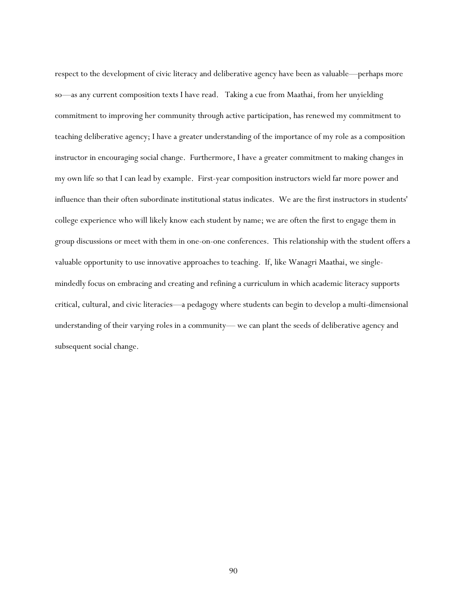respect to the development of civic literacy and deliberative agency have been as valuable—perhaps more so—as any current composition texts I have read. Taking a cue from Maathai, from her unyielding commitment to improving her community through active participation, has renewed my commitment to teaching deliberative agency; I have a greater understanding of the importance of my role as a composition instructor in encouraging social change. Furthermore, I have a greater commitment to making changes in my own life so that I can lead by example. First-year composition instructors wield far more power and influence than their often subordinate institutional status indicates. We are the first instructors in students' college experience who will likely know each student by name; we are often the first to engage them in group discussions or meet with them in one-on-one conferences. This relationship with the student offers a valuable opportunity to use innovative approaches to teaching. If, like Wanagri Maathai, we singlemindedly focus on embracing and creating and refining a curriculum in which academic literacy supports critical, cultural, and civic literacies—a pedagogy where students can begin to develop a multi-dimensional understanding of their varying roles in a community— we can plant the seeds of deliberative agency and subsequent social change.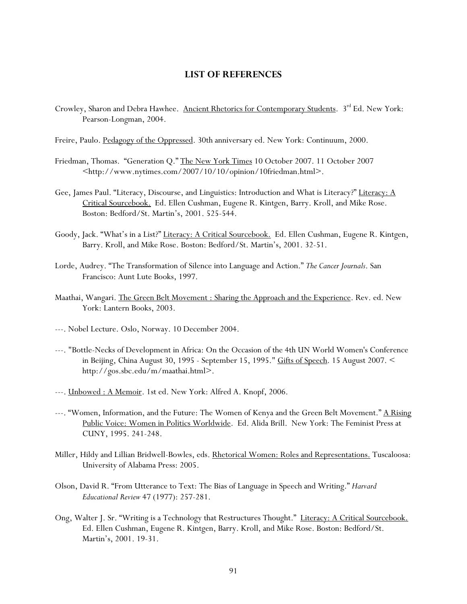## **LIST OF REFERENCES**

- Crowley, Sharon and Debra Hawhee. Ancient Rhetorics for Contemporary Students. 3rd Ed. New York: Pearson-Longman, 2004.
- Freire, Paulo. Pedagogy of the Oppressed. 30th anniversary ed. New York: Continuum, 2000.
- Friedman, Thomas. "Generation Q." The New York Times 10 October 2007. 11 October 2007 <http://www.nytimes.com/2007/10/10/opinion/10friedman.html>.
- Gee, James Paul. "Literacy, Discourse, and Linguistics: Introduction and What is Literacy?" Literacy: A Critical Sourcebook. Ed. Ellen Cushman, Eugene R. Kintgen, Barry. Kroll, and Mike Rose. Boston: Bedford/St. Martin's, 2001. 525-544.
- Goody, Jack. "What's in a List?" Literacy: A Critical Sourcebook. Ed. Ellen Cushman, Eugene R. Kintgen, Barry. Kroll, and Mike Rose. Boston: Bedford/St. Martin's, 2001. 32-51.
- Lorde, Audrey. "The Transformation of Silence into Language and Action." *The Cancer Journals*. San Francisco: Aunt Lute Books, 1997.
- Maathai, Wangari. The Green Belt Movement : Sharing the Approach and the Experience. Rev. ed. New York: Lantern Books, 2003.
- ---. Nobel Lecture. Oslo, Norway. 10 December 2004.
- ---. "Bottle-Necks of Development in Africa: On the Occasion of the 4th UN World Women's Conference in Beijing, China August 30, 1995 - September 15, 1995." Gifts of Speech. 15 August 2007. < http://gos.sbc.edu/m/maathai.html>.
- ---. **Unbowed** : A Memoir. 1st ed. New York: Alfred A. Knopf, 2006.
- ---. "Women, Information, and the Future: The Women of Kenya and the Green Belt Movement." A Rising Public Voice: Women in Politics Worldwide. Ed. Alida Brill. New York: The Feminist Press at CUNY, 1995. 241-248.
- Miller, Hildy and Lillian Bridwell-Bowles, eds. Rhetorical Women: Roles and Representations. Tuscaloosa: University of Alabama Press: 2005.
- Olson, David R. "From Utterance to Text: The Bias of Language in Speech and Writing." *Harvard Educational Review* 47 (1977): 257-281.
- Ong, Walter J. Sr. "Writing is a Technology that Restructures Thought." Literacy: A Critical Sourcebook. Ed. Ellen Cushman, Eugene R. Kintgen, Barry. Kroll, and Mike Rose. Boston: Bedford/St. Martin's, 2001. 19-31.